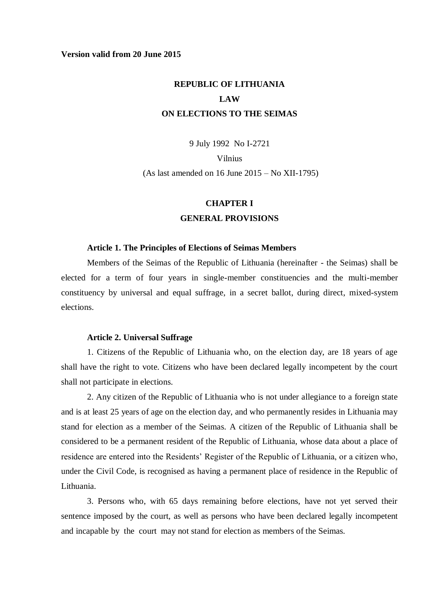## **Version valid from 20 June 2015**

# **REPUBLIC OF LITHUANIA LAW ON ELECTIONS TO THE SEIMAS**

9 July 1992 No I-2721

Vilnius

(As last amended on 16 June 2015 – No XII-1795)

# **CHAPTER I**

## **GENERAL PROVISIONS**

#### **Article 1. The Principles of Elections of Seimas Members**

Members of the Seimas of the Republic of Lithuania (hereinafter - the Seimas) shall be elected for a term of four years in single-member constituencies and the multi-member constituency by universal and equal suffrage, in a secret ballot, during direct, mixed-system elections.

### **Article 2. Universal Suffrage**

1. Citizens of the Republic of Lithuania who, on the election day, are 18 years of age shall have the right to vote. Citizens who have been declared legally incompetent by the court shall not participate in elections.

2. Any citizen of the Republic of Lithuania who is not under allegiance to a foreign state and is at least 25 years of age on the election day, and who permanently resides in Lithuania may stand for election as a member of the Seimas. A citizen of the Republic of Lithuania shall be considered to be a permanent resident of the Republic of Lithuania, whose data about a place of residence are entered into the Residents' Register of the Republic of Lithuania, or a citizen who, under the Civil Code, is recognised as having a permanent place of residence in the Republic of Lithuania.

3. Persons who, with 65 days remaining before elections, have not yet served their sentence imposed by the court, as well as persons who have been declared legally incompetent and incapable by the court may not stand for election as members of the Seimas.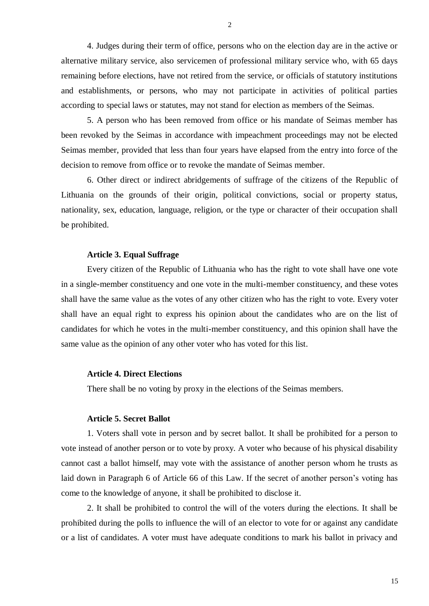4. Judges during their term of office, persons who on the election day are in the active or alternative military service, also servicemen of professional military service who, with 65 days remaining before elections, have not retired from the service, or officials of statutory institutions and establishments, or persons, who may not participate in activities of political parties according to special laws or statutes, may not stand for election as members of the Seimas.

5. A person who has been removed from office or his mandate of Seimas member has been revoked by the Seimas in accordance with impeachment proceedings may not be elected Seimas member, provided that less than four years have elapsed from the entry into force of the decision to remove from office or to revoke the mandate of Seimas member.

6. Other direct or indirect abridgements of suffrage of the citizens of the Republic of Lithuania on the grounds of their origin, political convictions, social or property status, nationality, sex, education, language, religion, or the type or character of their occupation shall be prohibited.

#### **Article 3. Equal Suffrage**

Every citizen of the Republic of Lithuania who has the right to vote shall have one vote in a single-member constituency and one vote in the multi-member constituency, and these votes shall have the same value as the votes of any other citizen who has the right to vote. Every voter shall have an equal right to express his opinion about the candidates who are on the list of candidates for which he votes in the multi-member constituency, and this opinion shall have the same value as the opinion of any other voter who has voted for this list.

## **Article 4. Direct Elections**

There shall be no voting by proxy in the elections of the Seimas members.

#### **Article 5. Secret Ballot**

1. Voters shall vote in person and by secret ballot. It shall be prohibited for a person to vote instead of another person or to vote by proxy. A voter who because of his physical disability cannot cast a ballot himself, may vote with the assistance of another person whom he trusts as laid down in Paragraph 6 of Article 66 of this Law. If the secret of another person's voting has come to the knowledge of anyone, it shall be prohibited to disclose it.

2. It shall be prohibited to control the will of the voters during the elections. It shall be prohibited during the polls to influence the will of an elector to vote for or against any candidate or a list of candidates. A voter must have adequate conditions to mark his ballot in privacy and

2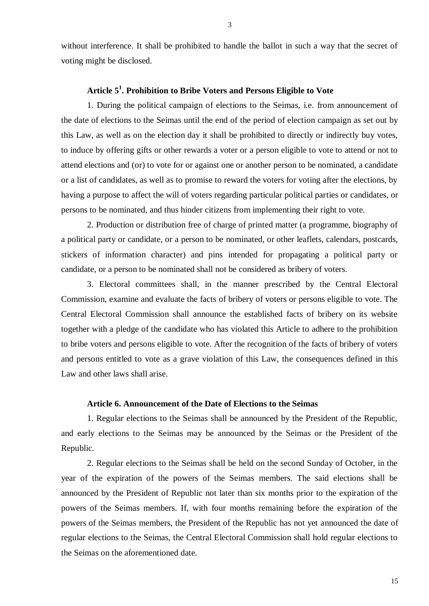without interference. It shall be prohibited to handle the ballot in such a way that the secret of voting might be disclosed.

# **Article 5<sup>1</sup> . Prohibition to Bribe Voters and Persons Eligible to Vote**

1. During the political campaign of elections to the Seimas, i.e. from announcement of the date of elections to the Seimas until the end of the period of election campaign as set out by this Law, as well as on the election day it shall be prohibited to directly or indirectly buy votes, to induce by offering gifts or other rewards a voter or a person eligible to vote to attend or not to attend elections and (or) to vote for or against one or another person to be nominated, a candidate or a list of candidates, as well as to promise to reward the voters for voting after the elections, by having a purpose to affect the will of voters regarding particular political parties or candidates, or persons to be nominated, and thus hinder citizens from implementing their right to vote.

2. Production or distribution free of charge of printed matter (a programme, biography of a political party or candidate, or a person to be nominated, or other leaflets, calendars, postcards, stickers of information character) and pins intended for propagating a political party or candidate, or a person to be nominated shall not be considered as bribery of voters.

3. Electoral committees shall, in the manner prescribed by the Central Electoral Commission, examine and evaluate the facts of bribery of voters or persons eligible to vote. The Central Electoral Commission shall announce the established facts of bribery on its website together with a pledge of the candidate who has violated this Article to adhere to the prohibition to bribe voters and persons eligible to vote. After the recognition of the facts of bribery of voters and persons entitled to vote as a grave violation of this Law, the consequences defined in this Law and other laws shall arise.

## **Article 6. Announcement of the Date of Elections to the Seimas**

1. Regular elections to the Seimas shall be announced by the President of the Republic, and early elections to the Seimas may be announced by the Seimas or the President of the Republic.

2. Regular elections to the Seimas shall be held on the second Sunday of October, in the year of the expiration of the powers of the Seimas members. The said elections shall be announced by the President of Republic not later than six months prior to the expiration of the powers of the Seimas members. If, with four months remaining before the expiration of the powers of the Seimas members, the President of the Republic has not yet announced the date of regular elections to the Seimas, the Central Electoral Commission shall hold regular elections to the Seimas on the aforementioned date.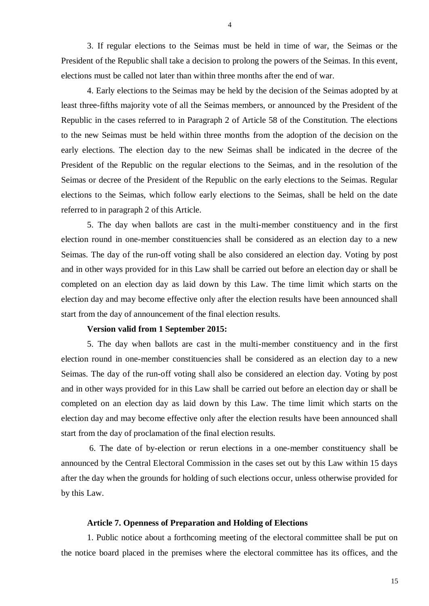3. If regular elections to the Seimas must be held in time of war, the Seimas or the President of the Republic shall take a decision to prolong the powers of the Seimas. In this event, elections must be called not later than within three months after the end of war.

4. Early elections to the Seimas may be held by the decision of the Seimas adopted by at least three-fifths majority vote of all the Seimas members, or announced by the President of the Republic in the cases referred to in Paragraph 2 of Article 58 of the Constitution. The elections to the new Seimas must be held within three months from the adoption of the decision on the early elections. The election day to the new Seimas shall be indicated in the decree of the President of the Republic on the regular elections to the Seimas, and in the resolution of the Seimas or decree of the President of the Republic on the early elections to the Seimas. Regular elections to the Seimas, which follow early elections to the Seimas, shall be held on the date referred to in paragraph 2 of this Article.

5. The day when ballots are cast in the multi-member constituency and in the first election round in one-member constituencies shall be considered as an election day to a new Seimas. The day of the run-off voting shall be also considered an election day. Voting by post and in other ways provided for in this Law shall be carried out before an election day or shall be completed on an election day as laid down by this Law. The time limit which starts on the election day and may become effective only after the election results have been announced shall start from the day of announcement of the final election results.

## **Version valid from 1 September 2015:**

5. The day when ballots are cast in the multi-member constituency and in the first election round in one-member constituencies shall be considered as an election day to a new Seimas. The day of the run-off voting shall also be considered an election day. Voting by post and in other ways provided for in this Law shall be carried out before an election day or shall be completed on an election day as laid down by this Law. The time limit which starts on the election day and may become effective only after the election results have been announced shall start from the day of proclamation of the final election results.

6. The date of by-election or rerun elections in a one-member constituency shall be announced by the Central Electoral Commission in the cases set out by this Law within 15 days after the day when the grounds for holding of such elections occur, unless otherwise provided for by this Law.

#### **Article 7. Openness of Preparation and Holding of Elections**

1. Public notice about a forthcoming meeting of the electoral committee shall be put on the notice board placed in the premises where the electoral committee has its offices, and the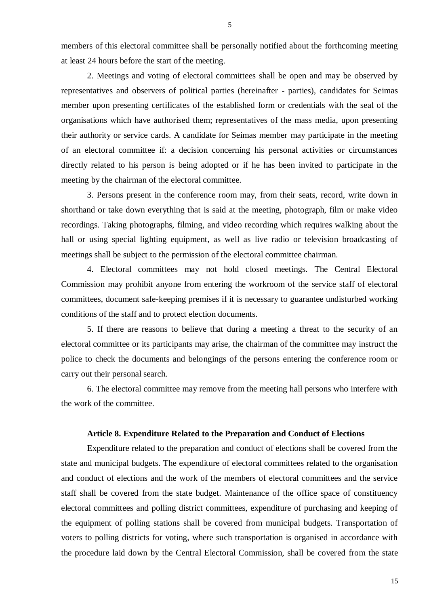members of this electoral committee shall be personally notified about the forthcoming meeting at least 24 hours before the start of the meeting.

2. Meetings and voting of electoral committees shall be open and may be observed by representatives and observers of political parties (hereinafter - parties), candidates for Seimas member upon presenting certificates of the established form or credentials with the seal of the organisations which have authorised them; representatives of the mass media, upon presenting their authority or service cards. A candidate for Seimas member may participate in the meeting of an electoral committee if: a decision concerning his personal activities or circumstances directly related to his person is being adopted or if he has been invited to participate in the meeting by the chairman of the electoral committee.

3. Persons present in the conference room may, from their seats, record, write down in shorthand or take down everything that is said at the meeting, photograph, film or make video recordings. Taking photographs, filming, and video recording which requires walking about the hall or using special lighting equipment, as well as live radio or television broadcasting of meetings shall be subject to the permission of the electoral committee chairman.

4. Electoral committees may not hold closed meetings. The Central Electoral Commission may prohibit anyone from entering the workroom of the service staff of electoral committees, document safe-keeping premises if it is necessary to guarantee undisturbed working conditions of the staff and to protect election documents.

5. If there are reasons to believe that during a meeting a threat to the security of an electoral committee or its participants may arise, the chairman of the committee may instruct the police to check the documents and belongings of the persons entering the conference room or carry out their personal search.

6. The electoral committee may remove from the meeting hall persons who interfere with the work of the committee.

### **Article 8. Expenditure Related to the Preparation and Conduct of Elections**

Expenditure related to the preparation and conduct of elections shall be covered from the state and municipal budgets. The expenditure of electoral committees related to the organisation and conduct of elections and the work of the members of electoral committees and the service staff shall be covered from the state budget. Maintenance of the office space of constituency electoral committees and polling district committees, expenditure of purchasing and keeping of the equipment of polling stations shall be covered from municipal budgets. Transportation of voters to polling districts for voting, where such transportation is organised in accordance with the procedure laid down by the Central Electoral Commission, shall be covered from the state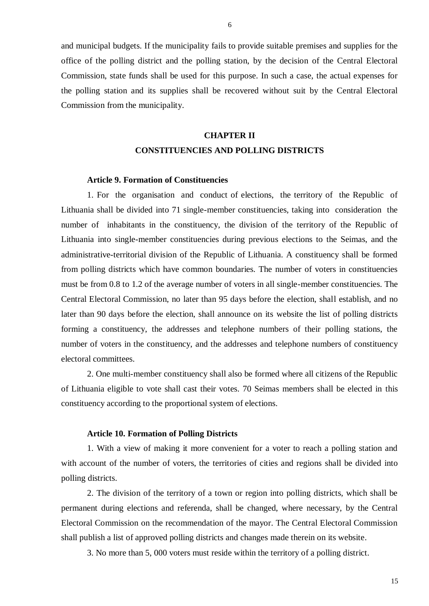and municipal budgets. If the municipality fails to provide suitable premises and supplies for the office of the polling district and the polling station, by the decision of the Central Electoral Commission, state funds shall be used for this purpose. In such a case, the actual expenses for the polling station and its supplies shall be recovered without suit by the Central Electoral Commission from the municipality.

# **CHAPTER II CONSTITUENCIES AND POLLING DISTRICTS**

#### **Article 9. Formation of Constituencies**

1. For the organisation and conduct of elections, the territory of the Republic of Lithuania shall be divided into 71 single-member constituencies, taking into consideration the number of inhabitants in the constituency, the division of the territory of the Republic of Lithuania into single-member constituencies during previous elections to the Seimas, and the administrative-territorial division of the Republic of Lithuania. A constituency shall be formed from polling districts which have common boundaries. The number of voters in constituencies must be from 0.8 to 1.2 of the average number of voters in all single-member constituencies. The Central Electoral Commission, no later than 95 days before the election, shall establish, and no later than 90 days before the election, shall announce on its website the list of polling districts forming a constituency, the addresses and telephone numbers of their polling stations, the number of voters in the constituency, and the addresses and telephone numbers of constituency electoral committees.

2. One multi-member constituency shall also be formed where all citizens of the Republic of Lithuania eligible to vote shall cast their votes. 70 Seimas members shall be elected in this constituency according to the proportional system of elections.

#### **Article 10. Formation of Polling Districts**

1. With a view of making it more convenient for a voter to reach a polling station and with account of the number of voters, the territories of cities and regions shall be divided into polling districts.

2. The division of the territory of a town or region into polling districts, which shall be permanent during elections and referenda, shall be changed, where necessary, by the Central Electoral Commission on the recommendation of the mayor. The Central Electoral Commission shall publish a list of approved polling districts and changes made therein on its website*.*

3. No more than 5, 000 voters must reside within the territory of a polling district.

6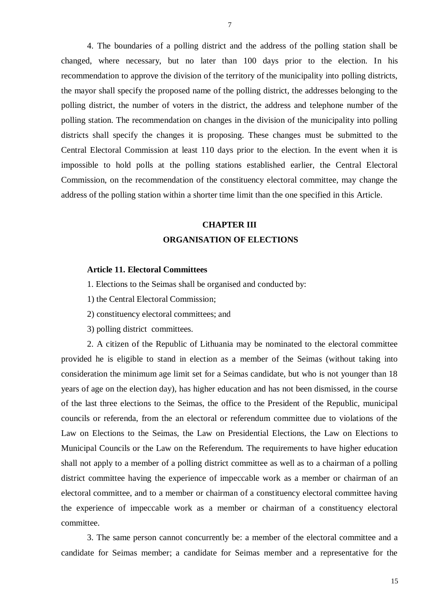4. The boundaries of a polling district and the address of the polling station shall be changed, where necessary, but no later than 100 days prior to the election. In his recommendation to approve the division of the territory of the municipality into polling districts, the mayor shall specify the proposed name of the polling district, the addresses belonging to the polling district, the number of voters in the district, the address and telephone number of the polling station. The recommendation on changes in the division of the municipality into polling districts shall specify the changes it is proposing. These changes must be submitted to the Central Electoral Commission at least 110 days prior to the election. In the event when it is impossible to hold polls at the polling stations established earlier, the Central Electoral Commission, on the recommendation of the constituency electoral committee, may change the address of the polling station within a shorter time limit than the one specified in this Article.

# **CHAPTER III ORGANISATION OF ELECTIONS**

### **Article 11. Electoral Committees**

1. Elections to the Seimas shall be organised and conducted by:

1) the Central Electoral Commission;

2) constituency electoral committees; and

3) polling district committees.

2. A citizen of the Republic of Lithuania may be nominated to the electoral committee provided he is eligible to stand in election as a member of the Seimas (without taking into consideration the minimum age limit set for a Seimas candidate, but who is not younger than 18 years of age on the election day), has higher education and has not been dismissed, in the course of the last three elections to the Seimas, the office to the President of the Republic, municipal councils or referenda, from the an electoral or referendum committee due to violations of the Law on Elections to the Seimas, the Law on Presidential Elections, the Law on Elections to Municipal Councils or the Law on the Referendum. The requirements to have higher education shall not apply to a member of a polling district committee as well as to a chairman of a polling district committee having the experience of impeccable work as a member or chairman of an electoral committee, and to a member or chairman of a constituency electoral committee having the experience of impeccable work as a member or chairman of a constituency electoral committee.

3. The same person cannot concurrently be: a member of the electoral committee and a candidate for Seimas member; a candidate for Seimas member and a representative for the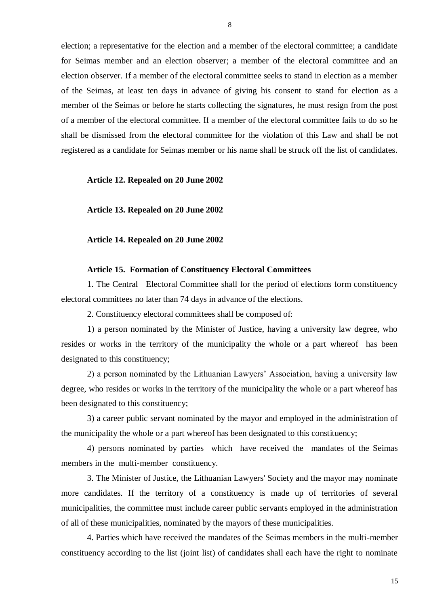election; a representative for the election and a member of the electoral committee; a candidate for Seimas member and an election observer; a member of the electoral committee and an election observer. If a member of the electoral committee seeks to stand in election as a member of the Seimas, at least ten days in advance of giving his consent to stand for election as a member of the Seimas or before he starts collecting the signatures, he must resign from the post of a member of the electoral committee. If a member of the electoral committee fails to do so he shall be dismissed from the electoral committee for the violation of this Law and shall be not registered as a candidate for Seimas member or his name shall be struck off the list of candidates.

### **Article 12. Repealed on 20 June 2002**

**Article 13. Repealed on 20 June 2002**

**Article 14. Repealed on 20 June 2002**

### **Article 15. Formation of Constituency Electoral Committees**

1. The Central Electoral Committee shall for the period of elections form constituency electoral committees no later than 74 days in advance of the elections.

2. Constituency electoral committees shall be composed of:

1) a person nominated by the Minister of Justice, having a university law degree, who resides or works in the territory of the municipality the whole or a part whereof has been designated to this constituency;

2) a person nominated by the Lithuanian Lawyers' Association, having a university law degree, who resides or works in the territory of the municipality the whole or a part whereof has been designated to this constituency;

3) a career public servant nominated by the mayor and employed in the administration of the municipality the whole or a part whereof has been designated to this constituency;

4) persons nominated by parties which have received the mandates of the Seimas members in the multi-member constituency.

3. The Minister of Justice, the Lithuanian Lawyers' Society and the mayor may nominate more candidates. If the territory of a constituency is made up of territories of several municipalities, the committee must include career public servants employed in the administration of all of these municipalities, nominated by the mayors of these municipalities.

4. Parties which have received the mandates of the Seimas members in the multi-member constituency according to the list (joint list) of candidates shall each have the right to nominate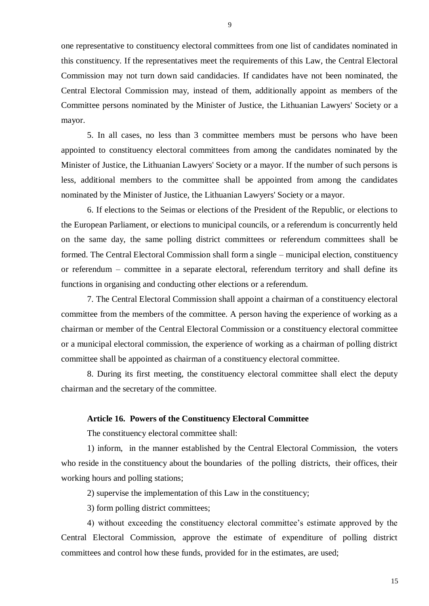one representative to constituency electoral committees from one list of candidates nominated in this constituency. If the representatives meet the requirements of this Law, the Central Electoral Commission may not turn down said candidacies. If candidates have not been nominated, the Central Electoral Commission may, instead of them, additionally appoint as members of the Committee persons nominated by the Minister of Justice, the Lithuanian Lawyers' Society or a mayor.

5. In all cases, no less than 3 committee members must be persons who have been appointed to constituency electoral committees from among the candidates nominated by the Minister of Justice, the Lithuanian Lawyers' Society or a mayor. If the number of such persons is less, additional members to the committee shall be appointed from among the candidates nominated by the Minister of Justice, the Lithuanian Lawyers' Society or a mayor.

6. If elections to the Seimas or elections of the President of the Republic, or elections to the European Parliament, or elections to municipal councils, or a referendum is concurrently held on the same day, the same polling district committees or referendum committees shall be formed. The Central Electoral Commission shall form a single – municipal election, constituency or referendum – committee in a separate electoral, referendum territory and shall define its functions in organising and conducting other elections or a referendum.

7. The Central Electoral Commission shall appoint a chairman of a constituency electoral committee from the members of the committee. A person having the experience of working as a chairman or member of the Central Electoral Commission or a constituency electoral committee or a municipal electoral commission, the experience of working as a chairman of polling district committee shall be appointed as chairman of a constituency electoral committee.

8. During its first meeting, the constituency electoral committee shall elect the deputy chairman and the secretary of the committee.

### **Article 16. Powers of the Constituency Electoral Committee**

The constituency electoral committee shall:

1) inform, in the manner established by the Central Electoral Commission, the voters who reside in the constituency about the boundaries of the polling districts, their offices, their working hours and polling stations;

2) supervise the implementation of this Law in the constituency;

3) form polling district committees;

4) without exceeding the constituency electoral committee's estimate approved by the Central Electoral Commission, approve the estimate of expenditure of polling district committees and control how these funds, provided for in the estimates, are used;

9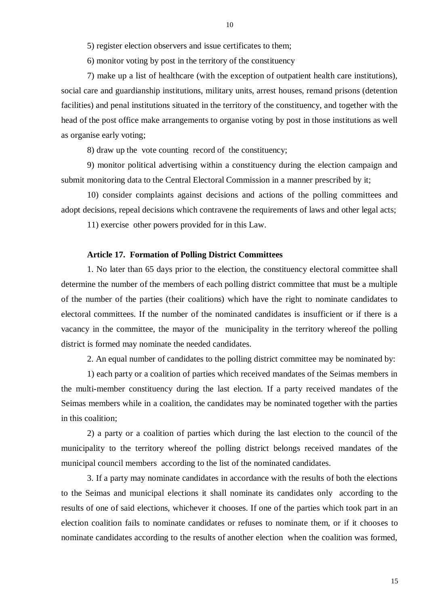5) register election observers and issue certificates to them;

6) monitor voting by post in the territory of the constituency

7) make up a list of healthcare (with the exception of outpatient health care institutions), social care and guardianship institutions, military units, arrest houses, remand prisons (detention facilities) and penal institutions situated in the territory of the constituency, and together with the head of the post office make arrangements to organise voting by post in those institutions as well as organise early voting;

8) draw up the vote counting record of the constituency;

9) monitor political advertising within a constituency during the election campaign and submit monitoring data to the Central Electoral Commission in a manner prescribed by it;

10) consider complaints against decisions and actions of the polling committees and adopt decisions, repeal decisions which contravene the requirements of laws and other legal acts;

11) exercise other powers provided for in this Law.

#### **Article 17. Formation of Polling District Committees**

1. No later than 65 days prior to the election, the constituency electoral committee shall determine the number of the members of each polling district committee that must be a multiple of the number of the parties (their coalitions) which have the right to nominate candidates to electoral committees. If the number of the nominated candidates is insufficient or if there is a vacancy in the committee, the mayor of the municipality in the territory whereof the polling district is formed may nominate the needed candidates.

2. An equal number of candidates to the polling district committee may be nominated by:

1) each party or a coalition of parties which received mandates of the Seimas members in the multi-member constituency during the last election. If a party received mandates of the Seimas members while in a coalition, the candidates may be nominated together with the parties in this coalition;

2) a party or a coalition of parties which during the last election to the council of the municipality to the territory whereof the polling district belongs received mandates of the municipal council members according to the list of the nominated candidates.

3. If a party may nominate candidates in accordance with the results of both the elections to the Seimas and municipal elections it shall nominate its candidates only according to the results of one of said elections, whichever it chooses. If one of the parties which took part in an election coalition fails to nominate candidates or refuses to nominate them, or if it chooses to nominate candidates according to the results of another election when the coalition was formed,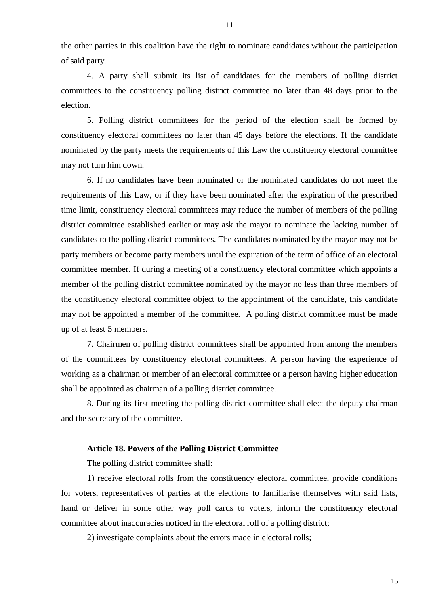the other parties in this coalition have the right to nominate candidates without the participation of said party.

4. A party shall submit its list of candidates for the members of polling district committees to the constituency polling district committee no later than 48 days prior to the election.

5. Polling district committees for the period of the election shall be formed by constituency electoral committees no later than 45 days before the elections. If the candidate nominated by the party meets the requirements of this Law the constituency electoral committee may not turn him down.

6. If no candidates have been nominated or the nominated candidates do not meet the requirements of this Law, or if they have been nominated after the expiration of the prescribed time limit, constituency electoral committees may reduce the number of members of the polling district committee established earlier or may ask the mayor to nominate the lacking number of candidates to the polling district committees. The candidates nominated by the mayor may not be party members or become party members until the expiration of the term of office of an electoral committee member. If during a meeting of a constituency electoral committee which appoints a member of the polling district committee nominated by the mayor no less than three members of the constituency electoral committee object to the appointment of the candidate, this candidate may not be appointed a member of the committee. A polling district committee must be made up of at least 5 members.

7. Chairmen of polling district committees shall be appointed from among the members of the committees by constituency electoral committees. A person having the experience of working as a chairman or member of an electoral committee or a person having higher education shall be appointed as chairman of a polling district committee.

8. During its first meeting the polling district committee shall elect the deputy chairman and the secretary of the committee.

### **Article 18. Powers of the Polling District Committee**

The polling district committee shall:

1) receive electoral rolls from the constituency electoral committee, provide conditions for voters, representatives of parties at the elections to familiarise themselves with said lists, hand or deliver in some other way poll cards to voters, inform the constituency electoral committee about inaccuracies noticed in the electoral roll of a polling district;

2) investigate complaints about the errors made in electoral rolls;

11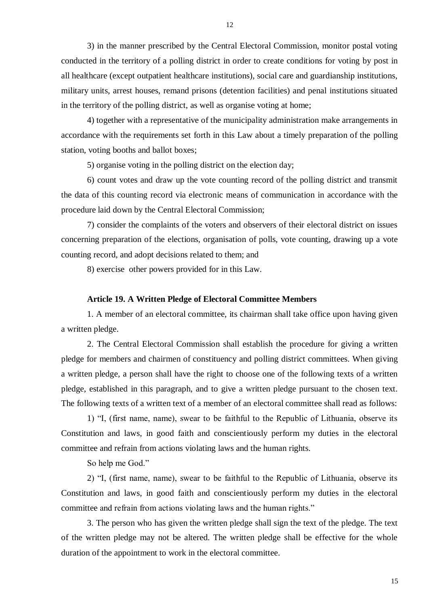3) in the manner prescribed by the Central Electoral Commission, monitor postal voting conducted in the territory of a polling district in order to create conditions for voting by post in all healthcare (except outpatient healthcare institutions), social care and guardianship institutions, military units, arrest houses, remand prisons (detention facilities) and penal institutions situated in the territory of the polling district, as well as organise voting at home;

4) together with a representative of the municipality administration make arrangements in accordance with the requirements set forth in this Law about a timely preparation of the polling station, voting booths and ballot boxes;

5) organise voting in the polling district on the election day;

6) count votes and draw up the vote counting record of the polling district and transmit the data of this counting record via electronic means of communication in accordance with the procedure laid down by the Central Electoral Commission;

7) consider the complaints of the voters and observers of their electoral district on issues concerning preparation of the elections, organisation of polls, vote counting, drawing up a vote counting record, and adopt decisions related to them; and

8) exercise other powers provided for in this Law.

### **Article 19. A Written Pledge of Electoral Committee Members**

1. A member of an electoral committee, its chairman shall take office upon having given a written pledge.

2. The Central Electoral Commission shall establish the procedure for giving a written pledge for members and chairmen of constituency and polling district committees. When giving a written pledge, a person shall have the right to choose one of the following texts of a written pledge, established in this paragraph, and to give a written pledge pursuant to the chosen text. The following texts of a written text of a member of an electoral committee shall read as follows:

1) "I, (first name, name), swear to be faithful to the Republic of Lithuania, observe its Constitution and laws, in good faith and conscientiously perform my duties in the electoral committee and refrain from actions violating laws and the human rights.

So help me God."

2) "I, (first name, name), swear to be faithful to the Republic of Lithuania, observe its Constitution and laws, in good faith and conscientiously perform my duties in the electoral committee and refrain from actions violating laws and the human rights."

3. The person who has given the written pledge shall sign the text of the pledge. The text of the written pledge may not be altered. The written pledge shall be effective for the whole duration of the appointment to work in the electoral committee.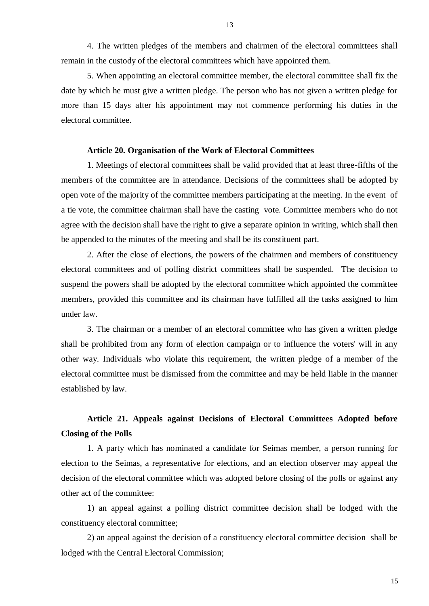13

4. The written pledges of the members and chairmen of the electoral committees shall remain in the custody of the electoral committees which have appointed them.

5. When appointing an electoral committee member, the electoral committee shall fix the date by which he must give a written pledge. The person who has not given a written pledge for more than 15 days after his appointment may not commence performing his duties in the electoral committee.

### **Article 20. Organisation of the Work of Electoral Committees**

1. Meetings of electoral committees shall be valid provided that at least three-fifths of the members of the committee are in attendance. Decisions of the committees shall be adopted by open vote of the majority of the committee members participating at the meeting. In the event of a tie vote, the committee chairman shall have the casting vote. Committee members who do not agree with the decision shall have the right to give a separate opinion in writing, which shall then be appended to the minutes of the meeting and shall be its constituent part.

2. After the close of elections, the powers of the chairmen and members of constituency electoral committees and of polling district committees shall be suspended. The decision to suspend the powers shall be adopted by the electoral committee which appointed the committee members, provided this committee and its chairman have fulfilled all the tasks assigned to him under law.

3. The chairman or a member of an electoral committee who has given a written pledge shall be prohibited from any form of election campaign or to influence the voters' will in any other way. Individuals who violate this requirement, the written pledge of a member of the electoral committee must be dismissed from the committee and may be held liable in the manner established by law.

# **Article 21. Appeals against Decisions of Electoral Committees Adopted before Closing of the Polls**

1. A party which has nominated a candidate for Seimas member, a person running for election to the Seimas, a representative for elections, and an election observer may appeal the decision of the electoral committee which was adopted before closing of the polls or against any other act of the committee:

1) an appeal against a polling district committee decision shall be lodged with the constituency electoral committee;

2) an appeal against the decision of a constituency electoral committee decision shall be lodged with the Central Electoral Commission;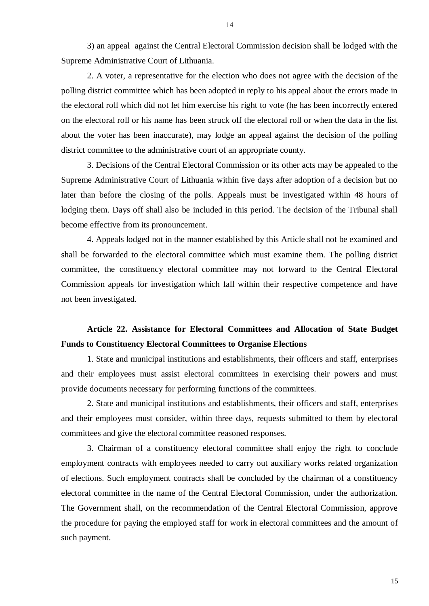3) an appeal against the Central Electoral Commission decision shall be lodged with the Supreme Administrative Court of Lithuania.

2. A voter, a representative for the election who does not agree with the decision of the polling district committee which has been adopted in reply to his appeal about the errors made in the electoral roll which did not let him exercise his right to vote (he has been incorrectly entered on the electoral roll or his name has been struck off the electoral roll or when the data in the list about the voter has been inaccurate), may lodge an appeal against the decision of the polling district committee to the administrative court of an appropriate county.

3. Decisions of the Central Electoral Commission or its other acts may be appealed to the Supreme Administrative Court of Lithuania within five days after adoption of a decision but no later than before the closing of the polls. Appeals must be investigated within 48 hours of lodging them. Days off shall also be included in this period. The decision of the Tribunal shall become effective from its pronouncement.

4. Appeals lodged not in the manner established by this Article shall not be examined and shall be forwarded to the electoral committee which must examine them. The polling district committee, the constituency electoral committee may not forward to the Central Electoral Commission appeals for investigation which fall within their respective competence and have not been investigated.

# **Article 22. Assistance for Electoral Committees and Allocation of State Budget Funds to Constituency Electoral Committees to Organise Elections**

1. State and municipal institutions and establishments, their officers and staff, enterprises and their employees must assist electoral committees in exercising their powers and must provide documents necessary for performing functions of the committees.

2. State and municipal institutions and establishments, their officers and staff, enterprises and their employees must consider, within three days, requests submitted to them by electoral committees and give the electoral committee reasoned responses.

3. Chairman of a constituency electoral committee shall enjoy the right to conclude employment contracts with employees needed to carry out auxiliary works related organization of elections. Such employment contracts shall be concluded by the chairman of a constituency electoral committee in the name of the Central Electoral Commission, under the authorization. The Government shall, on the recommendation of the Central Electoral Commission, approve the procedure for paying the employed staff for work in electoral committees and the amount of such payment.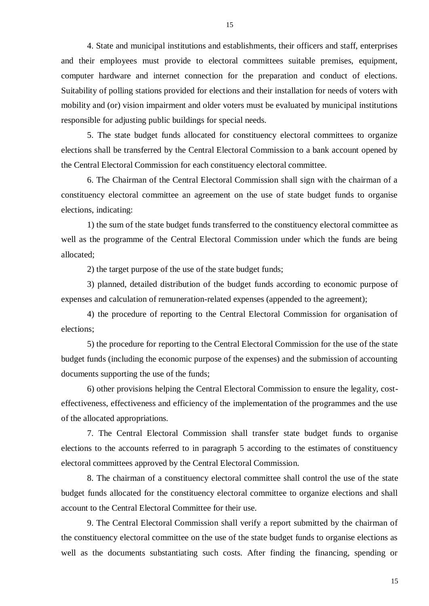4. State and municipal institutions and establishments, their officers and staff, enterprises and their employees must provide to electoral committees suitable premises, equipment, computer hardware and internet connection for the preparation and conduct of elections. Suitability of polling stations provided for elections and their installation for needs of voters with mobility and (or) vision impairment and older voters must be evaluated by municipal institutions responsible for adjusting public buildings for special needs.

5. The state budget funds allocated for constituency electoral committees to organize elections shall be transferred by the Central Electoral Commission to a bank account opened by the Central Electoral Commission for each constituency electoral committee.

6. The Chairman of the Central Electoral Commission shall sign with the chairman of a constituency electoral committee an agreement on the use of state budget funds to organise elections, indicating:

1) the sum of the state budget funds transferred to the constituency electoral committee as well as the programme of the Central Electoral Commission under which the funds are being allocated;

2) the target purpose of the use of the state budget funds;

3) planned, detailed distribution of the budget funds according to economic purpose of expenses and calculation of remuneration-related expenses (appended to the agreement);

4) the procedure of reporting to the Central Electoral Commission for organisation of elections;

5) the procedure for reporting to the Central Electoral Commission for the use of the state budget funds (including the economic purpose of the expenses) and the submission of accounting documents supporting the use of the funds;

6) other provisions helping the Central Electoral Commission to ensure the legality, costeffectiveness, effectiveness and efficiency of the implementation of the programmes and the use of the allocated appropriations.

7. The Central Electoral Commission shall transfer state budget funds to organise elections to the accounts referred to in paragraph 5 according to the estimates of constituency electoral committees approved by the Central Electoral Commission.

8. The chairman of a constituency electoral committee shall control the use of the state budget funds allocated for the constituency electoral committee to organize elections and shall account to the Central Electoral Committee for their use.

9. The Central Electoral Commission shall verify a report submitted by the chairman of the constituency electoral committee on the use of the state budget funds to organise elections as well as the documents substantiating such costs. After finding the financing, spending or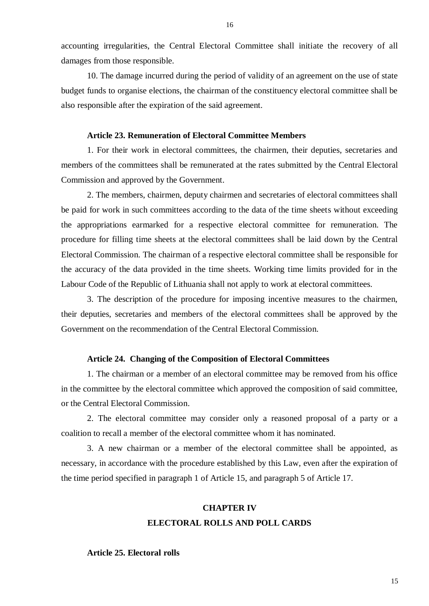16

accounting irregularities, the Central Electoral Committee shall initiate the recovery of all damages from those responsible.

10. The damage incurred during the period of validity of an agreement on the use of state budget funds to organise elections, the chairman of the constituency electoral committee shall be also responsible after the expiration of the said agreement.

# **Article 23. Remuneration of Electoral Committee Members**

1. For their work in electoral committees, the chairmen, their deputies, secretaries and members of the committees shall be remunerated at the rates submitted by the Central Electoral Commission and approved by the Government.

2. The members, chairmen, deputy chairmen and secretaries of electoral committees shall be paid for work in such committees according to the data of the time sheets without exceeding the appropriations earmarked for a respective electoral committee for remuneration. The procedure for filling time sheets at the electoral committees shall be laid down by the Central Electoral Commission. The chairman of a respective electoral committee shall be responsible for the accuracy of the data provided in the time sheets. Working time limits provided for in the Labour Code of the Republic of Lithuania shall not apply to work at electoral committees.

3. The description of the procedure for imposing incentive measures to the chairmen, their deputies, secretaries and members of the electoral committees shall be approved by the Government on the recommendation of the Central Electoral Commission.

## **Article 24. Changing of the Composition of Electoral Committees**

1. The chairman or a member of an electoral committee may be removed from his office in the committee by the electoral committee which approved the composition of said committee, or the Central Electoral Commission.

2. The electoral committee may consider only a reasoned proposal of a party or a coalition to recall a member of the electoral committee whom it has nominated.

3. A new chairman or a member of the electoral committee shall be appointed, as necessary, in accordance with the procedure established by this Law, even after the expiration of the time period specified in paragraph 1 of Article 15, and paragraph 5 of Article 17.

# **CHAPTER IV ELECTORAL ROLLS AND POLL CARDS**

**Article 25. Electoral rolls**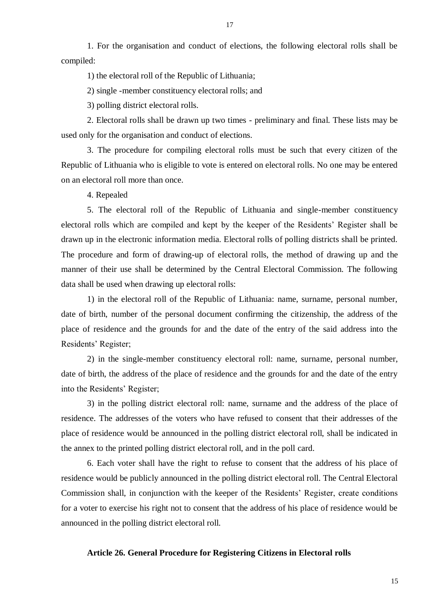1. For the organisation and conduct of elections, the following electoral rolls shall be compiled:

1) the electoral roll of the Republic of Lithuania;

2) single -member constituency electoral rolls; and

3) polling district electoral rolls.

2. Electoral rolls shall be drawn up two times - preliminary and final. These lists may be used only for the organisation and conduct of elections.

3. The procedure for compiling electoral rolls must be such that every citizen of the Republic of Lithuania who is eligible to vote is entered on electoral rolls. No one may be entered on an electoral roll more than once.

4. Repealed

5. The electoral roll of the Republic of Lithuania and single-member constituency electoral rolls which are compiled and kept by the keeper of the Residents' Register shall be drawn up in the electronic information media. Electoral rolls of polling districts shall be printed. The procedure and form of drawing-up of electoral rolls, the method of drawing up and the manner of their use shall be determined by the Central Electoral Commission. The following data shall be used when drawing up electoral rolls:

1) in the electoral roll of the Republic of Lithuania: name, surname, personal number, date of birth, number of the personal document confirming the citizenship, the address of the place of residence and the grounds for and the date of the entry of the said address into the Residents' Register;

2) in the single-member constituency electoral roll: name, surname, personal number, date of birth, the address of the place of residence and the grounds for and the date of the entry into the Residents' Register;

3) in the polling district electoral roll: name, surname and the address of the place of residence. The addresses of the voters who have refused to consent that their addresses of the place of residence would be announced in the polling district electoral roll, shall be indicated in the annex to the printed polling district electoral roll, and in the poll card.

6. Each voter shall have the right to refuse to consent that the address of his place of residence would be publicly announced in the polling district electoral roll. The Central Electoral Commission shall, in conjunction with the keeper of the Residents' Register, create conditions for a voter to exercise his right not to consent that the address of his place of residence would be announced in the polling district electoral roll.

## **Article 26. General Procedure for Registering Citizens in Electoral rolls**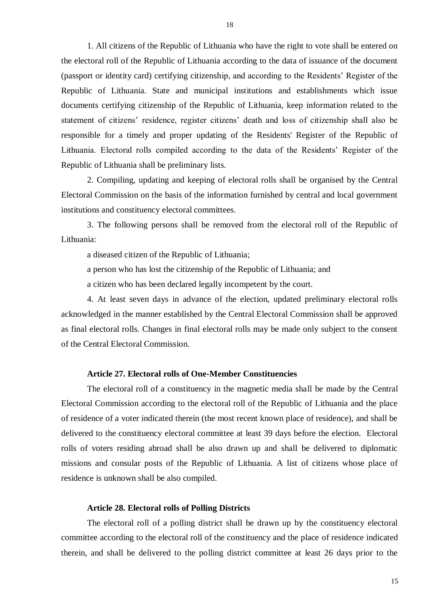1. All citizens of the Republic of Lithuania who have the right to vote shall be entered on the electoral roll of the Republic of Lithuania according to the data of issuance of the document (passport or identity card) certifying citizenship, and according to the Residents' Register of the Republic of Lithuania. State and municipal institutions and establishments which issue documents certifying citizenship of the Republic of Lithuania, keep information related to the statement of citizens' residence, register citizens' death and loss of citizenship shall also be responsible for a timely and proper updating of the Residents' Register of the Republic of Lithuania. Electoral rolls compiled according to the data of the Residents' Register of the Republic of Lithuania shall be preliminary lists.

2. Compiling, updating and keeping of electoral rolls shall be organised by the Central Electoral Commission on the basis of the information furnished by central and local government institutions and constituency electoral committees.

3. The following persons shall be removed from the electoral roll of the Republic of Lithuania:

a diseased citizen of the Republic of Lithuania;

a person who has lost the citizenship of the Republic of Lithuania; and

a citizen who has been declared legally incompetent by the court.

4. At least seven days in advance of the election, updated preliminary electoral rolls acknowledged in the manner established by the Central Electoral Commission shall be approved as final electoral rolls. Changes in final electoral rolls may be made only subject to the consent of the Central Electoral Commission.

# **Article 27. Electoral rolls of One-Member Constituencies**

The electoral roll of a constituency in the magnetic media shall be made by the Central Electoral Commission according to the electoral roll of the Republic of Lithuania and the place of residence of a voter indicated therein (the most recent known place of residence), and shall be delivered to the constituency electoral committee at least 39 days before the election. Electoral rolls of voters residing abroad shall be also drawn up and shall be delivered to diplomatic missions and consular posts of the Republic of Lithuania. A list of citizens whose place of residence is unknown shall be also compiled.

# **Article 28. Electoral rolls of Polling Districts**

The electoral roll of a polling district shall be drawn up by the constituency electoral committee according to the electoral roll of the constituency and the place of residence indicated therein, and shall be delivered to the polling district committee at least 26 days prior to the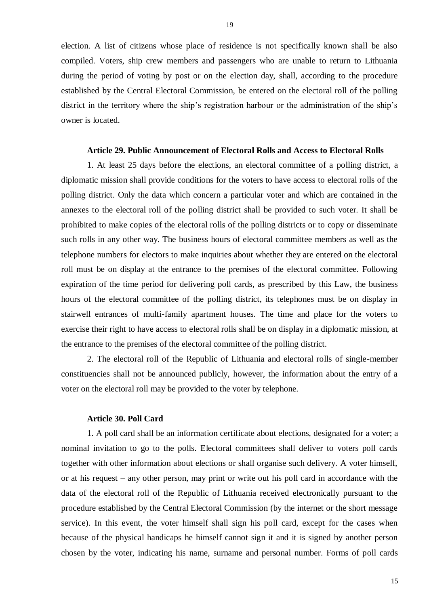election. A list of citizens whose place of residence is not specifically known shall be also compiled. Voters, ship crew members and passengers who are unable to return to Lithuania during the period of voting by post or on the election day, shall, according to the procedure established by the Central Electoral Commission, be entered on the electoral roll of the polling district in the territory where the ship's registration harbour or the administration of the ship's owner is located.

## **Article 29. Public Announcement of Electoral Rolls and Access to Electoral Rolls**

1. At least 25 days before the elections, an electoral committee of a polling district, a diplomatic mission shall provide conditions for the voters to have access to electoral rolls of the polling district. Only the data which concern a particular voter and which are contained in the annexes to the electoral roll of the polling district shall be provided to such voter. It shall be prohibited to make copies of the electoral rolls of the polling districts or to copy or disseminate such rolls in any other way. The business hours of electoral committee members as well as the telephone numbers for electors to make inquiries about whether they are entered on the electoral roll must be on display at the entrance to the premises of the electoral committee. Following expiration of the time period for delivering poll cards, as prescribed by this Law, the business hours of the electoral committee of the polling district, its telephones must be on display in stairwell entrances of multi-family apartment houses. The time and place for the voters to exercise their right to have access to electoral rolls shall be on display in a diplomatic mission, at the entrance to the premises of the electoral committee of the polling district.

2. The electoral roll of the Republic of Lithuania and electoral rolls of single-member constituencies shall not be announced publicly, however, the information about the entry of a voter on the electoral roll may be provided to the voter by telephone.

#### **Article 30. Poll Card**

1. A poll card shall be an information certificate about elections, designated for a voter; a nominal invitation to go to the polls. Electoral committees shall deliver to voters poll cards together with other information about elections or shall organise such delivery. A voter himself, or at his request – any other person, may print or write out his poll card in accordance with the data of the electoral roll of the Republic of Lithuania received electronically pursuant to the procedure established by the Central Electoral Commission (by the internet or the short message service). In this event, the voter himself shall sign his poll card, except for the cases when because of the physical handicaps he himself cannot sign it and it is signed by another person chosen by the voter, indicating his name, surname and personal number. Forms of poll cards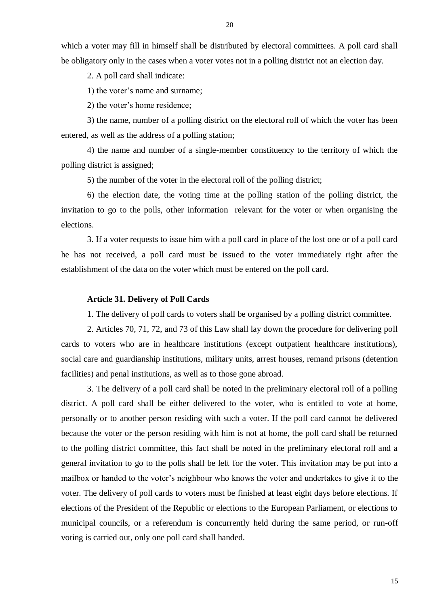20

which a voter may fill in himself shall be distributed by electoral committees. A poll card shall be obligatory only in the cases when a voter votes not in a polling district not an election day.

2. A poll card shall indicate:

1) the voter's name and surname;

2) the voter's home residence;

3) the name, number of a polling district on the electoral roll of which the voter has been entered, as well as the address of a polling station;

4) the name and number of a single-member constituency to the territory of which the polling district is assigned;

5) the number of the voter in the electoral roll of the polling district;

6) the election date, the voting time at the polling station of the polling district, the invitation to go to the polls, other information relevant for the voter or when organising the elections.

3. If a voter requests to issue him with a poll card in place of the lost one or of a poll card he has not received, a poll card must be issued to the voter immediately right after the establishment of the data on the voter which must be entered on the poll card.

### **Article 31. Delivery of Poll Cards**

1. The delivery of poll cards to voters shall be organised by a polling district committee.

2. Articles 70, 71, 72, and 73 of this Law shall lay down the procedure for delivering poll cards to voters who are in healthcare institutions (except outpatient healthcare institutions), social care and guardianship institutions, military units, arrest houses, remand prisons (detention facilities) and penal institutions, as well as to those gone abroad.

3. The delivery of a poll card shall be noted in the preliminary electoral roll of a polling district. A poll card shall be either delivered to the voter, who is entitled to vote at home, personally or to another person residing with such a voter. If the poll card cannot be delivered because the voter or the person residing with him is not at home, the poll card shall be returned to the polling district committee, this fact shall be noted in the preliminary electoral roll and a general invitation to go to the polls shall be left for the voter. This invitation may be put into a mailbox or handed to the voter's neighbour who knows the voter and undertakes to give it to the voter. The delivery of poll cards to voters must be finished at least eight days before elections. If elections of the President of the Republic or elections to the European Parliament, or elections to municipal councils, or a referendum is concurrently held during the same period, or run-off voting is carried out, only one poll card shall handed.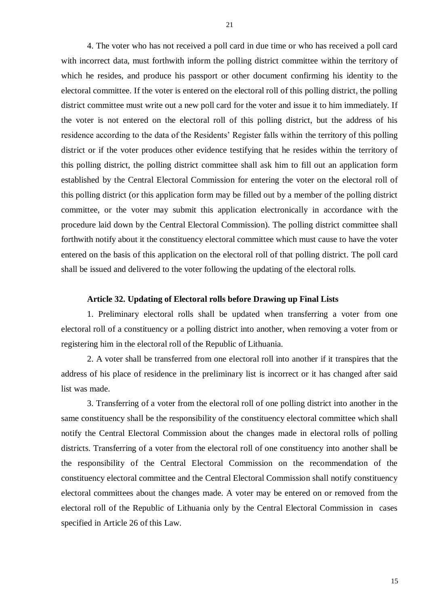4. The voter who has not received a poll card in due time or who has received a poll card with incorrect data, must forthwith inform the polling district committee within the territory of which he resides, and produce his passport or other document confirming his identity to the electoral committee. If the voter is entered on the electoral roll of this polling district, the polling district committee must write out a new poll card for the voter and issue it to him immediately. If the voter is not entered on the electoral roll of this polling district, but the address of his residence according to the data of the Residents' Register falls within the territory of this polling district or if the voter produces other evidence testifying that he resides within the territory of this polling district, the polling district committee shall ask him to fill out an application form established by the Central Electoral Commission for entering the voter on the electoral roll of this polling district (or this application form may be filled out by a member of the polling district committee, or the voter may submit this application electronically in accordance with the procedure laid down by the Central Electoral Commission). The polling district committee shall forthwith notify about it the constituency electoral committee which must cause to have the voter entered on the basis of this application on the electoral roll of that polling district. The poll card shall be issued and delivered to the voter following the updating of the electoral rolls.

## **Article 32. Updating of Electoral rolls before Drawing up Final Lists**

1. Preliminary electoral rolls shall be updated when transferring a voter from one electoral roll of a constituency or a polling district into another, when removing a voter from or registering him in the electoral roll of the Republic of Lithuania.

2. A voter shall be transferred from one electoral roll into another if it transpires that the address of his place of residence in the preliminary list is incorrect or it has changed after said list was made.

3. Transferring of a voter from the electoral roll of one polling district into another in the same constituency shall be the responsibility of the constituency electoral committee which shall notify the Central Electoral Commission about the changes made in electoral rolls of polling districts. Transferring of a voter from the electoral roll of one constituency into another shall be the responsibility of the Central Electoral Commission on the recommendation of the constituency electoral committee and the Central Electoral Commission shall notify constituency electoral committees about the changes made. A voter may be entered on or removed from the electoral roll of the Republic of Lithuania only by the Central Electoral Commission in cases specified in Article 26 of this Law.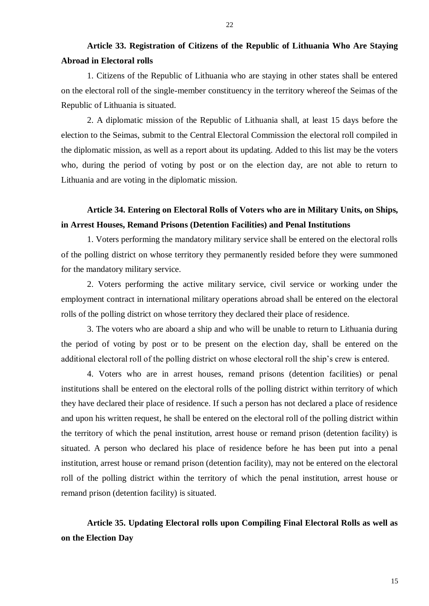# **Article 33. Registration of Citizens of the Republic of Lithuania Who Are Staying Abroad in Electoral rolls**

1. Citizens of the Republic of Lithuania who are staying in other states shall be entered on the electoral roll of the single-member constituency in the territory whereof the Seimas of the Republic of Lithuania is situated.

2. A diplomatic mission of the Republic of Lithuania shall, at least 15 days before the election to the Seimas, submit to the Central Electoral Commission the electoral roll compiled in the diplomatic mission, as well as a report about its updating. Added to this list may be the voters who, during the period of voting by post or on the election day, are not able to return to Lithuania and are voting in the diplomatic mission.

# **Article 34. Entering on Electoral Rolls of Voters who are in Military Units, on Ships, in Arrest Houses, Remand Prisons (Detention Facilities) and Penal Institutions**

1. Voters performing the mandatory military service shall be entered on the electoral rolls of the polling district on whose territory they permanently resided before they were summoned for the mandatory military service.

2. Voters performing the active military service, civil service or working under the employment contract in international military operations abroad shall be entered on the electoral rolls of the polling district on whose territory they declared their place of residence.

3. The voters who are aboard a ship and who will be unable to return to Lithuania during the period of voting by post or to be present on the election day, shall be entered on the additional electoral roll of the polling district on whose electoral roll the ship's crew is entered.

4. Voters who are in arrest houses, remand prisons (detention facilities) or penal institutions shall be entered on the electoral rolls of the polling district within territory of which they have declared their place of residence. If such a person has not declared a place of residence and upon his written request, he shall be entered on the electoral roll of the polling district within the territory of which the penal institution, arrest house or remand prison (detention facility) is situated. A person who declared his place of residence before he has been put into a penal institution, arrest house or remand prison (detention facility), may not be entered on the electoral roll of the polling district within the territory of which the penal institution, arrest house or remand prison (detention facility) is situated.

# **Article 35. Updating Electoral rolls upon Compiling Final Electoral Rolls as well as on the Election Day**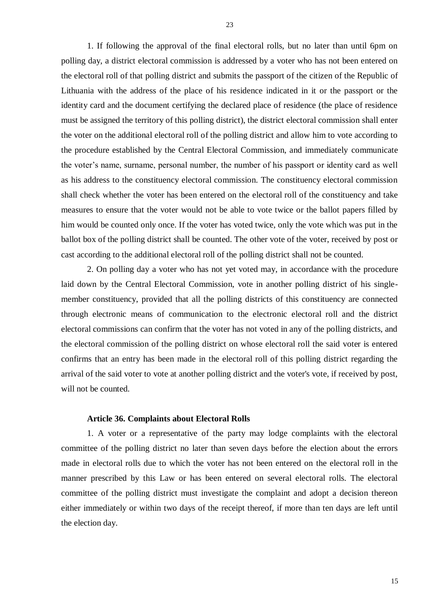1. If following the approval of the final electoral rolls, but no later than until 6pm on polling day, a district electoral commission is addressed by a voter who has not been entered on the electoral roll of that polling district and submits the passport of the citizen of the Republic of Lithuania with the address of the place of his residence indicated in it or the passport or the identity card and the document certifying the declared place of residence (the place of residence must be assigned the territory of this polling district), the district electoral commission shall enter the voter on the additional electoral roll of the polling district and allow him to vote according to the procedure established by the Central Electoral Commission, and immediately communicate the voter's name, surname, personal number, the number of his passport or identity card as well as his address to the constituency electoral commission. The constituency electoral commission shall check whether the voter has been entered on the electoral roll of the constituency and take measures to ensure that the voter would not be able to vote twice or the ballot papers filled by him would be counted only once. If the voter has voted twice, only the vote which was put in the ballot box of the polling district shall be counted. The other vote of the voter, received by post or cast according to the additional electoral roll of the polling district shall not be counted.

2. On polling day a voter who has not yet voted may, in accordance with the procedure laid down by the Central Electoral Commission, vote in another polling district of his singlemember constituency, provided that all the polling districts of this constituency are connected through electronic means of communication to the electronic electoral roll and the district electoral commissions can confirm that the voter has not voted in any of the polling districts, and the electoral commission of the polling district on whose electoral roll the said voter is entered confirms that an entry has been made in the electoral roll of this polling district regarding the arrival of the said voter to vote at another polling district and the voter's vote, if received by post, will not be counted.

### **Article 36. Complaints about Electoral Rolls**

1. A voter or a representative of the party may lodge complaints with the electoral committee of the polling district no later than seven days before the election about the errors made in electoral rolls due to which the voter has not been entered on the electoral roll in the manner prescribed by this Law or has been entered on several electoral rolls. The electoral committee of the polling district must investigate the complaint and adopt a decision thereon either immediately or within two days of the receipt thereof, if more than ten days are left until the election day.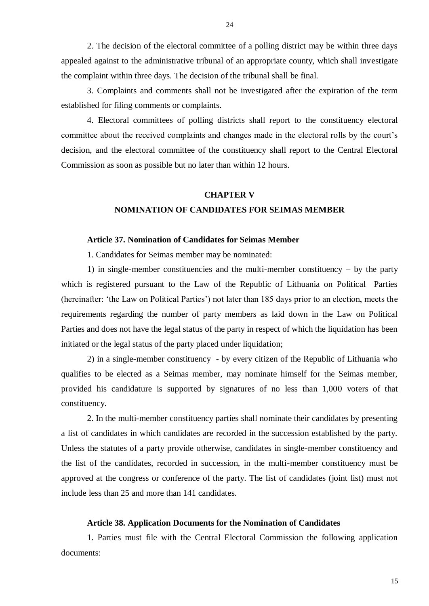2. The decision of the electoral committee of a polling district may be within three days appealed against to the administrative tribunal of an appropriate county, which shall investigate the complaint within three days. The decision of the tribunal shall be final.

3. Complaints and comments shall not be investigated after the expiration of the term established for filing comments or complaints.

4. Electoral committees of polling districts shall report to the constituency electoral committee about the received complaints and changes made in the electoral rolls by the court's decision, and the electoral committee of the constituency shall report to the Central Electoral Commission as soon as possible but no later than within 12 hours.

### **CHAPTER V**

# **NOMINATION OF CANDIDATES FOR SEIMAS MEMBER**

#### **Article 37. Nomination of Candidates for Seimas Member**

1. Candidates for Seimas member may be nominated:

1) in single-member constituencies and the multi-member constituency – by the party which is registered pursuant to the Law of the Republic of Lithuania on Political Parties (hereinafter: 'the Law on Political Parties') not later than 185 days prior to an election, meets the requirements regarding the number of party members as laid down in the Law on Political Parties and does not have the legal status of the party in respect of which the liquidation has been initiated or the legal status of the party placed under liquidation;

2) in a single-member constituency - by every citizen of the Republic of Lithuania who qualifies to be elected as a Seimas member, may nominate himself for the Seimas member, provided his candidature is supported by signatures of no less than 1,000 voters of that constituency.

2. In the multi-member constituency parties shall nominate their candidates by presenting a list of candidates in which candidates are recorded in the succession established by the party. Unless the statutes of a party provide otherwise, candidates in single-member constituency and the list of the candidates, recorded in succession, in the multi-member constituency must be approved at the congress or conference of the party. The list of candidates (joint list) must not include less than 25 and more than 141 candidates.

#### **Article 38. Application Documents for the Nomination of Candidates**

1. Parties must file with the Central Electoral Commission the following application documents:

24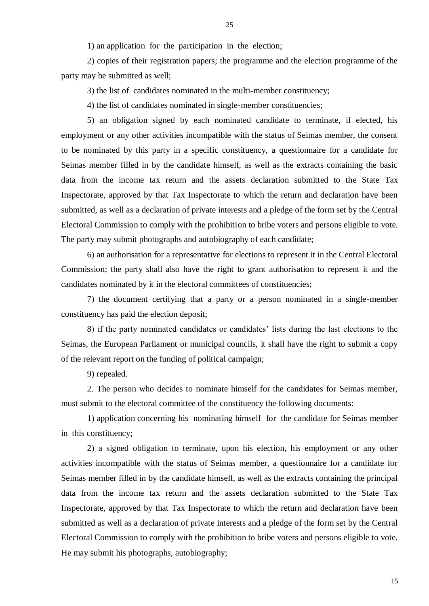1) an application for the participation in the election;

2) copies of their registration papers; the programme and the election programme of the party may be submitted as well;

3) the list of candidates nominated in the multi-member constituency;

4) the list of candidates nominated in single-member constituencies;

5) an obligation signed by each nominated candidate to terminate, if elected, his employment or any other activities incompatible with the status of Seimas member, the consent to be nominated by this party in a specific constituency, a questionnaire for a candidate for Seimas member filled in by the candidate himself, as well as the extracts containing the basic data from the income tax return and the assets declaration submitted to the State Tax Inspectorate, approved by that Tax Inspectorate to which the return and declaration have been submitted, as well as a declaration of private interests and a pledge of the form set by the Central Electoral Commission to comply with the prohibition to bribe voters and persons eligible to vote. The party may submit photographs and autobiography of each candidate;

6) an authorisation for a representative for elections to represent it in the Central Electoral Commission; the party shall also have the right to grant authorisation to represent it and the candidates nominated by it in the electoral committees of constituencies;

7) the document certifying that a party or a person nominated in a single-member constituency has paid the election deposit;

8) if the party nominated candidates or candidates' lists during the last elections to the Seimas, the European Parliament or municipal councils, it shall have the right to submit a copy of the relevant report on the funding of political campaign;

9) repealed.

2. The person who decides to nominate himself for the candidates for Seimas member, must submit to the electoral committee of the constituency the following documents:

1) application concerning his nominating himself for the candidate for Seimas member in this constituency;

2) a signed obligation to terminate, upon his election, his employment or any other activities incompatible with the status of Seimas member, a questionnaire for a candidate for Seimas member filled in by the candidate himself, as well as the extracts containing the principal data from the income tax return and the assets declaration submitted to the State Tax Inspectorate, approved by that Tax Inspectorate to which the return and declaration have been submitted as well as a declaration of private interests and a pledge of the form set by the Central Electoral Commission to comply with the prohibition to bribe voters and persons eligible to vote. He may submit his photographs, autobiography;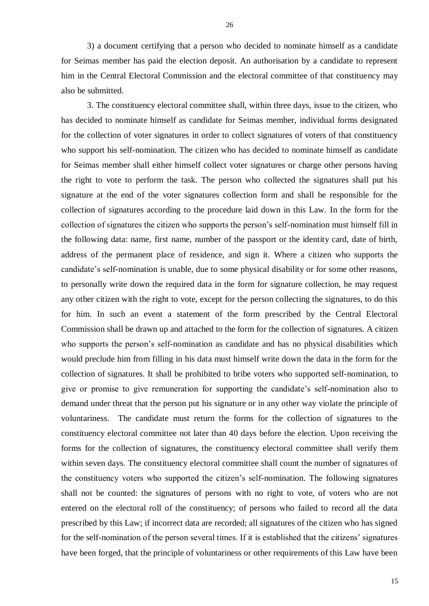3) a document certifying that a person who decided to nominate himself as a candidate for Seimas member has paid the election deposit. An authorisation by a candidate to represent him in the Central Electoral Commission and the electoral committee of that constituency may also be submitted.

3. The constituency electoral committee shall, within three days, issue to the citizen, who has decided to nominate himself as candidate for Seimas member, individual forms designated for the collection of voter signatures in order to collect signatures of voters of that constituency who support his self-nomination. The citizen who has decided to nominate himself as candidate for Seimas member shall either himself collect voter signatures or charge other persons having the right to vote to perform the task. The person who collected the signatures shall put his signature at the end of the voter signatures collection form and shall be responsible for the collection of signatures according to the procedure laid down in this Law. In the form for the collection of signatures the citizen who supports the person's self-nomination must himself fill in the following data: name, first name, number of the passport or the identity card, date of birth, address of the permanent place of residence, and sign it. Where a citizen who supports the candidate's self-nomination is unable, due to some physical disability or for some other reasons, to personally write down the required data in the form for signature collection, he may request any other citizen with the right to vote, except for the person collecting the signatures, to do this for him. In such an event a statement of the form prescribed by the Central Electoral Commission shall be drawn up and attached to the form for the collection of signatures. A citizen who supports the person's self-nomination as candidate and has no physical disabilities which would preclude him from filling in his data must himself write down the data in the form for the collection of signatures. It shall be prohibited to bribe voters who supported self-nomination, to give or promise to give remuneration for supporting the candidate's self-nomination also to demand under threat that the person put his signature or in any other way violate the principle of voluntariness. The candidate must return the forms for the collection of signatures to the constituency electoral committee not later than 40 days before the election. Upon receiving the forms for the collection of signatures, the constituency electoral committee shall verify them within seven days. The constituency electoral committee shall count the number of signatures of the constituency voters who supported the citizen's self-nomination. The following signatures shall not be counted: the signatures of persons with no right to vote, of voters who are not entered on the electoral roll of the constituency; of persons who failed to record all the data prescribed by this Law; if incorrect data are recorded; all signatures of the citizen who has signed for the self-nomination of the person several times. If it is established that the citizens' signatures have been forged, that the principle of voluntariness or other requirements of this Law have been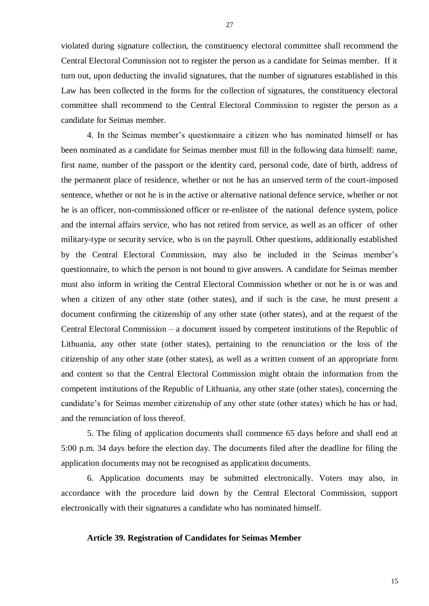violated during signature collection, the constituency electoral committee shall recommend the Central Electoral Commission not to register the person as a candidate for Seimas member. If it turn out, upon deducting the invalid signatures, that the number of signatures established in this Law has been collected in the forms for the collection of signatures, the constituency electoral committee shall recommend to the Central Electoral Commission to register the person as a candidate for Seimas member.

4. In the Seimas member's questionnaire a citizen who has nominated himself or has been nominated as a candidate for Seimas member must fill in the following data himself: name, first name, number of the passport or the identity card, personal code, date of birth, address of the permanent place of residence, whether or not he has an unserved term of the court-imposed sentence, whether or not he is in the active or alternative national defence service, whether or not he is an officer, non-commissioned officer or re-enlistee of the national defence system, police and the internal affairs service, who has not retired from service, as well as an officer of other military-type or security service, who is on the payroll. Other questions, additionally established by the Central Electoral Commission, may also be included in the Seimas member's questionnaire, to which the person is not bound to give answers. A candidate for Seimas member must also inform in writing the Central Electoral Commission whether or not he is or was and when a citizen of any other state (other states), and if such is the case, he must present a document confirming the citizenship of any other state (other states), and at the request of the Central Electoral Commission – a document issued by competent institutions of the Republic of Lithuania, any other state (other states), pertaining to the renunciation or the loss of the citizenship of any other state (other states), as well as a written consent of an appropriate form and content so that the Central Electoral Commission might obtain the information from the competent institutions of the Republic of Lithuania, any other state (other states), concerning the candidate's for Seimas member citizenship of any other state (other states) which he has or had, and the renunciation of loss thereof.

5. The filing of application documents shall commence 65 days before and shall end at 5:00 p.m. 34 days before the election day. The documents filed after the deadline for filing the application documents may not be recognised as application documents.

6. Application documents may be submitted electronically. Voters may also, in accordance with the procedure laid down by the Central Electoral Commission, support electronically with their signatures a candidate who has nominated himself.

## **Article 39. Registration of Candidates for Seimas Member**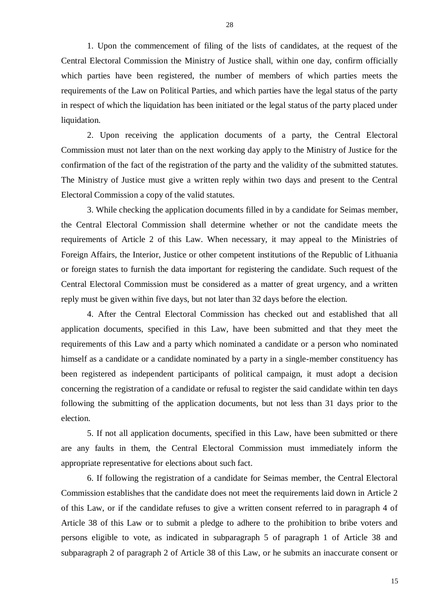1. Upon the commencement of filing of the lists of candidates, at the request of the Central Electoral Commission the Ministry of Justice shall, within one day, confirm officially which parties have been registered, the number of members of which parties meets the requirements of the Law on Political Parties, and which parties have the legal status of the party in respect of which the liquidation has been initiated or the legal status of the party placed under liquidation.

2. Upon receiving the application documents of a party, the Central Electoral Commission must not later than on the next working day apply to the Ministry of Justice for the confirmation of the fact of the registration of the party and the validity of the submitted statutes. The Ministry of Justice must give a written reply within two days and present to the Central Electoral Commission a copy of the valid statutes.

3. While checking the application documents filled in by a candidate for Seimas member, the Central Electoral Commission shall determine whether or not the candidate meets the requirements of Article 2 of this Law. When necessary, it may appeal to the Ministries of Foreign Affairs, the Interior, Justice or other competent institutions of the Republic of Lithuania or foreign states to furnish the data important for registering the candidate. Such request of the Central Electoral Commission must be considered as a matter of great urgency, and a written reply must be given within five days, but not later than 32 days before the election.

4. After the Central Electoral Commission has checked out and established that all application documents, specified in this Law, have been submitted and that they meet the requirements of this Law and a party which nominated a candidate or a person who nominated himself as a candidate or a candidate nominated by a party in a single-member constituency has been registered as independent participants of political campaign, it must adopt a decision concerning the registration of a candidate or refusal to register the said candidate within ten days following the submitting of the application documents, but not less than 31 days prior to the election.

5. If not all application documents, specified in this Law, have been submitted or there are any faults in them, the Central Electoral Commission must immediately inform the appropriate representative for elections about such fact.

6. If following the registration of a candidate for Seimas member, the Central Electoral Commission establishes that the candidate does not meet the requirements laid down in Article 2 of this Law, or if the candidate refuses to give a written consent referred to in paragraph 4 of Article 38 of this Law or to submit a pledge to adhere to the prohibition to bribe voters and persons eligible to vote, as indicated in subparagraph 5 of paragraph 1 of Article 38 and subparagraph 2 of paragraph 2 of Article 38 of this Law, or he submits an inaccurate consent or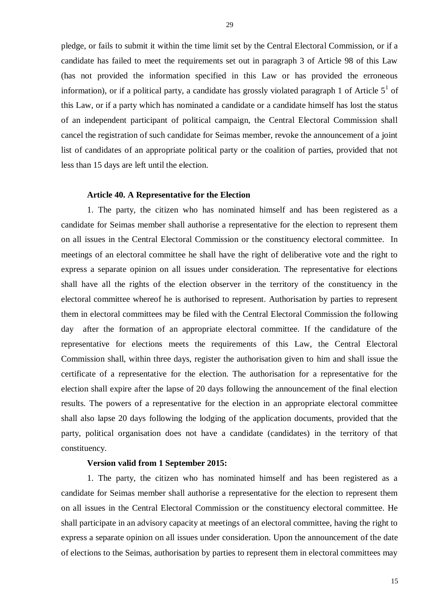pledge, or fails to submit it within the time limit set by the Central Electoral Commission, or if a candidate has failed to meet the requirements set out in paragraph 3 of Article 98 of this Law (has not provided the information specified in this Law or has provided the erroneous information), or if a political party, a candidate has grossly violated paragraph 1 of Article  $5<sup>1</sup>$  of this Law, or if a party which has nominated a candidate or a candidate himself has lost the status of an independent participant of political campaign, the Central Electoral Commission shall cancel the registration of such candidate for Seimas member, revoke the announcement of a joint list of candidates of an appropriate political party or the coalition of parties, provided that not less than 15 days are left until the election.

#### **Article 40. A Representative for the Election**

1. The party, the citizen who has nominated himself and has been registered as a candidate for Seimas member shall authorise a representative for the election to represent them on all issues in the Central Electoral Commission or the constituency electoral committee. In meetings of an electoral committee he shall have the right of deliberative vote and the right to express a separate opinion on all issues under consideration. The representative for elections shall have all the rights of the election observer in the territory of the constituency in the electoral committee whereof he is authorised to represent. Authorisation by parties to represent them in electoral committees may be filed with the Central Electoral Commission the following day after the formation of an appropriate electoral committee. If the candidature of the representative for elections meets the requirements of this Law, the Central Electoral Commission shall, within three days, register the authorisation given to him and shall issue the certificate of a representative for the election. The authorisation for a representative for the election shall expire after the lapse of 20 days following the announcement of the final election results. The powers of a representative for the election in an appropriate electoral committee shall also lapse 20 days following the lodging of the application documents, provided that the party, political organisation does not have a candidate (candidates) in the territory of that constituency.

### **Version valid from 1 September 2015:**

1. The party, the citizen who has nominated himself and has been registered as a candidate for Seimas member shall authorise a representative for the election to represent them on all issues in the Central Electoral Commission or the constituency electoral committee. He shall participate in an advisory capacity at meetings of an electoral committee, having the right to express a separate opinion on all issues under consideration. Upon the announcement of the date of elections to the Seimas, authorisation by parties to represent them in electoral committees may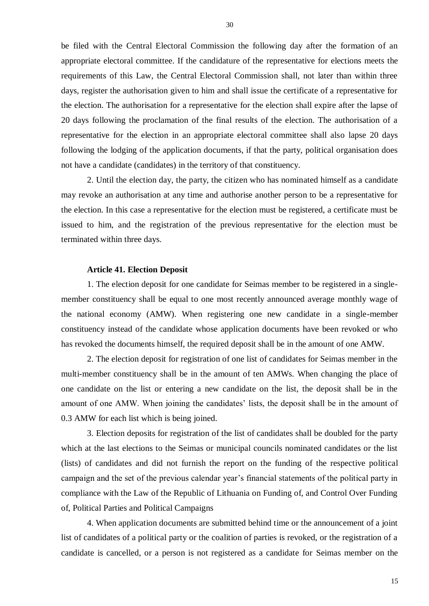be filed with the Central Electoral Commission the following day after the formation of an appropriate electoral committee. If the candidature of the representative for elections meets the requirements of this Law, the Central Electoral Commission shall, not later than within three days, register the authorisation given to him and shall issue the certificate of a representative for the election. The authorisation for a representative for the election shall expire after the lapse of 20 days following the proclamation of the final results of the election. The authorisation of a representative for the election in an appropriate electoral committee shall also lapse 20 days following the lodging of the application documents, if that the party, political organisation does not have a candidate (candidates) in the territory of that constituency.

2. Until the election day, the party, the citizen who has nominated himself as a candidate may revoke an authorisation at any time and authorise another person to be a representative for the election. In this case a representative for the election must be registered, a certificate must be issued to him, and the registration of the previous representative for the election must be terminated within three days.

### **Article 41. Election Deposit**

1. The election deposit for one candidate for Seimas member to be registered in a singlemember constituency shall be equal to one most recently announced average monthly wage of the national economy (AMW). When registering one new candidate in a single-member constituency instead of the candidate whose application documents have been revoked or who has revoked the documents himself, the required deposit shall be in the amount of one AMW.

2. The election deposit for registration of one list of candidates for Seimas member in the multi-member constituency shall be in the amount of ten AMWs. When changing the place of one candidate on the list or entering a new candidate on the list, the deposit shall be in the amount of one AMW. When joining the candidates' lists, the deposit shall be in the amount of 0.3 AMW for each list which is being joined.

3. Election deposits for registration of the list of candidates shall be doubled for the party which at the last elections to the Seimas or municipal councils nominated candidates or the list (lists) of candidates and did not furnish the report on the funding of the respective political campaign and the set of the previous calendar year's financial statements of the political party in compliance with the Law of the Republic of Lithuania on Funding of, and Control Over Funding of, Political Parties and Political Campaigns

4. When application documents are submitted behind time or the announcement of a joint list of candidates of a political party or the coalition of parties is revoked, or the registration of a candidate is cancelled, or a person is not registered as a candidate for Seimas member on the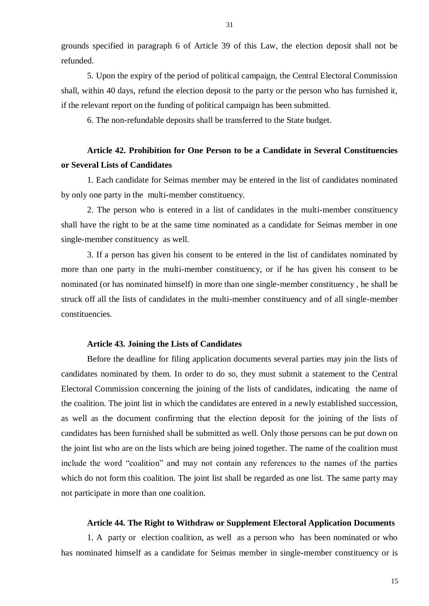grounds specified in paragraph 6 of Article 39 of this Law, the election deposit shall not be refunded.

5. Upon the expiry of the period of political campaign, the Central Electoral Commission shall, within 40 days, refund the election deposit to the party or the person who has furnished it, if the relevant report on the funding of political campaign has been submitted.

6. The non-refundable deposits shall be transferred to the State budget.

# **Article 42. Prohibition for One Person to be a Candidate in Several Constituencies or Several Lists of Candidates**

1. Each candidate for Seimas member may be entered in the list of candidates nominated by only one party in the multi-member constituency.

2. The person who is entered in a list of candidates in the multi-member constituency shall have the right to be at the same time nominated as a candidate for Seimas member in one single-member constituency as well.

3. If a person has given his consent to be entered in the list of candidates nominated by more than one party in the multi-member constituency, or if he has given his consent to be nominated (or has nominated himself) in more than one single-member constituency , he shall be struck off all the lists of candidates in the multi-member constituency and of all single-member constituencies.

# **Article 43. Joining the Lists of Candidates**

Before the deadline for filing application documents several parties may join the lists of candidates nominated by them. In order to do so, they must submit a statement to the Central Electoral Commission concerning the joining of the lists of candidates, indicating the name of the coalition. The joint list in which the candidates are entered in a newly established succession, as well as the document confirming that the election deposit for the joining of the lists of candidates has been furnished shall be submitted as well. Only those persons can be put down on the joint list who are on the lists which are being joined together. The name of the coalition must include the word "coalition" and may not contain any references to the names of the parties which do not form this coalition. The joint list shall be regarded as one list. The same party may not participate in more than one coalition.

### **Article 44. The Right to Withdraw or Supplement Electoral Application Documents**

1. A party or election coalition, as well as a person who has been nominated or who has nominated himself as a candidate for Seimas member in single-member constituency or is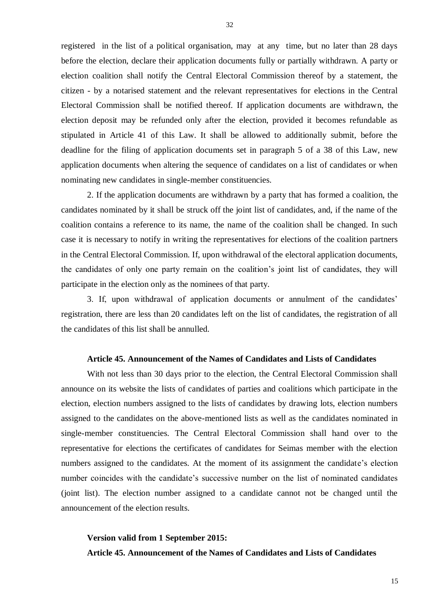registered in the list of a political organisation, may at any time, but no later than 28 days before the election, declare their application documents fully or partially withdrawn. A party or election coalition shall notify the Central Electoral Commission thereof by a statement, the citizen - by a notarised statement and the relevant representatives for elections in the Central Electoral Commission shall be notified thereof. If application documents are withdrawn, the election deposit may be refunded only after the election, provided it becomes refundable as stipulated in Article 41 of this Law. It shall be allowed to additionally submit, before the deadline for the filing of application documents set in paragraph 5 of a 38 of this Law, new application documents when altering the sequence of candidates on a list of candidates or when nominating new candidates in single-member constituencies.

2. If the application documents are withdrawn by a party that has formed a coalition, the candidates nominated by it shall be struck off the joint list of candidates, and, if the name of the coalition contains a reference to its name, the name of the coalition shall be changed. In such case it is necessary to notify in writing the representatives for elections of the coalition partners in the Central Electoral Commission. If, upon withdrawal of the electoral application documents, the candidates of only one party remain on the coalition's joint list of candidates, they will participate in the election only as the nominees of that party.

3. If, upon withdrawal of application documents or annulment of the candidates' registration, there are less than 20 candidates left on the list of candidates, the registration of all the candidates of this list shall be annulled.

### **Article 45. Announcement of the Names of Candidates and Lists of Candidates**

With not less than 30 days prior to the election, the Central Electoral Commission shall announce on its website the lists of candidates of parties and coalitions which participate in the election, election numbers assigned to the lists of candidates by drawing lots, election numbers assigned to the candidates on the above-mentioned lists as well as the candidates nominated in single-member constituencies. The Central Electoral Commission shall hand over to the representative for elections the certificates of candidates for Seimas member with the election numbers assigned to the candidates. At the moment of its assignment the candidate's election number coincides with the candidate's successive number on the list of nominated candidates (joint list). The election number assigned to a candidate cannot not be changed until the announcement of the election results.

# **Version valid from 1 September 2015: Article 45. Announcement of the Names of Candidates and Lists of Candidates**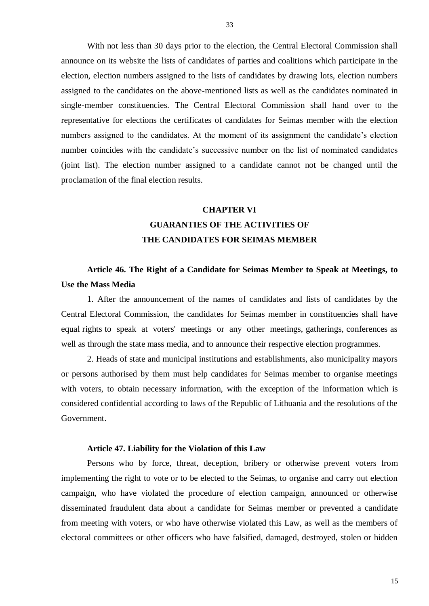With not less than 30 days prior to the election, the Central Electoral Commission shall announce on its website the lists of candidates of parties and coalitions which participate in the election, election numbers assigned to the lists of candidates by drawing lots, election numbers assigned to the candidates on the above-mentioned lists as well as the candidates nominated in single-member constituencies. The Central Electoral Commission shall hand over to the representative for elections the certificates of candidates for Seimas member with the election numbers assigned to the candidates. At the moment of its assignment the candidate's election number coincides with the candidate's successive number on the list of nominated candidates (joint list). The election number assigned to a candidate cannot not be changed until the proclamation of the final election results.

# **CHAPTER VI**

# **GUARANTIES OF THE ACTIVITIES OF THE CANDIDATES FOR SEIMAS MEMBER**

# **Article 46. The Right of a Candidate for Seimas Member to Speak at Meetings, to Use the Mass Media**

1. After the announcement of the names of candidates and lists of candidates by the Central Electoral Commission, the candidates for Seimas member in constituencies shall have equal rights to speak at voters' meetings or any other meetings, gatherings, conferences as well as through the state mass media, and to announce their respective election programmes.

2. Heads of state and municipal institutions and establishments, also municipality mayors or persons authorised by them must help candidates for Seimas member to organise meetings with voters, to obtain necessary information, with the exception of the information which is considered confidential according to laws of the Republic of Lithuania and the resolutions of the Government.

### **Article 47. Liability for the Violation of this Law**

Persons who by force, threat, deception, bribery or otherwise prevent voters from implementing the right to vote or to be elected to the Seimas, to organise and carry out election campaign, who have violated the procedure of election campaign, announced or otherwise disseminated fraudulent data about a candidate for Seimas member or prevented a candidate from meeting with voters, or who have otherwise violated this Law, as well as the members of electoral committees or other officers who have falsified, damaged, destroyed, stolen or hidden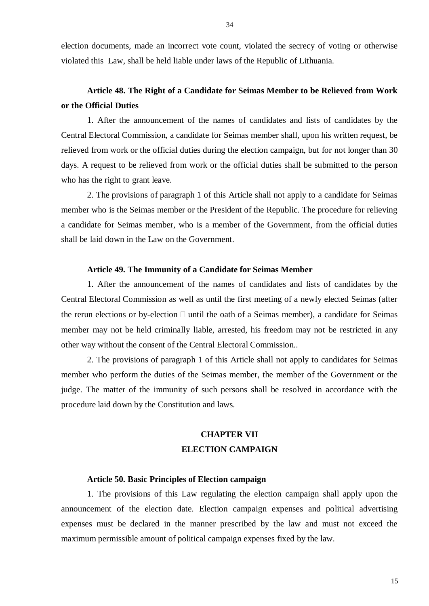election documents, made an incorrect vote count, violated the secrecy of voting or otherwise violated this Law, shall be held liable under laws of the Republic of Lithuania.

# **Article 48. The Right of a Candidate for Seimas Member to be Relieved from Work or the Official Duties**

1. After the announcement of the names of candidates and lists of candidates by the Central Electoral Commission, a candidate for Seimas member shall, upon his written request, be relieved from work or the official duties during the election campaign, but for not longer than 30 days. A request to be relieved from work or the official duties shall be submitted to the person who has the right to grant leave.

2. The provisions of paragraph 1 of this Article shall not apply to a candidate for Seimas member who is the Seimas member or the President of the Republic. The procedure for relieving a candidate for Seimas member, who is a member of the Government, from the official duties shall be laid down in the Law on the Government.

### **Article 49. The Immunity of a Candidate for Seimas Member**

1. After the announcement of the names of candidates and lists of candidates by the Central Electoral Commission as well as until the first meeting of a newly elected Seimas (after the rerun elections or by-election  $\Box$  until the oath of a Seimas member), a candidate for Seimas member may not be held criminally liable, arrested, his freedom may not be restricted in any other way without the consent of the Central Electoral Commission..

2. The provisions of paragraph 1 of this Article shall not apply to candidates for Seimas member who perform the duties of the Seimas member, the member of the Government or the judge. The matter of the immunity of such persons shall be resolved in accordance with the procedure laid down by the Constitution and laws.

# **CHAPTER VII ELECTION CAMPAIGN**

## **Article 50. Basic Principles of Election campaign**

1. The provisions of this Law regulating the election campaign shall apply upon the announcement of the election date. Election campaign expenses and political advertising expenses must be declared in the manner prescribed by the law and must not exceed the maximum permissible amount of political campaign expenses fixed by the law.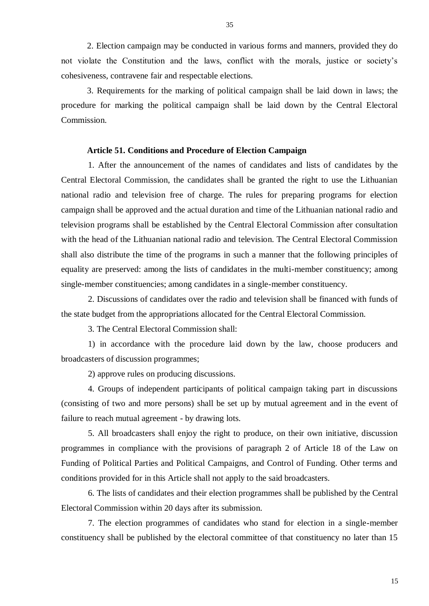2. Election campaign may be conducted in various forms and manners, provided they do not violate the Constitution and the laws, conflict with the morals, justice or society's cohesiveness, contravene fair and respectable elections.

3. Requirements for the marking of political campaign shall be laid down in laws; the procedure for marking the political campaign shall be laid down by the Central Electoral Commission.

#### **Article 51. Conditions and Procedure of Election Campaign**

1. After the announcement of the names of candidates and lists of candidates by the Central Electoral Commission, the candidates shall be granted the right to use the Lithuanian national radio and television free of charge. The rules for preparing programs for election campaign shall be approved and the actual duration and time of the Lithuanian national radio and television programs shall be established by the Central Electoral Commission after consultation with the head of the Lithuanian national radio and television. The Central Electoral Commission shall also distribute the time of the programs in such a manner that the following principles of equality are preserved: among the lists of candidates in the multi-member constituency; among single-member constituencies; among candidates in a single-member constituency.

2. Discussions of candidates over the radio and television shall be financed with funds of the state budget from the appropriations allocated for the Central Electoral Commission.

3. The Central Electoral Commission shall:

1) in accordance with the procedure laid down by the law, choose producers and broadcasters of discussion programmes;

2) approve rules on producing discussions.

4. Groups of independent participants of political campaign taking part in discussions (consisting of two and more persons) shall be set up by mutual agreement and in the event of failure to reach mutual agreement - by drawing lots.

5. All broadcasters shall enjoy the right to produce, on their own initiative, discussion programmes in compliance with the provisions of paragraph 2 of Article 18 of the Law on Funding of Political Parties and Political Campaigns, and Control of Funding. Other terms and conditions provided for in this Article shall not apply to the said broadcasters.

6. The lists of candidates and their election programmes shall be published by the Central Electoral Commission within 20 days after its submission.

7. The election programmes of candidates who stand for election in a single-member constituency shall be published by the electoral committee of that constituency no later than 15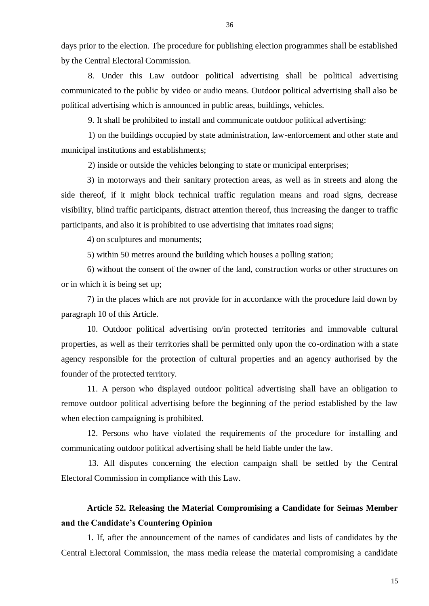days prior to the election. The procedure for publishing election programmes shall be established by the Central Electoral Commission.

8. Under this Law outdoor political advertising shall be political advertising communicated to the public by video or audio means. Outdoor political advertising shall also be political advertising which is announced in public areas, buildings, vehicles.

9. It shall be prohibited to install and communicate outdoor political advertising:

1) on the buildings occupied by state administration, law-enforcement and other state and municipal institutions and establishments;

2) inside or outside the vehicles belonging to state or municipal enterprises;

3) in motorways and their sanitary protection areas, as well as in streets and along the side thereof, if it might block technical traffic regulation means and road signs, decrease visibility, blind traffic participants, distract attention thereof, thus increasing the danger to traffic participants, and also it is prohibited to use advertising that imitates road signs;

4) on sculptures and monuments;

5) within 50 metres around the building which houses a polling station;

6) without the consent of the owner of the land, construction works or other structures on or in which it is being set up;

7) in the places which are not provide for in accordance with the procedure laid down by paragraph 10 of this Article.

10. Outdoor political advertising on/in protected territories and immovable cultural properties, as well as their territories shall be permitted only upon the co-ordination with a state agency responsible for the protection of cultural properties and an agency authorised by the founder of the protected territory.

11. A person who displayed outdoor political advertising shall have an obligation to remove outdoor political advertising before the beginning of the period established by the law when election campaigning is prohibited.

12. Persons who have violated the requirements of the procedure for installing and communicating outdoor political advertising shall be held liable under the law.

13. All disputes concerning the election campaign shall be settled by the Central Electoral Commission in compliance with this Law.

# **Article 52. Releasing the Material Compromising a Candidate for Seimas Member and the Candidate's Countering Opinion**

1. If, after the announcement of the names of candidates and lists of candidates by the Central Electoral Commission, the mass media release the material compromising a candidate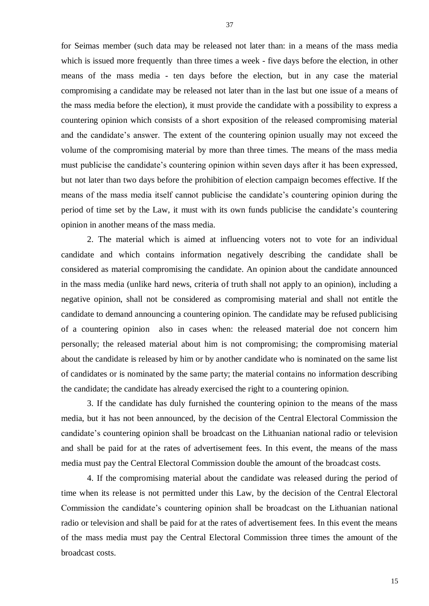for Seimas member (such data may be released not later than: in a means of the mass media which is issued more frequently than three times a week - five days before the election, in other means of the mass media - ten days before the election, but in any case the material compromising a candidate may be released not later than in the last but one issue of a means of the mass media before the election), it must provide the candidate with a possibility to express a countering opinion which consists of a short exposition of the released compromising material and the candidate's answer. The extent of the countering opinion usually may not exceed the volume of the compromising material by more than three times. The means of the mass media must publicise the candidate's countering opinion within seven days after it has been expressed, but not later than two days before the prohibition of election campaign becomes effective. If the means of the mass media itself cannot publicise the candidate's countering opinion during the period of time set by the Law, it must with its own funds publicise the candidate's countering opinion in another means of the mass media.

2. The material which is aimed at influencing voters not to vote for an individual candidate and which contains information negatively describing the candidate shall be considered as material compromising the candidate. An opinion about the candidate announced in the mass media (unlike hard news, criteria of truth shall not apply to an opinion), including a negative opinion, shall not be considered as compromising material and shall not entitle the candidate to demand announcing a countering opinion. The candidate may be refused publicising of a countering opinion also in cases when: the released material doe not concern him personally; the released material about him is not compromising; the compromising material about the candidate is released by him or by another candidate who is nominated on the same list of candidates or is nominated by the same party; the material contains no information describing the candidate; the candidate has already exercised the right to a countering opinion.

3. If the candidate has duly furnished the countering opinion to the means of the mass media, but it has not been announced, by the decision of the Central Electoral Commission the candidate's countering opinion shall be broadcast on the Lithuanian national radio or television and shall be paid for at the rates of advertisement fees. In this event, the means of the mass media must pay the Central Electoral Commission double the amount of the broadcast costs.

4. If the compromising material about the candidate was released during the period of time when its release is not permitted under this Law, by the decision of the Central Electoral Commission the candidate's countering opinion shall be broadcast on the Lithuanian national radio or television and shall be paid for at the rates of advertisement fees. In this event the means of the mass media must pay the Central Electoral Commission three times the amount of the broadcast costs.

37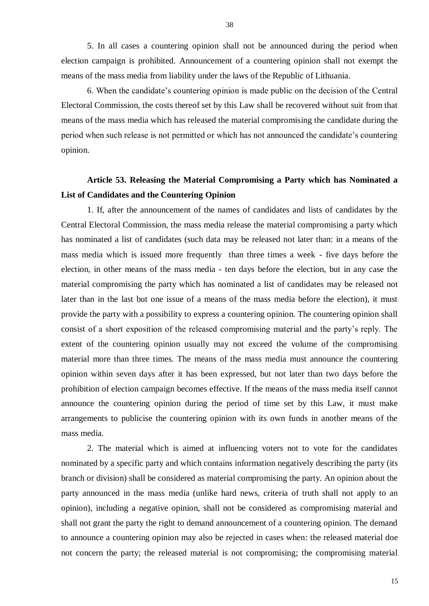5. In all cases a countering opinion shall not be announced during the period when election campaign is prohibited. Announcement of a countering opinion shall not exempt the means of the mass media from liability under the laws of the Republic of Lithuania.

6. When the candidate's countering opinion is made public on the decision of the Central Electoral Commission, the costs thereof set by this Law shall be recovered without suit from that means of the mass media which has released the material compromising the candidate during the period when such release is not permitted or which has not announced the candidate's countering opinion.

# **Article 53. Releasing the Material Compromising a Party which has Nominated a List of Candidates and the Countering Opinion**

1. If, after the announcement of the names of candidates and lists of candidates by the Central Electoral Commission, the mass media release the material compromising a party which has nominated a list of candidates (such data may be released not later than: in a means of the mass media which is issued more frequently than three times a week - five days before the election, in other means of the mass media - ten days before the election, but in any case the material compromising the party which has nominated a list of candidates may be released not later than in the last but one issue of a means of the mass media before the election), it must provide the party with a possibility to express a countering opinion. The countering opinion shall consist of a short exposition of the released compromising material and the party's reply. The extent of the countering opinion usually may not exceed the volume of the compromising material more than three times. The means of the mass media must announce the countering opinion within seven days after it has been expressed, but not later than two days before the prohibition of election campaign becomes effective. If the means of the mass media itself cannot announce the countering opinion during the period of time set by this Law, it must make arrangements to publicise the countering opinion with its own funds in another means of the mass media.

2. The material which is aimed at influencing voters not to vote for the candidates nominated by a specific party and which contains information negatively describing the party (its branch or division) shall be considered as material compromising the party. An opinion about the party announced in the mass media (unlike hard news, criteria of truth shall not apply to an opinion), including a negative opinion, shall not be considered as compromising material and shall not grant the party the right to demand announcement of a countering opinion. The demand to announce a countering opinion may also be rejected in cases when: the released material doe not concern the party; the released material is not compromising; the compromising material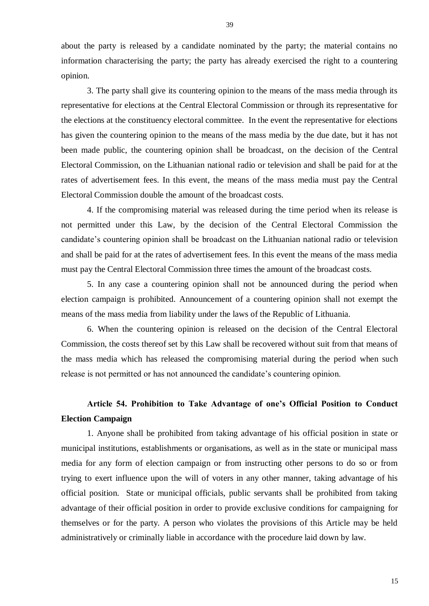about the party is released by a candidate nominated by the party; the material contains no information characterising the party; the party has already exercised the right to a countering opinion.

3. The party shall give its countering opinion to the means of the mass media through its representative for elections at the Central Electoral Commission or through its representative for the elections at the constituency electoral committee. In the event the representative for elections has given the countering opinion to the means of the mass media by the due date, but it has not been made public, the countering opinion shall be broadcast, on the decision of the Central Electoral Commission, on the Lithuanian national radio or television and shall be paid for at the rates of advertisement fees. In this event, the means of the mass media must pay the Central Electoral Commission double the amount of the broadcast costs.

4. If the compromising material was released during the time period when its release is not permitted under this Law, by the decision of the Central Electoral Commission the candidate's countering opinion shall be broadcast on the Lithuanian national radio or television and shall be paid for at the rates of advertisement fees. In this event the means of the mass media must pay the Central Electoral Commission three times the amount of the broadcast costs.

5. In any case a countering opinion shall not be announced during the period when election campaign is prohibited. Announcement of a countering opinion shall not exempt the means of the mass media from liability under the laws of the Republic of Lithuania.

6. When the countering opinion is released on the decision of the Central Electoral Commission, the costs thereof set by this Law shall be recovered without suit from that means of the mass media which has released the compromising material during the period when such release is not permitted or has not announced the candidate's countering opinion.

# **Article 54. Prohibition to Take Advantage of one's Official Position to Conduct Election Campaign**

1. Anyone shall be prohibited from taking advantage of his official position in state or municipal institutions, establishments or organisations, as well as in the state or municipal mass media for any form of election campaign or from instructing other persons to do so or from trying to exert influence upon the will of voters in any other manner, taking advantage of his official position. State or municipal officials, public servants shall be prohibited from taking advantage of their official position in order to provide exclusive conditions for campaigning for themselves or for the party. A person who violates the provisions of this Article may be held administratively or criminally liable in accordance with the procedure laid down by law.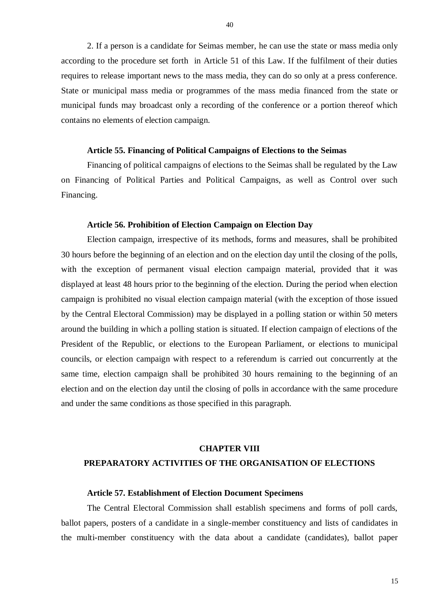2. If a person is a candidate for Seimas member, he can use the state or mass media only according to the procedure set forth in Article 51 of this Law. If the fulfilment of their duties requires to release important news to the mass media, they can do so only at a press conference. State or municipal mass media or programmes of the mass media financed from the state or municipal funds may broadcast only a recording of the conference or a portion thereof which contains no elements of election campaign.

### **Article 55. Financing of Political Campaigns of Elections to the Seimas**

Financing of political campaigns of elections to the Seimas shall be regulated by the Law on Financing of Political Parties and Political Campaigns, as well as Control over such Financing.

### **Article 56. Prohibition of Election Campaign on Election Day**

Election campaign, irrespective of its methods, forms and measures, shall be prohibited 30 hours before the beginning of an election and on the election day until the closing of the polls, with the exception of permanent visual election campaign material, provided that it was displayed at least 48 hours prior to the beginning of the election. During the period when election campaign is prohibited no visual election campaign material (with the exception of those issued by the Central Electoral Commission) may be displayed in a polling station or within 50 meters around the building in which a polling station is situated. If election campaign of elections of the President of the Republic, or elections to the European Parliament, or elections to municipal councils, or election campaign with respect to a referendum is carried out concurrently at the same time, election campaign shall be prohibited 30 hours remaining to the beginning of an election and on the election day until the closing of polls in accordance with the same procedure and under the same conditions as those specified in this paragraph.

# **CHAPTER VIII PREPARATORY ACTIVITIES OF THE ORGANISATION OF ELECTIONS**

### **Article 57. Establishment of Election Document Specimens**

The Central Electoral Commission shall establish specimens and forms of poll cards, ballot papers, posters of a candidate in a single-member constituency and lists of candidates in the multi-member constituency with the data about a candidate (candidates), ballot paper

40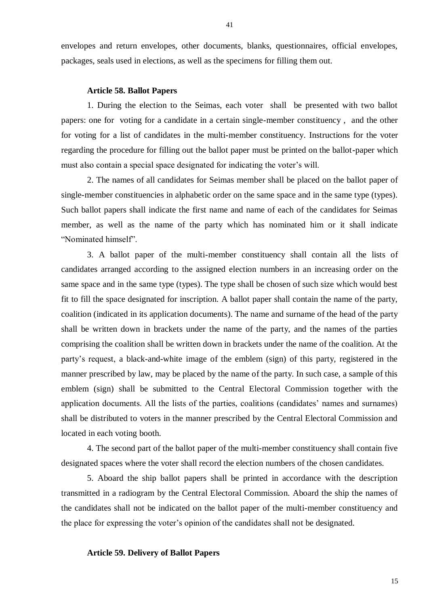envelopes and return envelopes, other documents, blanks, questionnaires, official envelopes, packages, seals used in elections, as well as the specimens for filling them out.

### **Article 58. Ballot Papers**

1. During the election to the Seimas, each voter shall be presented with two ballot papers: one for voting for a candidate in a certain single-member constituency , and the other for voting for a list of candidates in the multi-member constituency. Instructions for the voter regarding the procedure for filling out the ballot paper must be printed on the ballot-paper which must also contain a special space designated for indicating the voter's will.

2. The names of all candidates for Seimas member shall be placed on the ballot paper of single-member constituencies in alphabetic order on the same space and in the same type (types). Such ballot papers shall indicate the first name and name of each of the candidates for Seimas member, as well as the name of the party which has nominated him or it shall indicate "Nominated himself".

3. A ballot paper of the multi-member constituency shall contain all the lists of candidates arranged according to the assigned election numbers in an increasing order on the same space and in the same type (types). The type shall be chosen of such size which would best fit to fill the space designated for inscription. A ballot paper shall contain the name of the party, coalition (indicated in its application documents). The name and surname of the head of the party shall be written down in brackets under the name of the party, and the names of the parties comprising the coalition shall be written down in brackets under the name of the coalition. At the party's request, a black-and-white image of the emblem (sign) of this party, registered in the manner prescribed by law, may be placed by the name of the party. In such case, a sample of this emblem (sign) shall be submitted to the Central Electoral Commission together with the application documents. All the lists of the parties, coalitions (candidates' names and surnames) shall be distributed to voters in the manner prescribed by the Central Electoral Commission and located in each voting booth.

4. The second part of the ballot paper of the multi-member constituency shall contain five designated spaces where the voter shall record the election numbers of the chosen candidates.

5. Aboard the ship ballot papers shall be printed in accordance with the description transmitted in a radiogram by the Central Electoral Commission. Aboard the ship the names of the candidates shall not be indicated on the ballot paper of the multi-member constituency and the place for expressing the voter's opinion of the candidates shall not be designated.

### **Article 59. Delivery of Ballot Papers**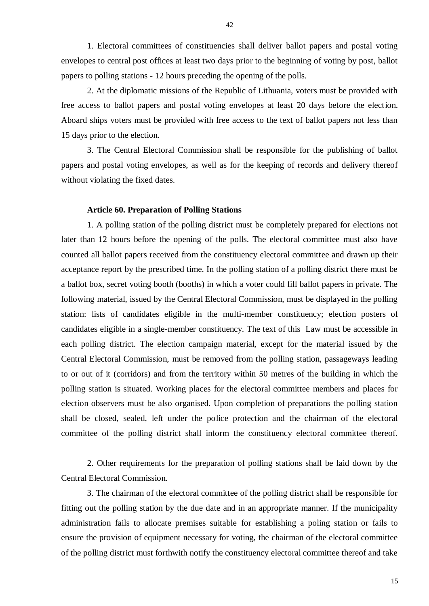1. Electoral committees of constituencies shall deliver ballot papers and postal voting envelopes to central post offices at least two days prior to the beginning of voting by post, ballot papers to polling stations - 12 hours preceding the opening of the polls.

2. At the diplomatic missions of the Republic of Lithuania, voters must be provided with free access to ballot papers and postal voting envelopes at least 20 days before the election. Aboard ships voters must be provided with free access to the text of ballot papers not less than 15 days prior to the election.

3. The Central Electoral Commission shall be responsible for the publishing of ballot papers and postal voting envelopes, as well as for the keeping of records and delivery thereof without violating the fixed dates.

### **Article 60. Preparation of Polling Stations**

1. A polling station of the polling district must be completely prepared for elections not later than 12 hours before the opening of the polls. The electoral committee must also have counted all ballot papers received from the constituency electoral committee and drawn up their acceptance report by the prescribed time. In the polling station of a polling district there must be a ballot box, secret voting booth (booths) in which a voter could fill ballot papers in private. The following material, issued by the Central Electoral Commission, must be displayed in the polling station: lists of candidates eligible in the multi-member constituency; election posters of candidates eligible in a single-member constituency. The text of this Law must be accessible in each polling district. The election campaign material, except for the material issued by the Central Electoral Commission, must be removed from the polling station, passageways leading to or out of it (corridors) and from the territory within 50 metres of the building in which the polling station is situated. Working places for the electoral committee members and places for election observers must be also organised. Upon completion of preparations the polling station shall be closed, sealed, left under the police protection and the chairman of the electoral committee of the polling district shall inform the constituency electoral committee thereof.

2. Other requirements for the preparation of polling stations shall be laid down by the Central Electoral Commission.

3. The chairman of the electoral committee of the polling district shall be responsible for fitting out the polling station by the due date and in an appropriate manner. If the municipality administration fails to allocate premises suitable for establishing a poling station or fails to ensure the provision of equipment necessary for voting, the chairman of the electoral committee of the polling district must forthwith notify the constituency electoral committee thereof and take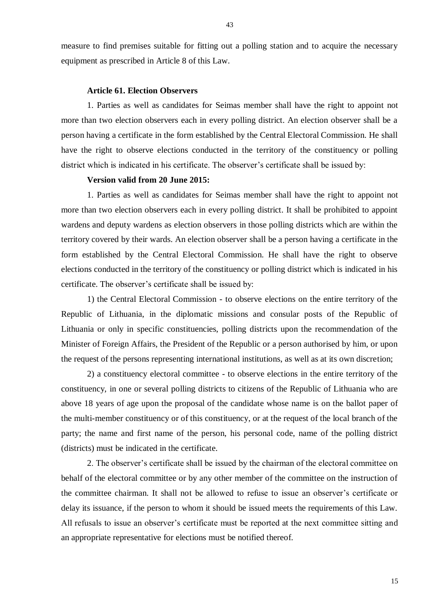measure to find premises suitable for fitting out a polling station and to acquire the necessary equipment as prescribed in Article 8 of this Law.

### **Article 61. Election Observers**

1. Parties as well as candidates for Seimas member shall have the right to appoint not more than two election observers each in every polling district. An election observer shall be a person having a certificate in the form established by the Central Electoral Commission. He shall have the right to observe elections conducted in the territory of the constituency or polling district which is indicated in his certificate. The observer's certificate shall be issued by:

### **Version valid from 20 June 2015:**

1. Parties as well as candidates for Seimas member shall have the right to appoint not more than two election observers each in every polling district. It shall be prohibited to appoint wardens and deputy wardens as election observers in those polling districts which are within the territory covered by their wards. An election observer shall be a person having a certificate in the form established by the Central Electoral Commission. He shall have the right to observe elections conducted in the territory of the constituency or polling district which is indicated in his certificate. The observer's certificate shall be issued by:

1) the Central Electoral Commission - to observe elections on the entire territory of the Republic of Lithuania, in the diplomatic missions and consular posts of the Republic of Lithuania or only in specific constituencies, polling districts upon the recommendation of the Minister of Foreign Affairs, the President of the Republic or a person authorised by him, or upon the request of the persons representing international institutions, as well as at its own discretion;

2) a constituency electoral committee - to observe elections in the entire territory of the constituency, in one or several polling districts to citizens of the Republic of Lithuania who are above 18 years of age upon the proposal of the candidate whose name is on the ballot paper of the multi-member constituency or of this constituency, or at the request of the local branch of the party; the name and first name of the person, his personal code, name of the polling district (districts) must be indicated in the certificate.

2. The observer's certificate shall be issued by the chairman of the electoral committee on behalf of the electoral committee or by any other member of the committee on the instruction of the committee chairman. It shall not be allowed to refuse to issue an observer's certificate or delay its issuance, if the person to whom it should be issued meets the requirements of this Law. All refusals to issue an observer's certificate must be reported at the next committee sitting and an appropriate representative for elections must be notified thereof.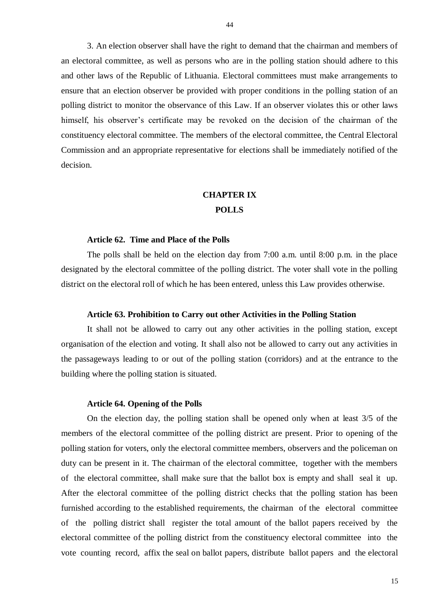3. An election observer shall have the right to demand that the chairman and members of an electoral committee, as well as persons who are in the polling station should adhere to this and other laws of the Republic of Lithuania. Electoral committees must make arrangements to ensure that an election observer be provided with proper conditions in the polling station of an polling district to monitor the observance of this Law. If an observer violates this or other laws himself, his observer's certificate may be revoked on the decision of the chairman of the constituency electoral committee. The members of the electoral committee, the Central Electoral Commission and an appropriate representative for elections shall be immediately notified of the decision.

### **CHAPTER IX POLLS**

#### **Article 62. Time and Place of the Polls**

The polls shall be held on the election day from 7:00 a.m. until 8:00 p.m. in the place designated by the electoral committee of the polling district. The voter shall vote in the polling district on the electoral roll of which he has been entered, unless this Law provides otherwise.

### **Article 63. Prohibition to Carry out other Activities in the Polling Station**

It shall not be allowed to carry out any other activities in the polling station, except organisation of the election and voting. It shall also not be allowed to carry out any activities in the passageways leading to or out of the polling station (corridors) and at the entrance to the building where the polling station is situated.

#### **Article 64. Opening of the Polls**

On the election day, the polling station shall be opened only when at least 3/5 of the members of the electoral committee of the polling district are present. Prior to opening of the polling station for voters, only the electoral committee members, observers and the policeman on duty can be present in it. The chairman of the electoral committee, together with the members of the electoral committee, shall make sure that the ballot box is empty and shall seal it up. After the electoral committee of the polling district checks that the polling station has been furnished according to the established requirements, the chairman of the electoral committee of the polling district shall register the total amount of the ballot papers received by the electoral committee of the polling district from the constituency electoral committee into the vote counting record, affix the seal on ballot papers, distribute ballot papers and the electoral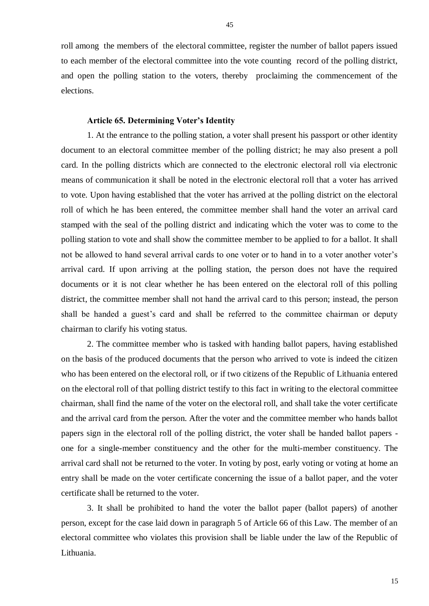roll among the members of the electoral committee, register the number of ballot papers issued to each member of the electoral committee into the vote counting record of the polling district, and open the polling station to the voters, thereby proclaiming the commencement of the elections.

### **Article 65. Determining Voter's Identity**

1. At the entrance to the polling station, a voter shall present his passport or other identity document to an electoral committee member of the polling district; he may also present a poll card. In the polling districts which are connected to the electronic electoral roll via electronic means of communication it shall be noted in the electronic electoral roll that a voter has arrived to vote. Upon having established that the voter has arrived at the polling district on the electoral roll of which he has been entered, the committee member shall hand the voter an arrival card stamped with the seal of the polling district and indicating which the voter was to come to the polling station to vote and shall show the committee member to be applied to for a ballot. It shall not be allowed to hand several arrival cards to one voter or to hand in to a voter another voter's arrival card. If upon arriving at the polling station, the person does not have the required documents or it is not clear whether he has been entered on the electoral roll of this polling district, the committee member shall not hand the arrival card to this person; instead, the person shall be handed a guest's card and shall be referred to the committee chairman or deputy chairman to clarify his voting status.

2. The committee member who is tasked with handing ballot papers, having established on the basis of the produced documents that the person who arrived to vote is indeed the citizen who has been entered on the electoral roll, or if two citizens of the Republic of Lithuania entered on the electoral roll of that polling district testify to this fact in writing to the electoral committee chairman, shall find the name of the voter on the electoral roll, and shall take the voter certificate and the arrival card from the person. After the voter and the committee member who hands ballot papers sign in the electoral roll of the polling district, the voter shall be handed ballot papers one for a single-member constituency and the other for the multi-member constituency. The arrival card shall not be returned to the voter. In voting by post, early voting or voting at home an entry shall be made on the voter certificate concerning the issue of a ballot paper, and the voter certificate shall be returned to the voter.

3. It shall be prohibited to hand the voter the ballot paper (ballot papers) of another person, except for the case laid down in paragraph 5 of Article 66 of this Law. The member of an electoral committee who violates this provision shall be liable under the law of the Republic of Lithuania.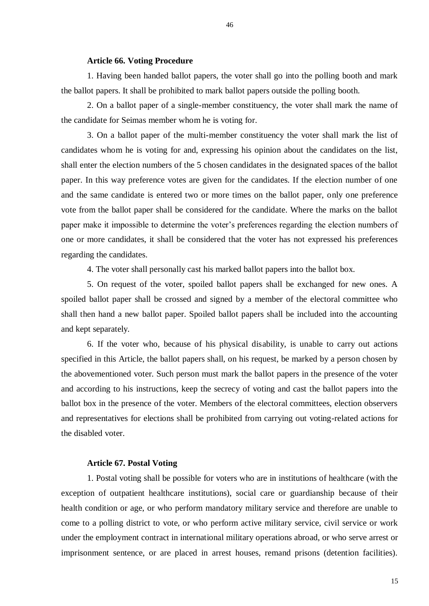### **Article 66. Voting Procedure**

1. Having been handed ballot papers, the voter shall go into the polling booth and mark the ballot papers. It shall be prohibited to mark ballot papers outside the polling booth.

2. On a ballot paper of a single-member constituency, the voter shall mark the name of the candidate for Seimas member whom he is voting for.

3. On a ballot paper of the multi-member constituency the voter shall mark the list of candidates whom he is voting for and, expressing his opinion about the candidates on the list, shall enter the election numbers of the 5 chosen candidates in the designated spaces of the ballot paper. In this way preference votes are given for the candidates. If the election number of one and the same candidate is entered two or more times on the ballot paper, only one preference vote from the ballot paper shall be considered for the candidate. Where the marks on the ballot paper make it impossible to determine the voter's preferences regarding the election numbers of one or more candidates, it shall be considered that the voter has not expressed his preferences regarding the candidates.

4. The voter shall personally cast his marked ballot papers into the ballot box.

5. On request of the voter, spoiled ballot papers shall be exchanged for new ones. A spoiled ballot paper shall be crossed and signed by a member of the electoral committee who shall then hand a new ballot paper. Spoiled ballot papers shall be included into the accounting and kept separately.

6. If the voter who, because of his physical disability, is unable to carry out actions specified in this Article, the ballot papers shall, on his request, be marked by a person chosen by the abovementioned voter. Such person must mark the ballot papers in the presence of the voter and according to his instructions, keep the secrecy of voting and cast the ballot papers into the ballot box in the presence of the voter. Members of the electoral committees, election observers and representatives for elections shall be prohibited from carrying out voting-related actions for the disabled voter.

### **Article 67. Postal Voting**

1. Postal voting shall be possible for voters who are in institutions of healthcare (with the exception of outpatient healthcare institutions), social care or guardianship because of their health condition or age, or who perform mandatory military service and therefore are unable to come to a polling district to vote, or who perform active military service, civil service or work under the employment contract in international military operations abroad, or who serve arrest or imprisonment sentence, or are placed in arrest houses, remand prisons (detention facilities).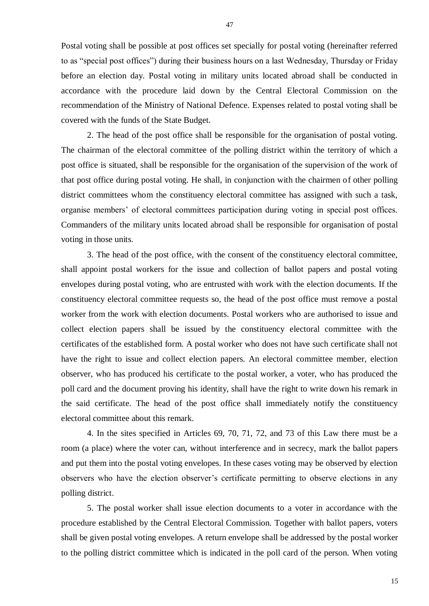Postal voting shall be possible at post offices set specially for postal voting (hereinafter referred to as "special post offices") during their business hours on a last Wednesday, Thursday or Friday before an election day. Postal voting in military units located abroad shall be conducted in accordance with the procedure laid down by the Central Electoral Commission on the recommendation of the Ministry of National Defence. Expenses related to postal voting shall be covered with the funds of the State Budget.

2. The head of the post office shall be responsible for the organisation of postal voting. The chairman of the electoral committee of the polling district within the territory of which a post office is situated, shall be responsible for the organisation of the supervision of the work of that post office during postal voting. He shall, in conjunction with the chairmen of other polling district committees whom the constituency electoral committee has assigned with such a task, organise members' of electoral committees participation during voting in special post offices. Commanders of the military units located abroad shall be responsible for organisation of postal voting in those units.

3. The head of the post office, with the consent of the constituency electoral committee, shall appoint postal workers for the issue and collection of ballot papers and postal voting envelopes during postal voting, who are entrusted with work with the election documents. If the constituency electoral committee requests so, the head of the post office must remove a postal worker from the work with election documents. Postal workers who are authorised to issue and collect election papers shall be issued by the constituency electoral committee with the certificates of the established form. A postal worker who does not have such certificate shall not have the right to issue and collect election papers. An electoral committee member, election observer, who has produced his certificate to the postal worker, a voter, who has produced the poll card and the document proving his identity, shall have the right to write down his remark in the said certificate. The head of the post office shall immediately notify the constituency electoral committee about this remark.

4. In the sites specified in Articles 69, 70, 71, 72, and 73 of this Law there must be a room (a place) where the voter can, without interference and in secrecy, mark the ballot papers and put them into the postal voting envelopes. In these cases voting may be observed by election observers who have the election observer's certificate permitting to observe elections in any polling district.

5. The postal worker shall issue election documents to a voter in accordance with the procedure established by the Central Electoral Commission. Together with ballot papers, voters shall be given postal voting envelopes. A return envelope shall be addressed by the postal worker to the polling district committee which is indicated in the poll card of the person. When voting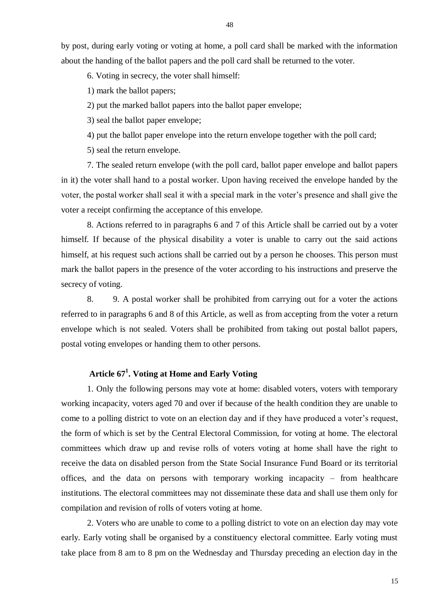by post, during early voting or voting at home, a poll card shall be marked with the information about the handing of the ballot papers and the poll card shall be returned to the voter.

6. Voting in secrecy, the voter shall himself:

1) mark the ballot papers;

2) put the marked ballot papers into the ballot paper envelope;

3) seal the ballot paper envelope;

4) put the ballot paper envelope into the return envelope together with the poll card;

5) seal the return envelope.

7. The sealed return envelope (with the poll card, ballot paper envelope and ballot papers in it) the voter shall hand to a postal worker. Upon having received the envelope handed by the voter, the postal worker shall seal it with a special mark in the voter's presence and shall give the voter a receipt confirming the acceptance of this envelope.

8. Actions referred to in paragraphs 6 and 7 of this Article shall be carried out by a voter himself. If because of the physical disability a voter is unable to carry out the said actions himself, at his request such actions shall be carried out by a person he chooses. This person must mark the ballot papers in the presence of the voter according to his instructions and preserve the secrecy of voting.

8. 9. A postal worker shall be prohibited from carrying out for a voter the actions referred to in paragraphs 6 and 8 of this Article, as well as from accepting from the voter a return envelope which is not sealed. Voters shall be prohibited from taking out postal ballot papers, postal voting envelopes or handing them to other persons.

### **Article 67<sup>1</sup> . Voting at Home and Early Voting**

1. Only the following persons may vote at home: disabled voters, voters with temporary working incapacity, voters aged 70 and over if because of the health condition they are unable to come to a polling district to vote on an election day and if they have produced a voter's request, the form of which is set by the Central Electoral Commission, for voting at home. The electoral committees which draw up and revise rolls of voters voting at home shall have the right to receive the data on disabled person from the State Social Insurance Fund Board or its territorial offices, and the data on persons with temporary working incapacity – from healthcare institutions. The electoral committees may not disseminate these data and shall use them only for compilation and revision of rolls of voters voting at home.

2. Voters who are unable to come to a polling district to vote on an election day may vote early. Early voting shall be organised by a constituency electoral committee. Early voting must take place from 8 am to 8 pm on the Wednesday and Thursday preceding an election day in the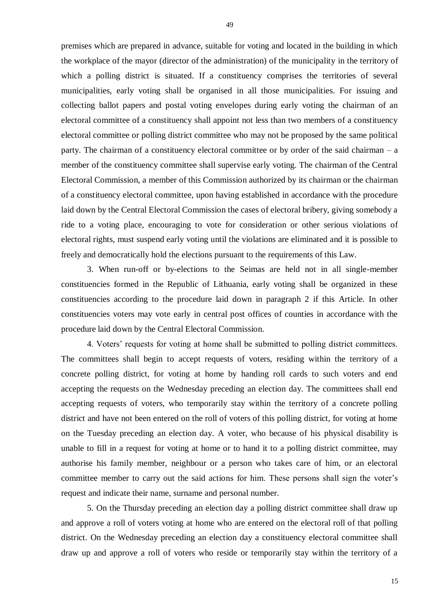premises which are prepared in advance, suitable for voting and located in the building in which the workplace of the mayor (director of the administration) of the municipality in the territory of which a polling district is situated. If a constituency comprises the territories of several municipalities, early voting shall be organised in all those municipalities. For issuing and collecting ballot papers and postal voting envelopes during early voting the chairman of an electoral committee of a constituency shall appoint not less than two members of a constituency electoral committee or polling district committee who may not be proposed by the same political party. The chairman of a constituency electoral committee or by order of the said chairman – a member of the constituency committee shall supervise early voting. The chairman of the Central Electoral Commission, a member of this Commission authorized by its chairman or the chairman of a constituency electoral committee, upon having established in accordance with the procedure laid down by the Central Electoral Commission the cases of electoral bribery, giving somebody a ride to a voting place, encouraging to vote for consideration or other serious violations of electoral rights, must suspend early voting until the violations are eliminated and it is possible to freely and democratically hold the elections pursuant to the requirements of this Law.

3. When run-off or by-elections to the Seimas are held not in all single-member constituencies formed in the Republic of Lithuania, early voting shall be organized in these constituencies according to the procedure laid down in paragraph 2 if this Article. In other constituencies voters may vote early in central post offices of counties in accordance with the procedure laid down by the Central Electoral Commission.

4. Voters' requests for voting at home shall be submitted to polling district committees. The committees shall begin to accept requests of voters, residing within the territory of a concrete polling district, for voting at home by handing roll cards to such voters and end accepting the requests on the Wednesday preceding an election day. The committees shall end accepting requests of voters, who temporarily stay within the territory of a concrete polling district and have not been entered on the roll of voters of this polling district, for voting at home on the Tuesday preceding an election day. A voter, who because of his physical disability is unable to fill in a request for voting at home or to hand it to a polling district committee, may authorise his family member, neighbour or a person who takes care of him, or an electoral committee member to carry out the said actions for him. These persons shall sign the voter's request and indicate their name, surname and personal number.

5. On the Thursday preceding an election day a polling district committee shall draw up and approve a roll of voters voting at home who are entered on the electoral roll of that polling district. On the Wednesday preceding an election day a constituency electoral committee shall draw up and approve a roll of voters who reside or temporarily stay within the territory of a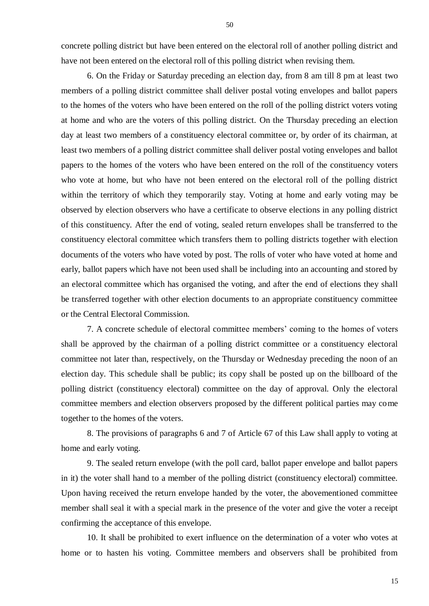concrete polling district but have been entered on the electoral roll of another polling district and have not been entered on the electoral roll of this polling district when revising them.

6. On the Friday or Saturday preceding an election day, from 8 am till 8 pm at least two members of a polling district committee shall deliver postal voting envelopes and ballot papers to the homes of the voters who have been entered on the roll of the polling district voters voting at home and who are the voters of this polling district. On the Thursday preceding an election day at least two members of a constituency electoral committee or, by order of its chairman, at least two members of a polling district committee shall deliver postal voting envelopes and ballot papers to the homes of the voters who have been entered on the roll of the constituency voters who vote at home, but who have not been entered on the electoral roll of the polling district within the territory of which they temporarily stay. Voting at home and early voting may be observed by election observers who have a certificate to observe elections in any polling district of this constituency. After the end of voting, sealed return envelopes shall be transferred to the constituency electoral committee which transfers them to polling districts together with election documents of the voters who have voted by post. The rolls of voter who have voted at home and early, ballot papers which have not been used shall be including into an accounting and stored by an electoral committee which has organised the voting, and after the end of elections they shall be transferred together with other election documents to an appropriate constituency committee or the Central Electoral Commission.

7. A concrete schedule of electoral committee members' coming to the homes of voters shall be approved by the chairman of a polling district committee or a constituency electoral committee not later than, respectively, on the Thursday or Wednesday preceding the noon of an election day. This schedule shall be public; its copy shall be posted up on the billboard of the polling district (constituency electoral) committee on the day of approval. Only the electoral committee members and election observers proposed by the different political parties may come together to the homes of the voters.

8. The provisions of paragraphs 6 and 7 of Article 67 of this Law shall apply to voting at home and early voting.

9. The sealed return envelope (with the poll card, ballot paper envelope and ballot papers in it) the voter shall hand to a member of the polling district (constituency electoral) committee. Upon having received the return envelope handed by the voter, the abovementioned committee member shall seal it with a special mark in the presence of the voter and give the voter a receipt confirming the acceptance of this envelope.

10. It shall be prohibited to exert influence on the determination of a voter who votes at home or to hasten his voting. Committee members and observers shall be prohibited from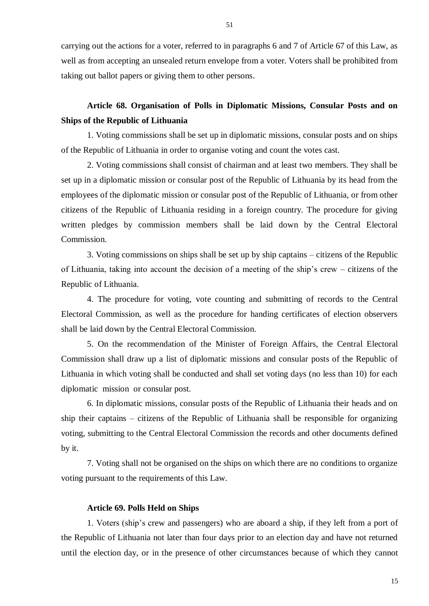carrying out the actions for a voter, referred to in paragraphs 6 and 7 of Article 67 of this Law, as well as from accepting an unsealed return envelope from a voter. Voters shall be prohibited from taking out ballot papers or giving them to other persons.

# **Article 68. Organisation of Polls in Diplomatic Missions, Consular Posts and on Ships of the Republic of Lithuania**

1. Voting commissions shall be set up in diplomatic missions, consular posts and on ships of the Republic of Lithuania in order to organise voting and count the votes cast.

2. Voting commissions shall consist of chairman and at least two members. They shall be set up in a diplomatic mission or consular post of the Republic of Lithuania by its head from the employees of the diplomatic mission or consular post of the Republic of Lithuania, or from other citizens of the Republic of Lithuania residing in a foreign country. The procedure for giving written pledges by commission members shall be laid down by the Central Electoral Commission.

3. Voting commissions on ships shall be set up by ship captains – citizens of the Republic of Lithuania, taking into account the decision of a meeting of the ship's crew – citizens of the Republic of Lithuania.

4. The procedure for voting, vote counting and submitting of records to the Central Electoral Commission, as well as the procedure for handing certificates of election observers shall be laid down by the Central Electoral Commission.

5. On the recommendation of the Minister of Foreign Affairs, the Central Electoral Commission shall draw up a list of diplomatic missions and consular posts of the Republic of Lithuania in which voting shall be conducted and shall set voting days (no less than 10) for each diplomatic mission or consular post.

6. In diplomatic missions, consular posts of the Republic of Lithuania their heads and on ship their captains – citizens of the Republic of Lithuania shall be responsible for organizing voting, submitting to the Central Electoral Commission the records and other documents defined by it.

7. Voting shall not be organised on the ships on which there are no conditions to organize voting pursuant to the requirements of this Law.

### **Article 69. Polls Held on Ships**

1. Voters (ship's crew and passengers) who are aboard a ship, if they left from a port of the Republic of Lithuania not later than four days prior to an election day and have not returned until the election day, or in the presence of other circumstances because of which they cannot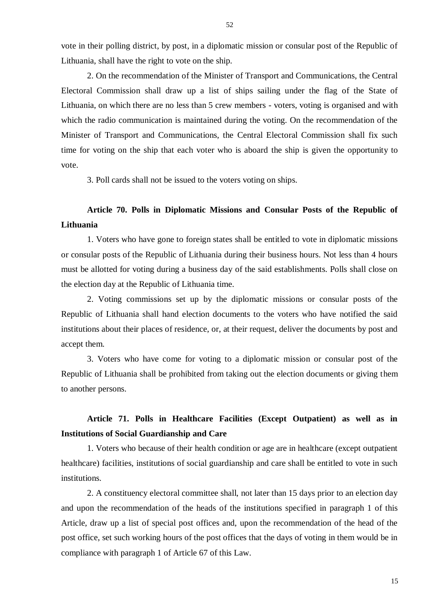52

vote in their polling district, by post, in a diplomatic mission or consular post of the Republic of Lithuania, shall have the right to vote on the ship.

2. On the recommendation of the Minister of Transport and Communications, the Central Electoral Commission shall draw up a list of ships sailing under the flag of the State of Lithuania, on which there are no less than 5 crew members - voters, voting is organised and with which the radio communication is maintained during the voting. On the recommendation of the Minister of Transport and Communications, the Central Electoral Commission shall fix such time for voting on the ship that each voter who is aboard the ship is given the opportunity to vote.

3. Poll cards shall not be issued to the voters voting on ships.

# **Article 70. Polls in Diplomatic Missions and Consular Posts of the Republic of Lithuania**

1. Voters who have gone to foreign states shall be entitled to vote in diplomatic missions or consular posts of the Republic of Lithuania during their business hours. Not less than 4 hours must be allotted for voting during a business day of the said establishments. Polls shall close on the election day at the Republic of Lithuania time.

2. Voting commissions set up by the diplomatic missions or consular posts of the Republic of Lithuania shall hand election documents to the voters who have notified the said institutions about their places of residence, or, at their request, deliver the documents by post and accept them.

3. Voters who have come for voting to a diplomatic mission or consular post of the Republic of Lithuania shall be prohibited from taking out the election documents or giving them to another persons.

# **Article 71. Polls in Healthcare Facilities (Except Outpatient) as well as in Institutions of Social Guardianship and Care**

1. Voters who because of their health condition or age are in healthcare (except outpatient healthcare) facilities, institutions of social guardianship and care shall be entitled to vote in such institutions.

2. A constituency electoral committee shall, not later than 15 days prior to an election day and upon the recommendation of the heads of the institutions specified in paragraph 1 of this Article, draw up a list of special post offices and, upon the recommendation of the head of the post office, set such working hours of the post offices that the days of voting in them would be in compliance with paragraph 1 of Article 67 of this Law.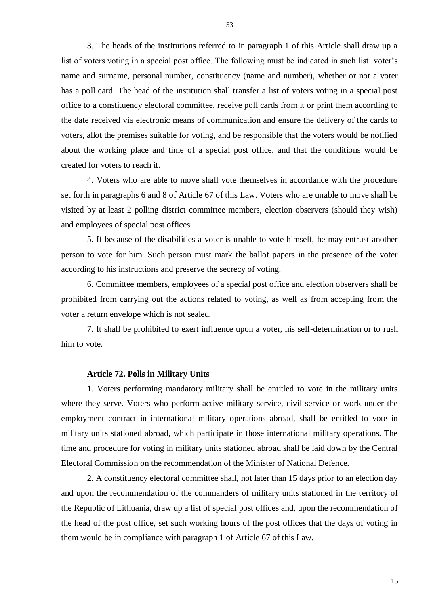3. The heads of the institutions referred to in paragraph 1 of this Article shall draw up a list of voters voting in a special post office. The following must be indicated in such list: voter's name and surname, personal number, constituency (name and number), whether or not a voter has a poll card. The head of the institution shall transfer a list of voters voting in a special post office to a constituency electoral committee, receive poll cards from it or print them according to the date received via electronic means of communication and ensure the delivery of the cards to voters, allot the premises suitable for voting, and be responsible that the voters would be notified about the working place and time of a special post office, and that the conditions would be created for voters to reach it.

4. Voters who are able to move shall vote themselves in accordance with the procedure set forth in paragraphs 6 and 8 of Article 67 of this Law. Voters who are unable to move shall be visited by at least 2 polling district committee members, election observers (should they wish) and employees of special post offices.

5. If because of the disabilities a voter is unable to vote himself, he may entrust another person to vote for him. Such person must mark the ballot papers in the presence of the voter according to his instructions and preserve the secrecy of voting.

6. Committee members, employees of a special post office and election observers shall be prohibited from carrying out the actions related to voting, as well as from accepting from the voter a return envelope which is not sealed.

7. It shall be prohibited to exert influence upon a voter, his self-determination or to rush him to vote.

### **Article 72. Polls in Military Units**

1. Voters performing mandatory military shall be entitled to vote in the military units where they serve. Voters who perform active military service, civil service or work under the employment contract in international military operations abroad, shall be entitled to vote in military units stationed abroad, which participate in those international military operations. The time and procedure for voting in military units stationed abroad shall be laid down by the Central Electoral Commission on the recommendation of the Minister of National Defence.

2. A constituency electoral committee shall, not later than 15 days prior to an election day and upon the recommendation of the commanders of military units stationed in the territory of the Republic of Lithuania, draw up a list of special post offices and, upon the recommendation of the head of the post office, set such working hours of the post offices that the days of voting in them would be in compliance with paragraph 1 of Article 67 of this Law.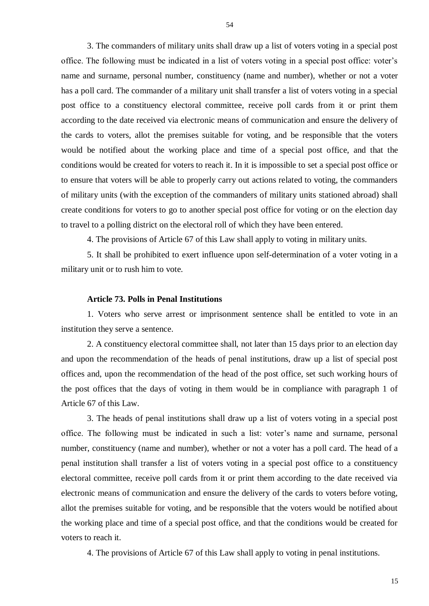3. The commanders of military units shall draw up a list of voters voting in a special post office. The following must be indicated in a list of voters voting in a special post office: voter's name and surname, personal number, constituency (name and number), whether or not a voter has a poll card. The commander of a military unit shall transfer a list of voters voting in a special post office to a constituency electoral committee, receive poll cards from it or print them according to the date received via electronic means of communication and ensure the delivery of the cards to voters, allot the premises suitable for voting, and be responsible that the voters would be notified about the working place and time of a special post office, and that the conditions would be created for voters to reach it. In it is impossible to set a special post office or to ensure that voters will be able to properly carry out actions related to voting, the commanders of military units (with the exception of the commanders of military units stationed abroad) shall create conditions for voters to go to another special post office for voting or on the election day to travel to a polling district on the electoral roll of which they have been entered.

4. The provisions of Article 67 of this Law shall apply to voting in military units.

5. It shall be prohibited to exert influence upon self-determination of a voter voting in a military unit or to rush him to vote.

### **Article 73. Polls in Penal Institutions**

1. Voters who serve arrest or imprisonment sentence shall be entitled to vote in an institution they serve a sentence.

2. A constituency electoral committee shall, not later than 15 days prior to an election day and upon the recommendation of the heads of penal institutions, draw up a list of special post offices and, upon the recommendation of the head of the post office, set such working hours of the post offices that the days of voting in them would be in compliance with paragraph 1 of Article 67 of this Law.

3. The heads of penal institutions shall draw up a list of voters voting in a special post office. The following must be indicated in such a list: voter's name and surname, personal number, constituency (name and number), whether or not a voter has a poll card. The head of a penal institution shall transfer a list of voters voting in a special post office to a constituency electoral committee, receive poll cards from it or print them according to the date received via electronic means of communication and ensure the delivery of the cards to voters before voting, allot the premises suitable for voting, and be responsible that the voters would be notified about the working place and time of a special post office, and that the conditions would be created for voters to reach it.

4. The provisions of Article 67 of this Law shall apply to voting in penal institutions.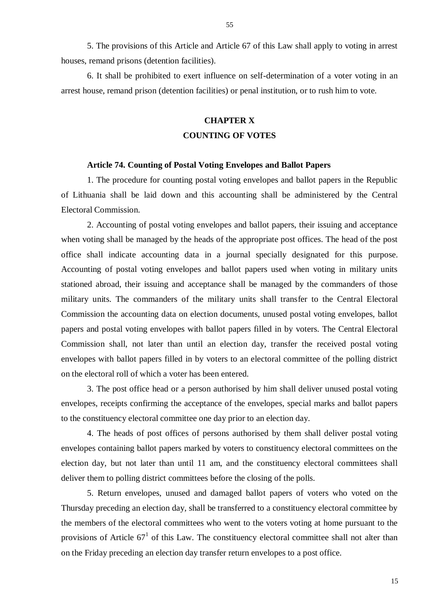5. The provisions of this Article and Article 67 of this Law shall apply to voting in arrest houses, remand prisons (detention facilities).

6. It shall be prohibited to exert influence on self-determination of a voter voting in an arrest house, remand prison (detention facilities) or penal institution, or to rush him to vote.

# **CHAPTER X**

### **COUNTING OF VOTES**

### **Article 74. Counting of Postal Voting Envelopes and Ballot Papers**

1. The procedure for counting postal voting envelopes and ballot papers in the Republic of Lithuania shall be laid down and this accounting shall be administered by the Central Electoral Commission.

2. Accounting of postal voting envelopes and ballot papers, their issuing and acceptance when voting shall be managed by the heads of the appropriate post offices. The head of the post office shall indicate accounting data in a journal specially designated for this purpose. Accounting of postal voting envelopes and ballot papers used when voting in military units stationed abroad, their issuing and acceptance shall be managed by the commanders of those military units. The commanders of the military units shall transfer to the Central Electoral Commission the accounting data on election documents, unused postal voting envelopes, ballot papers and postal voting envelopes with ballot papers filled in by voters. The Central Electoral Commission shall, not later than until an election day, transfer the received postal voting envelopes with ballot papers filled in by voters to an electoral committee of the polling district on the electoral roll of which a voter has been entered.

3. The post office head or a person authorised by him shall deliver unused postal voting envelopes, receipts confirming the acceptance of the envelopes, special marks and ballot papers to the constituency electoral committee one day prior to an election day.

4. The heads of post offices of persons authorised by them shall deliver postal voting envelopes containing ballot papers marked by voters to constituency electoral committees on the election day, but not later than until 11 am, and the constituency electoral committees shall deliver them to polling district committees before the closing of the polls.

5. Return envelopes, unused and damaged ballot papers of voters who voted on the Thursday preceding an election day, shall be transferred to a constituency electoral committee by the members of the electoral committees who went to the voters voting at home pursuant to the provisions of Article  $67<sup>1</sup>$  of this Law. The constituency electoral committee shall not alter than on the Friday preceding an election day transfer return envelopes to a post office.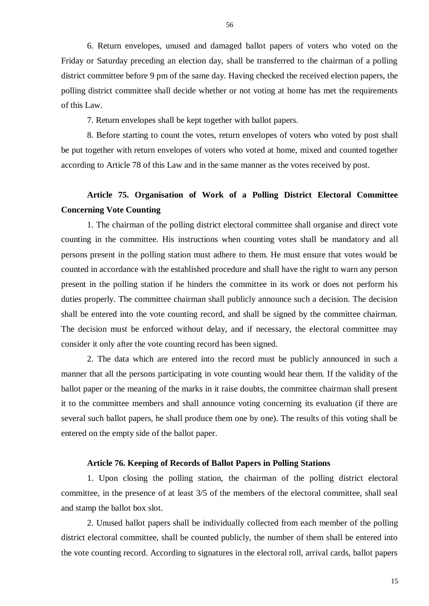6. Return envelopes, unused and damaged ballot papers of voters who voted on the Friday or Saturday preceding an election day, shall be transferred to the chairman of a polling district committee before 9 pm of the same day. Having checked the received election papers, the polling district committee shall decide whether or not voting at home has met the requirements of this Law.

7. Return envelopes shall be kept together with ballot papers.

8. Before starting to count the votes, return envelopes of voters who voted by post shall be put together with return envelopes of voters who voted at home, mixed and counted together according to Article 78 of this Law and in the same manner as the votes received by post.

# **Article 75. Organisation of Work of a Polling District Electoral Committee Concerning Vote Counting**

1. The chairman of the polling district electoral committee shall organise and direct vote counting in the committee. His instructions when counting votes shall be mandatory and all persons present in the polling station must adhere to them. He must ensure that votes would be counted in accordance with the established procedure and shall have the right to warn any person present in the polling station if he hinders the committee in its work or does not perform his duties properly. The committee chairman shall publicly announce such a decision. The decision shall be entered into the vote counting record, and shall be signed by the committee chairman. The decision must be enforced without delay, and if necessary, the electoral committee may consider it only after the vote counting record has been signed.

2. The data which are entered into the record must be publicly announced in such a manner that all the persons participating in vote counting would hear them. If the validity of the ballot paper or the meaning of the marks in it raise doubts, the committee chairman shall present it to the committee members and shall announce voting concerning its evaluation (if there are several such ballot papers, he shall produce them one by one). The results of this voting shall be entered on the empty side of the ballot paper.

### **Article 76. Keeping of Records of Ballot Papers in Polling Stations**

1. Upon closing the polling station, the chairman of the polling district electoral committee, in the presence of at least 3/5 of the members of the electoral committee, shall seal and stamp the ballot box slot.

2. Unused ballot papers shall be individually collected from each member of the polling district electoral committee, shall be counted publicly, the number of them shall be entered into the vote counting record. According to signatures in the electoral roll, arrival cards, ballot papers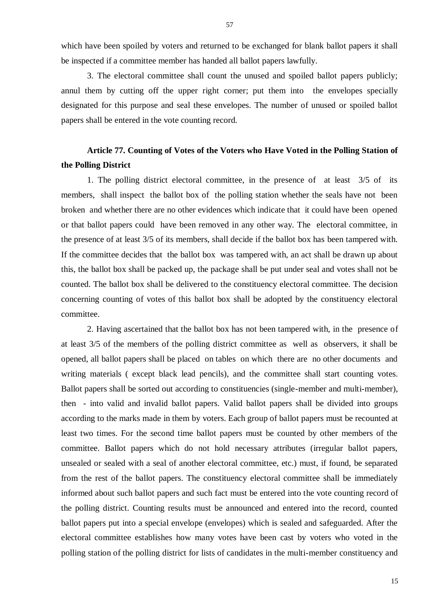which have been spoiled by voters and returned to be exchanged for blank ballot papers it shall be inspected if a committee member has handed all ballot papers lawfully.

3. The electoral committee shall count the unused and spoiled ballot papers publicly; annul them by cutting off the upper right corner; put them into the envelopes specially designated for this purpose and seal these envelopes. The number of unused or spoiled ballot papers shall be entered in the vote counting record.

# **Article 77. Counting of Votes of the Voters who Have Voted in the Polling Station of the Polling District**

1. The polling district electoral committee, in the presence of at least 3/5 of its members, shall inspect the ballot box of the polling station whether the seals have not been broken and whether there are no other evidences which indicate that it could have been opened or that ballot papers could have been removed in any other way. The electoral committee, in the presence of at least 3/5 of its members, shall decide if the ballot box has been tampered with. If the committee decides that the ballot box was tampered with, an act shall be drawn up about this, the ballot box shall be packed up, the package shall be put under seal and votes shall not be counted. The ballot box shall be delivered to the constituency electoral committee. The decision concerning counting of votes of this ballot box shall be adopted by the constituency electoral committee.

2. Having ascertained that the ballot box has not been tampered with, in the presence of at least 3/5 of the members of the polling district committee as well as observers, it shall be opened, all ballot papers shall be placed on tables on which there are no other documents and writing materials ( except black lead pencils), and the committee shall start counting votes. Ballot papers shall be sorted out according to constituencies (single-member and multi-member), then - into valid and invalid ballot papers. Valid ballot papers shall be divided into groups according to the marks made in them by voters. Each group of ballot papers must be recounted at least two times. For the second time ballot papers must be counted by other members of the committee. Ballot papers which do not hold necessary attributes (irregular ballot papers, unsealed or sealed with a seal of another electoral committee, etc.) must, if found, be separated from the rest of the ballot papers. The constituency electoral committee shall be immediately informed about such ballot papers and such fact must be entered into the vote counting record of the polling district. Counting results must be announced and entered into the record, counted ballot papers put into a special envelope (envelopes) which is sealed and safeguarded. After the electoral committee establishes how many votes have been cast by voters who voted in the polling station of the polling district for lists of candidates in the multi-member constituency and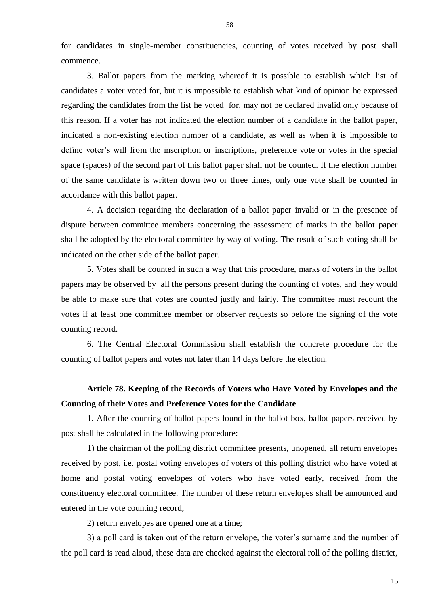for candidates in single-member constituencies, counting of votes received by post shall commence.

3. Ballot papers from the marking whereof it is possible to establish which list of candidates a voter voted for, but it is impossible to establish what kind of opinion he expressed regarding the candidates from the list he voted for, may not be declared invalid only because of this reason. If a voter has not indicated the election number of a candidate in the ballot paper, indicated a non-existing election number of a candidate, as well as when it is impossible to define voter's will from the inscription or inscriptions, preference vote or votes in the special space (spaces) of the second part of this ballot paper shall not be counted. If the election number of the same candidate is written down two or three times, only one vote shall be counted in accordance with this ballot paper.

4. A decision regarding the declaration of a ballot paper invalid or in the presence of dispute between committee members concerning the assessment of marks in the ballot paper shall be adopted by the electoral committee by way of voting. The result of such voting shall be indicated on the other side of the ballot paper.

5. Votes shall be counted in such a way that this procedure, marks of voters in the ballot papers may be observed by all the persons present during the counting of votes, and they would be able to make sure that votes are counted justly and fairly. The committee must recount the votes if at least one committee member or observer requests so before the signing of the vote counting record.

6. The Central Electoral Commission shall establish the concrete procedure for the counting of ballot papers and votes not later than 14 days before the election.

# **Article 78. Keeping of the Records of Voters who Have Voted by Envelopes and the Counting of their Votes and Preference Votes for the Candidate**

1. After the counting of ballot papers found in the ballot box, ballot papers received by post shall be calculated in the following procedure:

1) the chairman of the polling district committee presents, unopened, all return envelopes received by post, i.e. postal voting envelopes of voters of this polling district who have voted at home and postal voting envelopes of voters who have voted early, received from the constituency electoral committee. The number of these return envelopes shall be announced and entered in the vote counting record;

2) return envelopes are opened one at a time;

3) a poll card is taken out of the return envelope, the voter's surname and the number of the poll card is read aloud, these data are checked against the electoral roll of the polling district,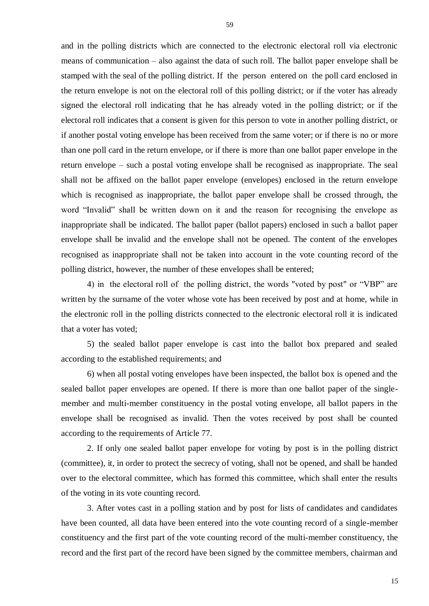and in the polling districts which are connected to the electronic electoral roll via electronic means of communication – also against the data of such roll. The ballot paper envelope shall be stamped with the seal of the polling district. If the person entered on the poll card enclosed in the return envelope is not on the electoral roll of this polling district; or if the voter has already signed the electoral roll indicating that he has already voted in the polling district; or if the electoral roll indicates that a consent is given for this person to vote in another polling district, or if another postal voting envelope has been received from the same voter; or if there is no or more than one poll card in the return envelope, or if there is more than one ballot paper envelope in the return envelope – such a postal voting envelope shall be recognised as inappropriate. The seal shall not be affixed on the ballot paper envelope (envelopes) enclosed in the return envelope which is recognised as inappropriate, the ballot paper envelope shall be crossed through, the word "Invalid" shall be written down on it and the reason for recognising the envelope as inappropriate shall be indicated. The ballot paper (ballot papers) enclosed in such a ballot paper envelope shall be invalid and the envelope shall not be opened. The content of the envelopes recognised as inappropriate shall not be taken into account in the vote counting record of the polling district, however, the number of these envelopes shall be entered;

4) in the electoral roll of the polling district, the words "voted by post" or "VBP" are written by the surname of the voter whose vote has been received by post and at home, while in the electronic roll in the polling districts connected to the electronic electoral roll it is indicated that a voter has voted;

5) the sealed ballot paper envelope is cast into the ballot box prepared and sealed according to the established requirements; and

6) when all postal voting envelopes have been inspected, the ballot box is opened and the sealed ballot paper envelopes are opened. If there is more than one ballot paper of the singlemember and multi-member constituency in the postal voting envelope, all ballot papers in the envelope shall be recognised as invalid. Then the votes received by post shall be counted according to the requirements of Article 77.

2. If only one sealed ballot paper envelope for voting by post is in the polling district (committee), it, in order to protect the secrecy of voting, shall not be opened, and shall be handed over to the electoral committee, which has formed this committee, which shall enter the results of the voting in its vote counting record.

3. After votes cast in a polling station and by post for lists of candidates and candidates have been counted, all data have been entered into the vote counting record of a single-member constituency and the first part of the vote counting record of the multi-member constituency, the record and the first part of the record have been signed by the committee members, chairman and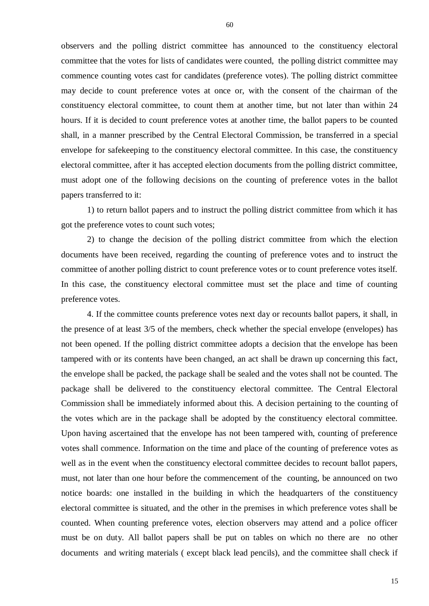observers and the polling district committee has announced to the constituency electoral committee that the votes for lists of candidates were counted, the polling district committee may commence counting votes cast for candidates (preference votes). The polling district committee may decide to count preference votes at once or, with the consent of the chairman of the constituency electoral committee, to count them at another time, but not later than within 24 hours. If it is decided to count preference votes at another time, the ballot papers to be counted shall, in a manner prescribed by the Central Electoral Commission, be transferred in a special envelope for safekeeping to the constituency electoral committee. In this case, the constituency electoral committee, after it has accepted election documents from the polling district committee, must adopt one of the following decisions on the counting of preference votes in the ballot papers transferred to it:

1) to return ballot papers and to instruct the polling district committee from which it has got the preference votes to count such votes;

2) to change the decision of the polling district committee from which the election documents have been received, regarding the counting of preference votes and to instruct the committee of another polling district to count preference votes or to count preference votes itself. In this case, the constituency electoral committee must set the place and time of counting preference votes.

4. If the committee counts preference votes next day or recounts ballot papers, it shall, in the presence of at least 3/5 of the members, check whether the special envelope (envelopes) has not been opened. If the polling district committee adopts a decision that the envelope has been tampered with or its contents have been changed, an act shall be drawn up concerning this fact, the envelope shall be packed, the package shall be sealed and the votes shall not be counted. The package shall be delivered to the constituency electoral committee. The Central Electoral Commission shall be immediately informed about this. A decision pertaining to the counting of the votes which are in the package shall be adopted by the constituency electoral committee. Upon having ascertained that the envelope has not been tampered with, counting of preference votes shall commence. Information on the time and place of the counting of preference votes as well as in the event when the constituency electoral committee decides to recount ballot papers, must, not later than one hour before the commencement of the counting, be announced on two notice boards: one installed in the building in which the headquarters of the constituency electoral committee is situated, and the other in the premises in which preference votes shall be counted. When counting preference votes, election observers may attend and a police officer must be on duty. All ballot papers shall be put on tables on which no there are no other documents and writing materials ( except black lead pencils), and the committee shall check if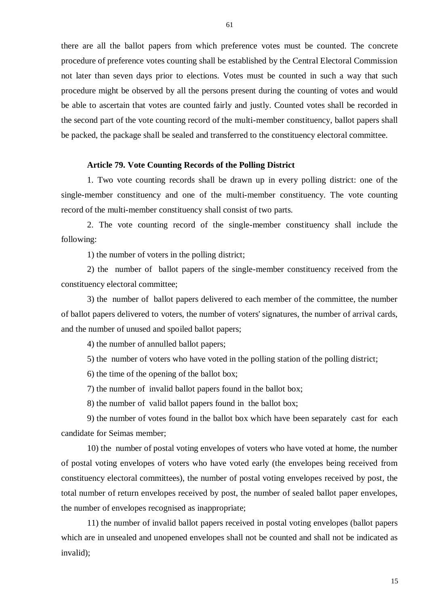there are all the ballot papers from which preference votes must be counted. The concrete procedure of preference votes counting shall be established by the Central Electoral Commission not later than seven days prior to elections. Votes must be counted in such a way that such procedure might be observed by all the persons present during the counting of votes and would be able to ascertain that votes are counted fairly and justly. Counted votes shall be recorded in the second part of the vote counting record of the multi-member constituency, ballot papers shall be packed, the package shall be sealed and transferred to the constituency electoral committee.

### **Article 79. Vote Counting Records of the Polling District**

1. Two vote counting records shall be drawn up in every polling district: one of the single-member constituency and one of the multi-member constituency. The vote counting record of the multi-member constituency shall consist of two parts.

2. The vote counting record of the single-member constituency shall include the following:

1) the number of voters in the polling district;

2) the number of ballot papers of the single-member constituency received from the constituency electoral committee;

3) the number of ballot papers delivered to each member of the committee, the number of ballot papers delivered to voters, the number of voters' signatures, the number of arrival cards, and the number of unused and spoiled ballot papers;

4) the number of annulled ballot papers;

5) the number of voters who have voted in the polling station of the polling district;

6) the time of the opening of the ballot box;

7) the number of invalid ballot papers found in the ballot box;

8) the number of valid ballot papers found in the ballot box;

9) the number of votes found in the ballot box which have been separately cast for each candidate for Seimas member;

10) the number of postal voting envelopes of voters who have voted at home, the number of postal voting envelopes of voters who have voted early (the envelopes being received from constituency electoral committees), the number of postal voting envelopes received by post, the total number of return envelopes received by post, the number of sealed ballot paper envelopes, the number of envelopes recognised as inappropriate;

11) the number of invalid ballot papers received in postal voting envelopes (ballot papers which are in unsealed and unopened envelopes shall not be counted and shall not be indicated as invalid);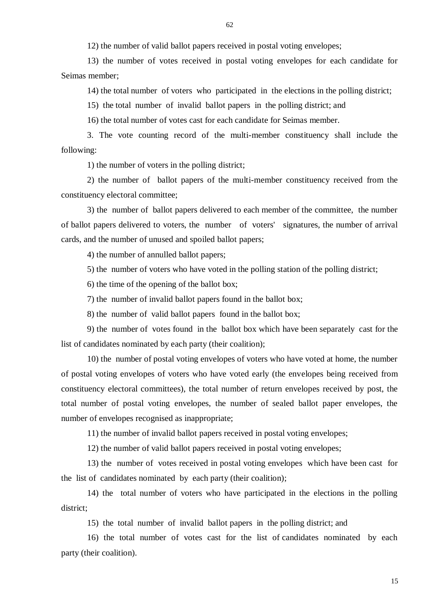12) the number of valid ballot papers received in postal voting envelopes;

13) the number of votes received in postal voting envelopes for each candidate for Seimas member;

14) the total number of voters who participated in the elections in the polling district;

15) the total number of invalid ballot papers in the polling district; and

16) the total number of votes cast for each candidate for Seimas member.

3. The vote counting record of the multi-member constituency shall include the following:

1) the number of voters in the polling district;

2) the number of ballot papers of the multi-member constituency received from the constituency electoral committee;

3) the number of ballot papers delivered to each member of the committee, the number of ballot papers delivered to voters, the number of voters' signatures, the number of arrival cards, and the number of unused and spoiled ballot papers;

4) the number of annulled ballot papers;

5) the number of voters who have voted in the polling station of the polling district;

6) the time of the opening of the ballot box;

7) the number of invalid ballot papers found in the ballot box;

8) the number of valid ballot papers found in the ballot box;

9) the number of votes found in the ballot box which have been separately cast for the list of candidates nominated by each party (their coalition);

10) the number of postal voting envelopes of voters who have voted at home, the number of postal voting envelopes of voters who have voted early (the envelopes being received from constituency electoral committees), the total number of return envelopes received by post, the total number of postal voting envelopes, the number of sealed ballot paper envelopes, the number of envelopes recognised as inappropriate;

11) the number of invalid ballot papers received in postal voting envelopes;

12) the number of valid ballot papers received in postal voting envelopes;

13) the number of votes received in postal voting envelopes which have been cast for the list of candidates nominated by each party (their coalition);

14) the total number of voters who have participated in the elections in the polling district;

15) the total number of invalid ballot papers in the polling district; and

16) the total number of votes cast for the list of candidates nominated by each party (their coalition).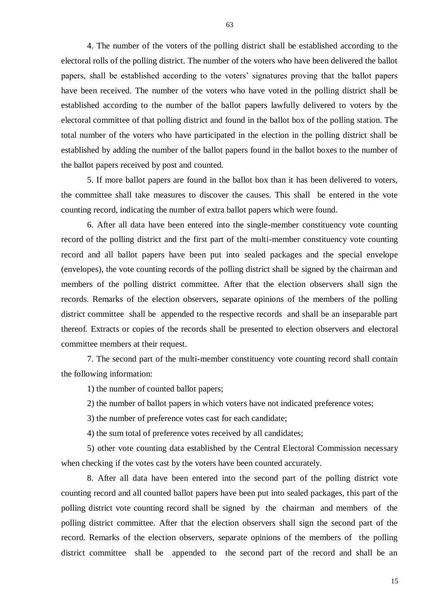4. The number of the voters of the polling district shall be established according to the electoral rolls of the polling district. The number of the voters who have been delivered the ballot papers, shall be established according to the voters' signatures proving that the ballot papers have been received. The number of the voters who have voted in the polling district shall be established according to the number of the ballot papers lawfully delivered to voters by the electoral committee of that polling district and found in the ballot box of the polling station. The total number of the voters who have participated in the election in the polling district shall be established by adding the number of the ballot papers found in the ballot boxes to the number of the ballot papers received by post and counted.

5. If more ballot papers are found in the ballot box than it has been delivered to voters, the committee shall take measures to discover the causes. This shall be entered in the vote counting record, indicating the number of extra ballot papers which were found.

6. After all data have been entered into the single-member constituency vote counting record of the polling district and the first part of the multi-member constituency vote counting record and all ballot papers have been put into sealed packages and the special envelope (envelopes), the vote counting records of the polling district shall be signed by the chairman and members of the polling district committee. After that the election observers shall sign the records. Remarks of the election observers, separate opinions of the members of the polling district committee shall be appended to the respective records and shall be an inseparable part thereof. Extracts or copies of the records shall be presented to election observers and electoral committee members at their request.

7. The second part of the multi-member constituency vote counting record shall contain the following information:

1) the number of counted ballot papers;

2) the number of ballot papers in which voters have not indicated preference votes;

3) the number of preference votes cast for each candidate;

4) the sum total of preference votes received by all candidates;

5) other vote counting data established by the Central Electoral Commission necessary when checking if the votes cast by the voters have been counted accurately.

8. After all data have been entered into the second part of the polling district vote counting record and all counted ballot papers have been put into sealed packages, this part of the polling district vote counting record shall be signed by the chairman and members of the polling district committee. After that the election observers shall sign the second part of the record. Remarks of the election observers, separate opinions of the members of the polling district committee shall be appended to the second part of the record and shall be an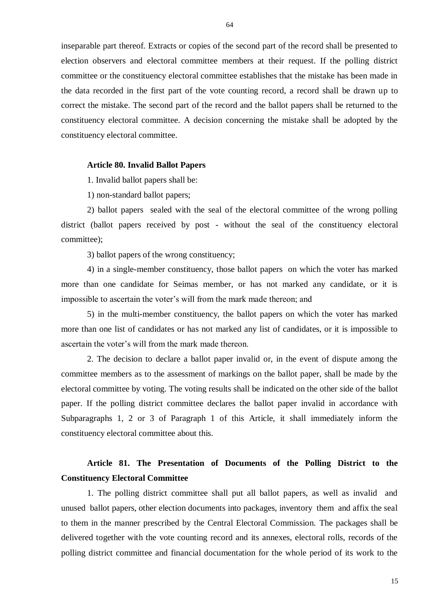inseparable part thereof. Extracts or copies of the second part of the record shall be presented to election observers and electoral committee members at their request. If the polling district committee or the constituency electoral committee establishes that the mistake has been made in the data recorded in the first part of the vote counting record, a record shall be drawn up to correct the mistake. The second part of the record and the ballot papers shall be returned to the constituency electoral committee. A decision concerning the mistake shall be adopted by the constituency electoral committee.

### **Article 80. Invalid Ballot Papers**

1. Invalid ballot papers shall be:

1) non-standard ballot papers;

2) ballot papers sealed with the seal of the electoral committee of the wrong polling district (ballot papers received by post - without the seal of the constituency electoral committee);

3) ballot papers of the wrong constituency;

4) in a single-member constituency, those ballot papers on which the voter has marked more than one candidate for Seimas member, or has not marked any candidate, or it is impossible to ascertain the voter's will from the mark made thereon; and

5) in the multi-member constituency, the ballot papers on which the voter has marked more than one list of candidates or has not marked any list of candidates, or it is impossible to ascertain the voter's will from the mark made thereon.

2. The decision to declare a ballot paper invalid or, in the event of dispute among the committee members as to the assessment of markings on the ballot paper, shall be made by the electoral committee by voting. The voting results shall be indicated on the other side of the ballot paper. If the polling district committee declares the ballot paper invalid in accordance with Subparagraphs 1, 2 or 3 of Paragraph 1 of this Article, it shall immediately inform the constituency electoral committee about this.

# **Article 81. The Presentation of Documents of the Polling District to the Constituency Electoral Committee**

1. The polling district committee shall put all ballot papers, as well as invalid and unused ballot papers, other election documents into packages, inventory them and affix the seal to them in the manner prescribed by the Central Electoral Commission. The packages shall be delivered together with the vote counting record and its annexes, electoral rolls, records of the polling district committee and financial documentation for the whole period of its work to the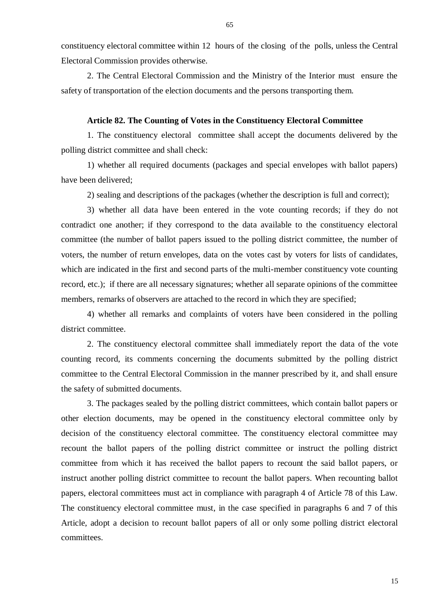constituency electoral committee within 12 hours of the closing of the polls, unless the Central Electoral Commission provides otherwise.

2. The Central Electoral Commission and the Ministry of the Interior must ensure the safety of transportation of the election documents and the persons transporting them.

### **Article 82. The Counting of Votes in the Constituency Electoral Committee**

1. The constituency electoral committee shall accept the documents delivered by the polling district committee and shall check:

1) whether all required documents (packages and special envelopes with ballot papers) have been delivered;

2) sealing and descriptions of the packages (whether the description is full and correct);

3) whether all data have been entered in the vote counting records; if they do not contradict one another; if they correspond to the data available to the constituency electoral committee (the number of ballot papers issued to the polling district committee, the number of voters, the number of return envelopes, data on the votes cast by voters for lists of candidates, which are indicated in the first and second parts of the multi-member constituency vote counting record, etc.); if there are all necessary signatures; whether all separate opinions of the committee members, remarks of observers are attached to the record in which they are specified;

4) whether all remarks and complaints of voters have been considered in the polling district committee.

2. The constituency electoral committee shall immediately report the data of the vote counting record, its comments concerning the documents submitted by the polling district committee to the Central Electoral Commission in the manner prescribed by it, and shall ensure the safety of submitted documents.

3. The packages sealed by the polling district committees, which contain ballot papers or other election documents, may be opened in the constituency electoral committee only by decision of the constituency electoral committee. The constituency electoral committee may recount the ballot papers of the polling district committee or instruct the polling district committee from which it has received the ballot papers to recount the said ballot papers, or instruct another polling district committee to recount the ballot papers. When recounting ballot papers, electoral committees must act in compliance with paragraph 4 of Article 78 of this Law. The constituency electoral committee must, in the case specified in paragraphs 6 and 7 of this Article, adopt a decision to recount ballot papers of all or only some polling district electoral committees.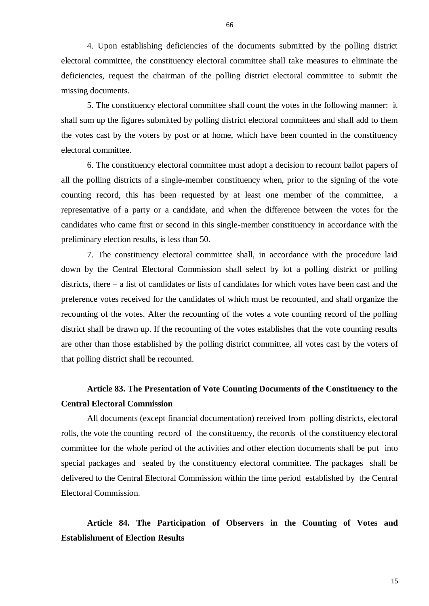4. Upon establishing deficiencies of the documents submitted by the polling district electoral committee, the constituency electoral committee shall take measures to eliminate the deficiencies, request the chairman of the polling district electoral committee to submit the missing documents.

5. The constituency electoral committee shall count the votes in the following manner: it shall sum up the figures submitted by polling district electoral committees and shall add to them the votes cast by the voters by post or at home, which have been counted in the constituency electoral committee.

6. The constituency electoral committee must adopt a decision to recount ballot papers of all the polling districts of a single-member constituency when, prior to the signing of the vote counting record, this has been requested by at least one member of the committee, a representative of a party or a candidate, and when the difference between the votes for the candidates who came first or second in this single-member constituency in accordance with the preliminary election results, is less than 50.

7. The constituency electoral committee shall, in accordance with the procedure laid down by the Central Electoral Commission shall select by lot a polling district or polling districts, there – a list of candidates or lists of candidates for which votes have been cast and the preference votes received for the candidates of which must be recounted, and shall organize the recounting of the votes. After the recounting of the votes a vote counting record of the polling district shall be drawn up. If the recounting of the votes establishes that the vote counting results are other than those established by the polling district committee, all votes cast by the voters of that polling district shall be recounted.

# **Article 83. The Presentation of Vote Counting Documents of the Constituency to the Central Electoral Commission**

All documents (except financial documentation) received from polling districts, electoral rolls, the vote the counting record of the constituency, the records of the constituency electoral committee for the whole period of the activities and other election documents shall be put into special packages and sealed by the constituency electoral committee. The packages shall be delivered to the Central Electoral Commission within the time period established by the Central Electoral Commission.

**Article 84. The Participation of Observers in the Counting of Votes and Establishment of Election Results**

66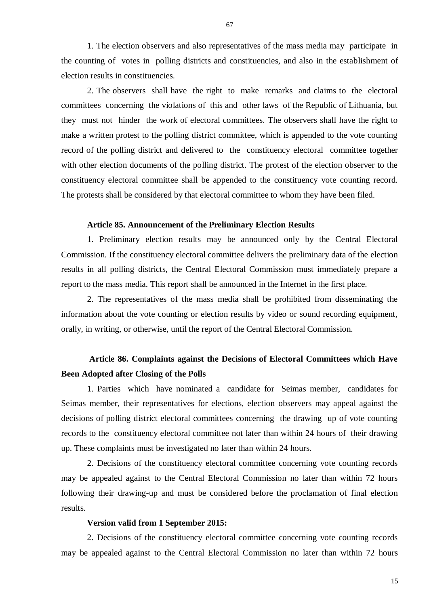1. The election observers and also representatives of the mass media may participate in the counting of votes in polling districts and constituencies, and also in the establishment of election results in constituencies.

2. The observers shall have the right to make remarks and claims to the electoral committees concerning the violations of this and other laws of the Republic of Lithuania, but they must not hinder the work of electoral committees. The observers shall have the right to make a written protest to the polling district committee, which is appended to the vote counting record of the polling district and delivered to the constituency electoral committee together with other election documents of the polling district. The protest of the election observer to the constituency electoral committee shall be appended to the constituency vote counting record. The protests shall be considered by that electoral committee to whom they have been filed.

### **Article 85. Announcement of the Preliminary Election Results**

1. Preliminary election results may be announced only by the Central Electoral Commission. If the constituency electoral committee delivers the preliminary data of the election results in all polling districts, the Central Electoral Commission must immediately prepare a report to the mass media. This report shall be announced in the Internet in the first place.

2. The representatives of the mass media shall be prohibited from disseminating the information about the vote counting or election results by video or sound recording equipment, orally, in writing, or otherwise, until the report of the Central Electoral Commission.

# **Article 86. Complaints against the Decisions of Electoral Committees which Have Been Adopted after Closing of the Polls**

1. Parties which have nominated a candidate for Seimas member, candidates for Seimas member, their representatives for elections, election observers may appeal against the decisions of polling district electoral committees concerning the drawing up of vote counting records to the constituency electoral committee not later than within 24 hours of their drawing up. These complaints must be investigated no later than within 24 hours.

2. Decisions of the constituency electoral committee concerning vote counting records may be appealed against to the Central Electoral Commission no later than within 72 hours following their drawing-up and must be considered before the proclamation of final election results.

### **Version valid from 1 September 2015:**

2. Decisions of the constituency electoral committee concerning vote counting records may be appealed against to the Central Electoral Commission no later than within 72 hours

67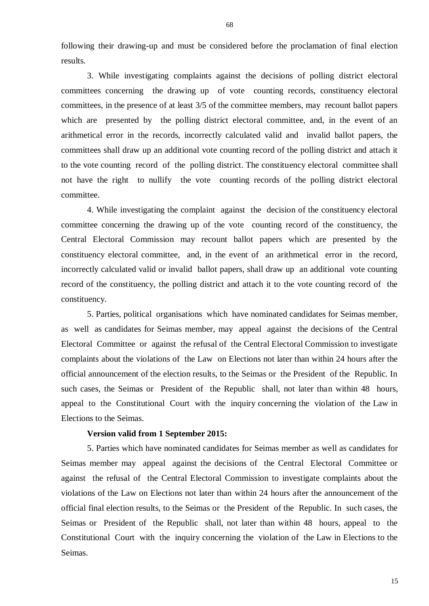following their drawing-up and must be considered before the proclamation of final election results.

3. While investigating complaints against the decisions of polling district electoral committees concerning the drawing up of vote counting records, constituency electoral committees, in the presence of at least 3/5 of the committee members, may recount ballot papers which are presented by the polling district electoral committee, and, in the event of an arithmetical error in the records, incorrectly calculated valid and invalid ballot papers, the committees shall draw up an additional vote counting record of the polling district and attach it to the vote counting record of the polling district. The constituency electoral committee shall not have the right to nullify the vote counting records of the polling district electoral committee.

4. While investigating the complaint against the decision of the constituency electoral committee concerning the drawing up of the vote counting record of the constituency, the Central Electoral Commission may recount ballot papers which are presented by the constituency electoral committee, and, in the event of an arithmetical error in the record, incorrectly calculated valid or invalid ballot papers, shall draw up an additional vote counting record of the constituency, the polling district and attach it to the vote counting record of the constituency.

5. Parties, political organisations which have nominated candidates for Seimas member, as well as candidates for Seimas member, may appeal against the decisions of the Central Electoral Committee or against the refusal of the Central Electoral Commission to investigate complaints about the violations of the Law on Elections not later than within 24 hours after the official announcement of the election results, to the Seimas or the President of the Republic. In such cases, the Seimas or President of the Republic shall, not later than within 48 hours, appeal to the Constitutional Court with the inquiry concerning the violation of the Law in Elections to the Seimas.

### **Version valid from 1 September 2015:**

5. Parties which have nominated candidates for Seimas member as well as candidates for Seimas member may appeal against the decisions of the Central Electoral Committee or against the refusal of the Central Electoral Commission to investigate complaints about the violations of the Law on Elections not later than within 24 hours after the announcement of the official final election results, to the Seimas or the President of the Republic. In such cases, the Seimas or President of the Republic shall, not later than within 48 hours, appeal to the Constitutional Court with the inquiry concerning the violation of the Law in Elections to the Seimas.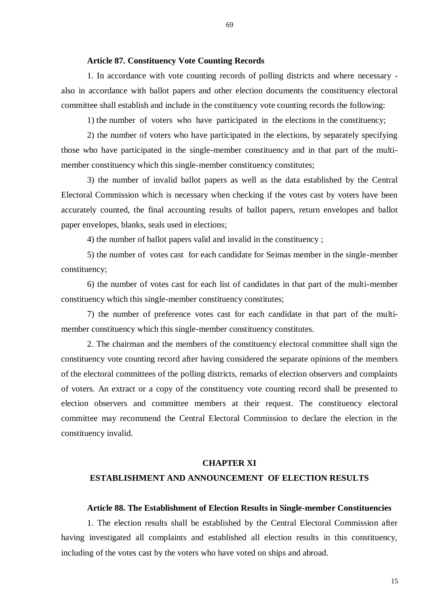### **Article 87. Constituency Vote Counting Records**

1. In accordance with vote counting records of polling districts and where necessary also in accordance with ballot papers and other election documents the constituency electoral committee shall establish and include in the constituency vote counting records the following:

1) the number of voters who have participated in the elections in the constituency;

2) the number of voters who have participated in the elections, by separately specifying those who have participated in the single-member constituency and in that part of the multimember constituency which this single-member constituency constitutes;

3) the number of invalid ballot papers as well as the data established by the Central Electoral Commission which is necessary when checking if the votes cast by voters have been accurately counted, the final accounting results of ballot papers, return envelopes and ballot paper envelopes, blanks, seals used in elections;

4) the number of ballot papers valid and invalid in the constituency ;

5) the number of votes cast for each candidate for Seimas member in the single-member constituency;

6) the number of votes cast for each list of candidates in that part of the multi-member constituency which this single-member constituency constitutes;

7) the number of preference votes cast for each candidate in that part of the multimember constituency which this single-member constituency constitutes.

2. The chairman and the members of the constituency electoral committee shall sign the constituency vote counting record after having considered the separate opinions of the members of the electoral committees of the polling districts, remarks of election observers and complaints of voters. An extract or a copy of the constituency vote counting record shall be presented to election observers and committee members at their request. The constituency electoral committee may recommend the Central Electoral Commission to declare the election in the constituency invalid.

### **CHAPTER XI**

### **ESTABLISHMENT AND ANNOUNCEMENT OF ELECTION RESULTS**

### **Article 88. The Establishment of Election Results in Single-member Constituencies**

1. The election results shall be established by the Central Electoral Commission after having investigated all complaints and established all election results in this constituency, including of the votes cast by the voters who have voted on ships and abroad.

69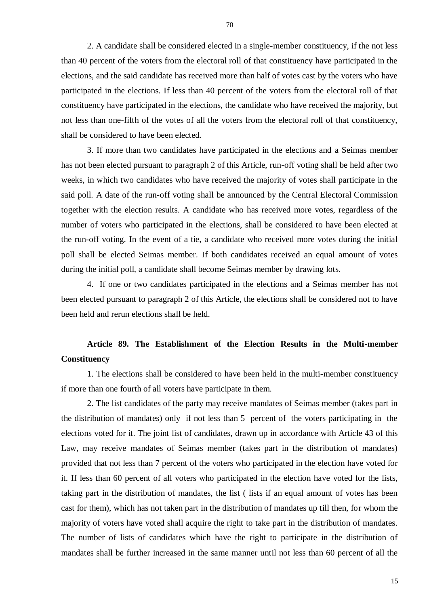2. A candidate shall be considered elected in a single-member constituency, if the not less than 40 percent of the voters from the electoral roll of that constituency have participated in the elections, and the said candidate has received more than half of votes cast by the voters who have participated in the elections. If less than 40 percent of the voters from the electoral roll of that constituency have participated in the elections, the candidate who have received the majority, but not less than one-fifth of the votes of all the voters from the electoral roll of that constituency, shall be considered to have been elected.

3. If more than two candidates have participated in the elections and a Seimas member has not been elected pursuant to paragraph 2 of this Article, run-off voting shall be held after two weeks, in which two candidates who have received the majority of votes shall participate in the said poll. A date of the run-off voting shall be announced by the Central Electoral Commission together with the election results. A candidate who has received more votes, regardless of the number of voters who participated in the elections, shall be considered to have been elected at the run-off voting. In the event of a tie, a candidate who received more votes during the initial poll shall be elected Seimas member. If both candidates received an equal amount of votes during the initial poll, a candidate shall become Seimas member by drawing lots.

4. If one or two candidates participated in the elections and a Seimas member has not been elected pursuant to paragraph 2 of this Article, the elections shall be considered not to have been held and rerun elections shall be held.

# **Article 89. The Establishment of the Election Results in the Multi-member Constituency**

1. The elections shall be considered to have been held in the multi-member constituency if more than one fourth of all voters have participate in them.

2. The list candidates of the party may receive mandates of Seimas member (takes part in the distribution of mandates) only if not less than 5 percent of the voters participating in the elections voted for it. The joint list of candidates, drawn up in accordance with Article 43 of this Law, may receive mandates of Seimas member (takes part in the distribution of mandates) provided that not less than 7 percent of the voters who participated in the election have voted for it. If less than 60 percent of all voters who participated in the election have voted for the lists, taking part in the distribution of mandates, the list ( lists if an equal amount of votes has been cast for them), which has not taken part in the distribution of mandates up till then, for whom the majority of voters have voted shall acquire the right to take part in the distribution of mandates. The number of lists of candidates which have the right to participate in the distribution of mandates shall be further increased in the same manner until not less than 60 percent of all the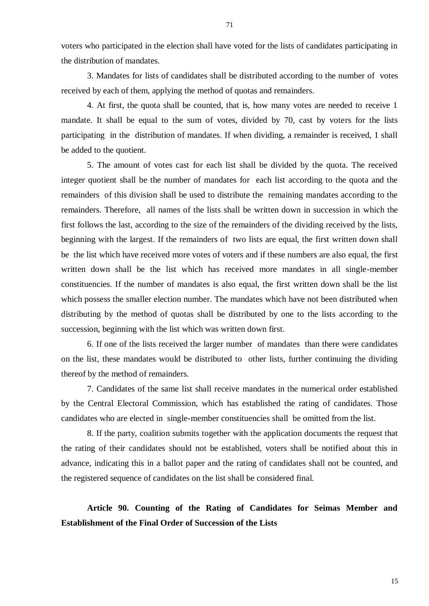voters who participated in the election shall have voted for the lists of candidates participating in the distribution of mandates.

3. Mandates for lists of candidates shall be distributed according to the number of votes received by each of them, applying the method of quotas and remainders.

4. At first, the quota shall be counted, that is, how many votes are needed to receive 1 mandate. It shall be equal to the sum of votes, divided by 70, cast by voters for the lists participating in the distribution of mandates. If when dividing, a remainder is received, 1 shall be added to the quotient.

5. The amount of votes cast for each list shall be divided by the quota. The received integer quotient shall be the number of mandates for each list according to the quota and the remainders of this division shall be used to distribute the remaining mandates according to the remainders. Therefore, all names of the lists shall be written down in succession in which the first follows the last, according to the size of the remainders of the dividing received by the lists, beginning with the largest. If the remainders of two lists are equal, the first written down shall be the list which have received more votes of voters and if these numbers are also equal, the first written down shall be the list which has received more mandates in all single-member constituencies. If the number of mandates is also equal, the first written down shall be the list which possess the smaller election number. The mandates which have not been distributed when distributing by the method of quotas shall be distributed by one to the lists according to the succession, beginning with the list which was written down first.

6. If one of the lists received the larger number of mandates than there were candidates on the list, these mandates would be distributed to other lists, further continuing the dividing thereof by the method of remainders.

7. Candidates of the same list shall receive mandates in the numerical order established by the Central Electoral Commission, which has established the rating of candidates. Those candidates who are elected in single-member constituencies shall be omitted from the list.

8. If the party, coalition submits together with the application documents the request that the rating of their candidates should not be established, voters shall be notified about this in advance, indicating this in a ballot paper and the rating of candidates shall not be counted, and the registered sequence of candidates on the list shall be considered final.

# **Article 90. Counting of the Rating of Candidates for Seimas Member and Establishment of the Final Order of Succession of the Lists**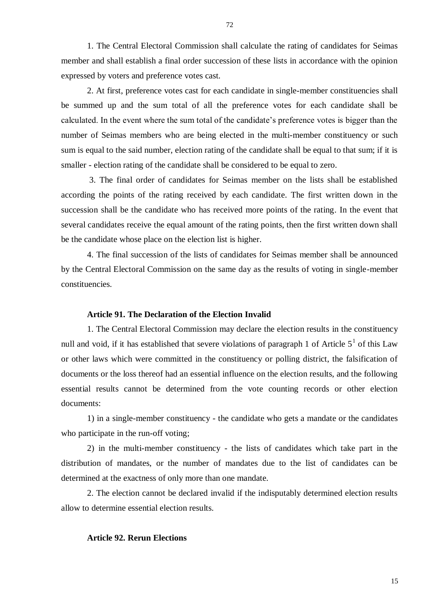1. The Central Electoral Commission shall calculate the rating of candidates for Seimas member and shall establish a final order succession of these lists in accordance with the opinion expressed by voters and preference votes cast.

2. At first, preference votes cast for each candidate in single-member constituencies shall be summed up and the sum total of all the preference votes for each candidate shall be calculated. In the event where the sum total of the candidate's preference votes is bigger than the number of Seimas members who are being elected in the multi-member constituency or such sum is equal to the said number, election rating of the candidate shall be equal to that sum; if it is smaller - election rating of the candidate shall be considered to be equal to zero.

3. The final order of candidates for Seimas member on the lists shall be established according the points of the rating received by each candidate. The first written down in the succession shall be the candidate who has received more points of the rating. In the event that several candidates receive the equal amount of the rating points, then the first written down shall be the candidate whose place on the election list is higher.

4. The final succession of the lists of candidates for Seimas member shall be announced by the Central Electoral Commission on the same day as the results of voting in single-member constituencies.

### **Article 91. The Declaration of the Election Invalid**

1. The Central Electoral Commission may declare the election results in the constituency null and void, if it has established that severe violations of paragraph 1 of Article  $5<sup>1</sup>$  of this Law or other laws which were committed in the constituency or polling district, the falsification of documents or the loss thereof had an essential influence on the election results, and the following essential results cannot be determined from the vote counting records or other election documents:

1) in a single-member constituency - the candidate who gets a mandate or the candidates who participate in the run-off voting;

2) in the multi-member constituency - the lists of candidates which take part in the distribution of mandates, or the number of mandates due to the list of candidates can be determined at the exactness of only more than one mandate.

2. The election cannot be declared invalid if the indisputably determined election results allow to determine essential election results.

#### **Article 92. Rerun Elections**

72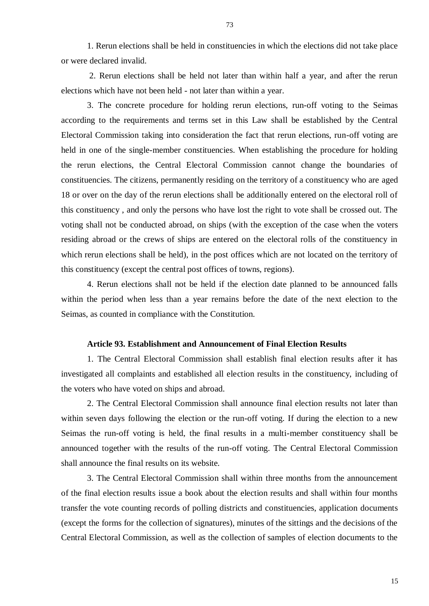73

1. Rerun elections shall be held in constituencies in which the elections did not take place or were declared invalid.

2. Rerun elections shall be held not later than within half a year, and after the rerun elections which have not been held - not later than within a year.

3. The concrete procedure for holding rerun elections, run-off voting to the Seimas according to the requirements and terms set in this Law shall be established by the Central Electoral Commission taking into consideration the fact that rerun elections, run-off voting are held in one of the single-member constituencies. When establishing the procedure for holding the rerun elections, the Central Electoral Commission cannot change the boundaries of constituencies. The citizens, permanently residing on the territory of a constituency who are aged 18 or over on the day of the rerun elections shall be additionally entered on the electoral roll of this constituency , and only the persons who have lost the right to vote shall be crossed out. The voting shall not be conducted abroad, on ships (with the exception of the case when the voters residing abroad or the crews of ships are entered on the electoral rolls of the constituency in which rerun elections shall be held), in the post offices which are not located on the territory of this constituency (except the central post offices of towns, regions).

4. Rerun elections shall not be held if the election date planned to be announced falls within the period when less than a year remains before the date of the next election to the Seimas, as counted in compliance with the Constitution.

# **Article 93. Establishment and Announcement of Final Election Results**

1. The Central Electoral Commission shall establish final election results after it has investigated all complaints and established all election results in the constituency, including of the voters who have voted on ships and abroad.

2. The Central Electoral Commission shall announce final election results not later than within seven days following the election or the run-off voting. If during the election to a new Seimas the run-off voting is held, the final results in a multi-member constituency shall be announced together with the results of the run-off voting. The Central Electoral Commission shall announce the final results on its website*.*

3. The Central Electoral Commission shall within three months from the announcement of the final election results issue a book about the election results and shall within four months transfer the vote counting records of polling districts and constituencies, application documents (except the forms for the collection of signatures), minutes of the sittings and the decisions of the Central Electoral Commission, as well as the collection of samples of election documents to the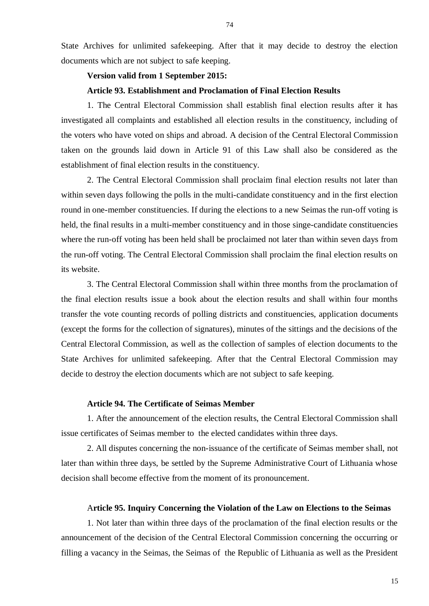State Archives for unlimited safekeeping. After that it may decide to destroy the election documents which are not subject to safe keeping.

# **Version valid from 1 September 2015:**

# **Article 93. Establishment and Proclamation of Final Election Results**

1. The Central Electoral Commission shall establish final election results after it has investigated all complaints and established all election results in the constituency, including of the voters who have voted on ships and abroad. A decision of the Central Electoral Commission taken on the grounds laid down in Article 91 of this Law shall also be considered as the establishment of final election results in the constituency.

2. The Central Electoral Commission shall proclaim final election results not later than within seven days following the polls in the multi-candidate constituency and in the first election round in one-member constituencies. If during the elections to a new Seimas the run-off voting is held, the final results in a multi-member constituency and in those singe-candidate constituencies where the run-off voting has been held shall be proclaimed not later than within seven days from the run-off voting. The Central Electoral Commission shall proclaim the final election results on its website.

3. The Central Electoral Commission shall within three months from the proclamation of the final election results issue a book about the election results and shall within four months transfer the vote counting records of polling districts and constituencies, application documents (except the forms for the collection of signatures), minutes of the sittings and the decisions of the Central Electoral Commission, as well as the collection of samples of election documents to the State Archives for unlimited safekeeping. After that the Central Electoral Commission may decide to destroy the election documents which are not subject to safe keeping.

## **Article 94. The Certificate of Seimas Member**

1. After the announcement of the election results, the Central Electoral Commission shall issue certificates of Seimas member to the elected candidates within three days.

2. All disputes concerning the non-issuance of the certificate of Seimas member shall, not later than within three days, be settled by the Supreme Administrative Court of Lithuania whose decision shall become effective from the moment of its pronouncement.

## A**rticle 95. Inquiry Concerning the Violation of the Law on Elections to the Seimas**

1. Not later than within three days of the proclamation of the final election results or the announcement of the decision of the Central Electoral Commission concerning the occurring or filling a vacancy in the Seimas, the Seimas of the Republic of Lithuania as well as the President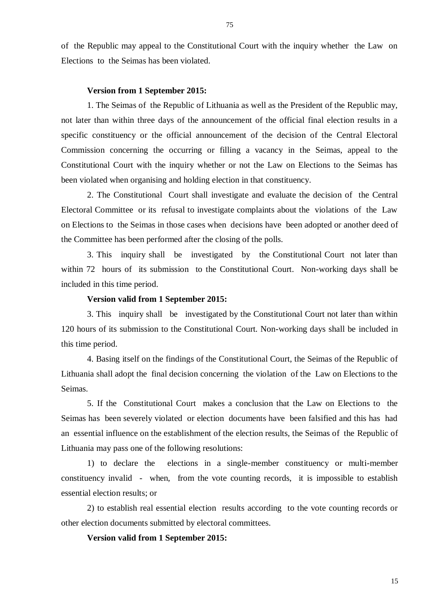of the Republic may appeal to the Constitutional Court with the inquiry whether the Law on Elections to the Seimas has been violated.

## **Version from 1 September 2015:**

1. The Seimas of the Republic of Lithuania as well as the President of the Republic may, not later than within three days of the announcement of the official final election results in a specific constituency or the official announcement of the decision of the Central Electoral Commission concerning the occurring or filling a vacancy in the Seimas, appeal to the Constitutional Court with the inquiry whether or not the Law on Elections to the Seimas has been violated when organising and holding election in that constituency.

2. The Constitutional Court shall investigate and evaluate the decision of the Central Electoral Committee or its refusal to investigate complaints about the violations of the Law on Elections to the Seimas in those cases when decisions have been adopted or another deed of the Committee has been performed after the closing of the polls.

3. This inquiry shall be investigated by the Constitutional Court not later than within 72 hours of its submission to the Constitutional Court. Non-working days shall be included in this time period.

## **Version valid from 1 September 2015:**

3. This inquiry shall be investigated by the Constitutional Court not later than within 120 hours of its submission to the Constitutional Court. Non-working days shall be included in this time period.

4. Basing itself on the findings of the Constitutional Court, the Seimas of the Republic of Lithuania shall adopt the final decision concerning the violation of the Law on Elections to the Seimas.

5. If the Constitutional Court makes a conclusion that the Law on Elections to the Seimas has been severely violated or election documents have been falsified and this has had an essential influence on the establishment of the election results, the Seimas of the Republic of Lithuania may pass one of the following resolutions:

1) to declare the elections in a single-member constituency or multi-member constituency invalid - when, from the vote counting records, it is impossible to establish essential election results; or

2) to establish real essential election results according to the vote counting records or other election documents submitted by electoral committees.

**Version valid from 1 September 2015:**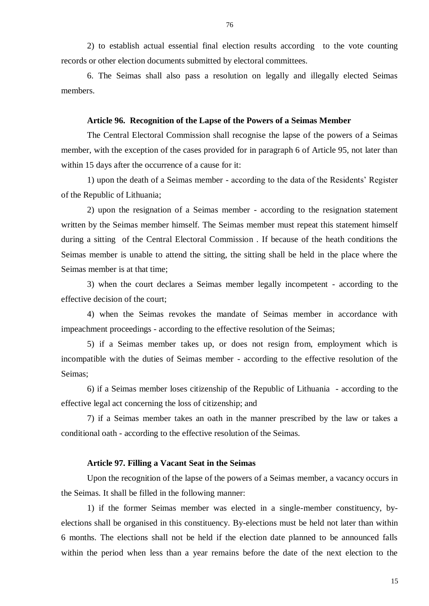2) to establish actual essential final election results according to the vote counting records or other election documents submitted by electoral committees.

6. The Seimas shall also pass a resolution on legally and illegally elected Seimas members.

#### **Article 96. Recognition of the Lapse of the Powers of a Seimas Member**

The Central Electoral Commission shall recognise the lapse of the powers of a Seimas member, with the exception of the cases provided for in paragraph 6 of Article 95, not later than within 15 days after the occurrence of a cause for it:

1) upon the death of a Seimas member - according to the data of the Residents' Register of the Republic of Lithuania;

2) upon the resignation of a Seimas member - according to the resignation statement written by the Seimas member himself. The Seimas member must repeat this statement himself during a sitting of the Central Electoral Commission . If because of the heath conditions the Seimas member is unable to attend the sitting, the sitting shall be held in the place where the Seimas member is at that time;

3) when the court declares a Seimas member legally incompetent - according to the effective decision of the court;

4) when the Seimas revokes the mandate of Seimas member in accordance with impeachment proceedings - according to the effective resolution of the Seimas;

5) if a Seimas member takes up, or does not resign from, employment which is incompatible with the duties of Seimas member - according to the effective resolution of the Seimas;

6) if a Seimas member loses citizenship of the Republic of Lithuania - according to the effective legal act concerning the loss of citizenship; and

7) if a Seimas member takes an oath in the manner prescribed by the law or takes a conditional oath - according to the effective resolution of the Seimas.

## **Article 97. Filling a Vacant Seat in the Seimas**

Upon the recognition of the lapse of the powers of a Seimas member, a vacancy occurs in the Seimas. It shall be filled in the following manner:

1) if the former Seimas member was elected in a single-member constituency, byelections shall be organised in this constituency. By-elections must be held not later than within 6 months. The elections shall not be held if the election date planned to be announced falls within the period when less than a year remains before the date of the next election to the

76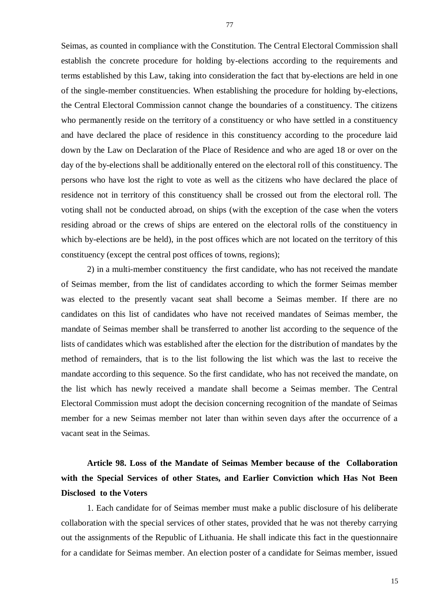Seimas, as counted in compliance with the Constitution. The Central Electoral Commission shall establish the concrete procedure for holding by-elections according to the requirements and terms established by this Law, taking into consideration the fact that by-elections are held in one of the single-member constituencies. When establishing the procedure for holding by-elections, the Central Electoral Commission cannot change the boundaries of a constituency. The citizens who permanently reside on the territory of a constituency or who have settled in a constituency and have declared the place of residence in this constituency according to the procedure laid down by the Law on Declaration of the Place of Residence and who are aged 18 or over on the day of the by-elections shall be additionally entered on the electoral roll of this constituency. The persons who have lost the right to vote as well as the citizens who have declared the place of residence not in territory of this constituency shall be crossed out from the electoral roll. The voting shall not be conducted abroad, on ships (with the exception of the case when the voters residing abroad or the crews of ships are entered on the electoral rolls of the constituency in which by-elections are be held), in the post offices which are not located on the territory of this constituency (except the central post offices of towns, regions);

2) in a multi-member constituency the first candidate, who has not received the mandate of Seimas member, from the list of candidates according to which the former Seimas member was elected to the presently vacant seat shall become a Seimas member. If there are no candidates on this list of candidates who have not received mandates of Seimas member, the mandate of Seimas member shall be transferred to another list according to the sequence of the lists of candidates which was established after the election for the distribution of mandates by the method of remainders, that is to the list following the list which was the last to receive the mandate according to this sequence. So the first candidate, who has not received the mandate, on the list which has newly received a mandate shall become a Seimas member. The Central Electoral Commission must adopt the decision concerning recognition of the mandate of Seimas member for a new Seimas member not later than within seven days after the occurrence of a vacant seat in the Seimas.

# **Article 98. Loss of the Mandate of Seimas Member because of the Collaboration with the Special Services of other States, and Earlier Conviction which Has Not Been Disclosed to the Voters**

1. Each candidate for of Seimas member must make a public disclosure of his deliberate collaboration with the special services of other states, provided that he was not thereby carrying out the assignments of the Republic of Lithuania. He shall indicate this fact in the questionnaire for a candidate for Seimas member. An election poster of a candidate for Seimas member, issued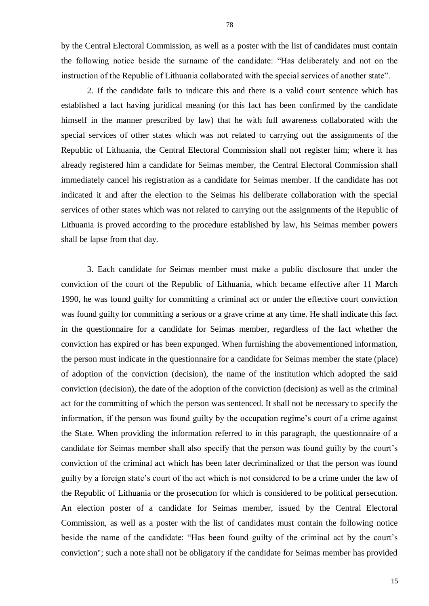by the Central Electoral Commission, as well as a poster with the list of candidates must contain the following notice beside the surname of the candidate: "Has deliberately and not on the instruction of the Republic of Lithuania collaborated with the special services of another state".

2. If the candidate fails to indicate this and there is a valid court sentence which has established a fact having juridical meaning (or this fact has been confirmed by the candidate himself in the manner prescribed by law) that he with full awareness collaborated with the special services of other states which was not related to carrying out the assignments of the Republic of Lithuania, the Central Electoral Commission shall not register him; where it has already registered him a candidate for Seimas member, the Central Electoral Commission shall immediately cancel his registration as a candidate for Seimas member. If the candidate has not indicated it and after the election to the Seimas his deliberate collaboration with the special services of other states which was not related to carrying out the assignments of the Republic of Lithuania is proved according to the procedure established by law, his Seimas member powers shall be lapse from that day.

3. Each candidate for Seimas member must make a public disclosure that under the conviction of the court of the Republic of Lithuania, which became effective after 11 March 1990, he was found guilty for committing a criminal act or under the effective court conviction was found guilty for committing a serious or a grave crime at any time. He shall indicate this fact in the questionnaire for a candidate for Seimas member, regardless of the fact whether the conviction has expired or has been expunged. When furnishing the abovementioned information, the person must indicate in the questionnaire for a candidate for Seimas member the state (place) of adoption of the conviction (decision), the name of the institution which adopted the said conviction (decision), the date of the adoption of the conviction (decision) as well as the criminal act for the committing of which the person was sentenced. It shall not be necessary to specify the information, if the person was found guilty by the occupation regime's court of a crime against the State. When providing the information referred to in this paragraph, the questionnaire of a candidate for Seimas member shall also specify that the person was found guilty by the court's conviction of the criminal act which has been later decriminalized or that the person was found guilty by a foreign state's court of the act which is not considered to be a crime under the law of the Republic of Lithuania or the prosecution for which is considered to be political persecution. An election poster of a candidate for Seimas member, issued by the Central Electoral Commission, as well as a poster with the list of candidates must contain the following notice beside the name of the candidate: "Has been found guilty of the criminal act by the court's conviction"; such a note shall not be obligatory if the candidate for Seimas member has provided